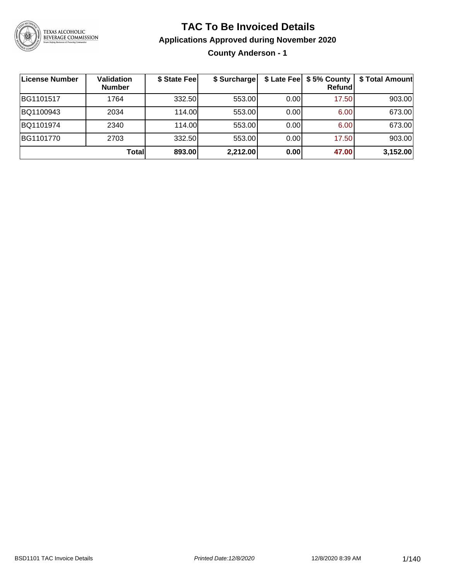

### **TAC To Be Invoiced Details**

#### **Applications Approved during November 2020**

**County Anderson - 1**

| ∣License Number | <b>Validation</b><br><b>Number</b> | \$ State Fee | \$ Surcharge |      | $$$ Late Fee $$$ \$ 5% County  <br><b>Refund</b> | \$ Total Amount |
|-----------------|------------------------------------|--------------|--------------|------|--------------------------------------------------|-----------------|
| BG1101517       | 1764                               | 332.50       | 553.00       | 0.00 | 17.50                                            | 903.00          |
| BQ1100943       | 2034                               | 114.00       | 553.00       | 0.00 | 6.00                                             | 673.00          |
| BQ1101974       | 2340                               | 114.00       | 553.00       | 0.00 | 6.00                                             | 673.00          |
| BG1101770       | 2703                               | 332.50       | 553.00       | 0.00 | 17.50                                            | 903.00          |
|                 | Total                              | 893.00       | 2,212.00     | 0.00 | 47.00                                            | 3,152.00        |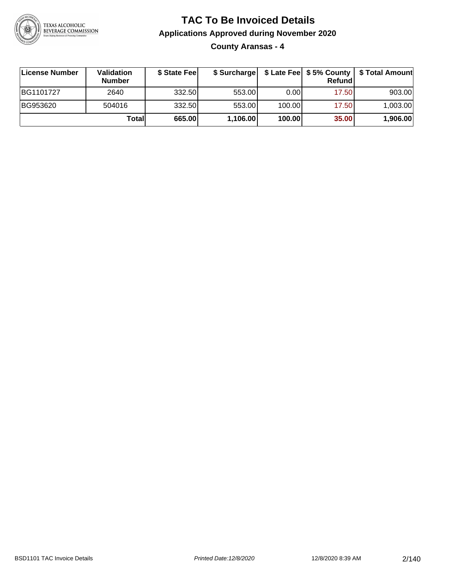

**County Aransas - 4**

| ∣License Number | Validation<br><b>Number</b> | \$ State Fee |          |        | Refund | \$ Surcharge   \$ Late Fee   \$5% County   \$ Total Amount |
|-----------------|-----------------------------|--------------|----------|--------|--------|------------------------------------------------------------|
| BG1101727       | 2640                        | 332.50       | 553.00   | 0.001  | 17.50  | 903.00                                                     |
| BG953620        | 504016                      | 332.50       | 553.00   | 100.00 | 17.50  | 1,003.00                                                   |
|                 | Totall                      | 665.00       | 1,106.00 | 100.00 | 35.00  | 1,906.00                                                   |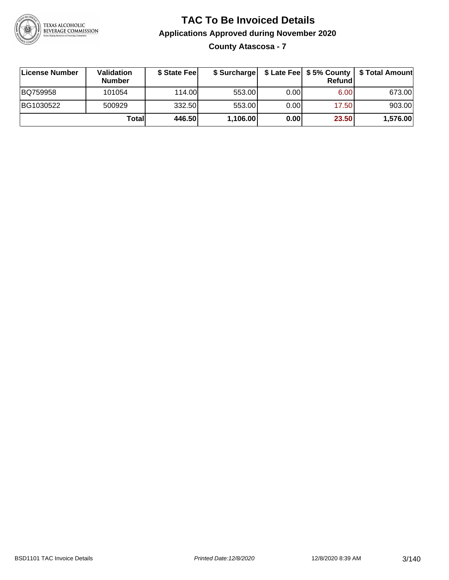

**County Atascosa - 7**

| License Number | <b>Validation</b><br><b>Number</b> | \$ State Feel | \$ Surcharge |       | <b>Refund</b> | \$ Late Fee   \$5% County   \$ Total Amount |
|----------------|------------------------------------|---------------|--------------|-------|---------------|---------------------------------------------|
| BQ759958       | 101054                             | 114.00        | 553.00       | 0.001 | 6.00          | 673.00                                      |
| BG1030522      | 500929                             | 332.50        | 553.00       | 0.001 | 17.50         | 903.00                                      |
|                | Totall                             | 446.50        | 1,106.00     | 0.00  | 23.50         | 1,576.00                                    |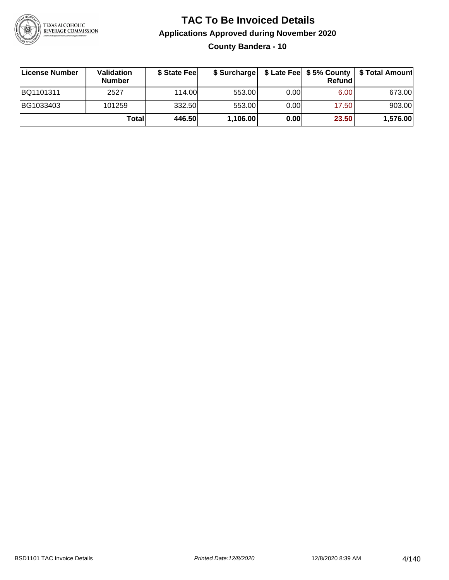

**County Bandera - 10**

| ∣License Number | <b>Validation</b><br><b>Number</b> | \$ State Fee | \$ Surcharge |       | <b>Refund</b> | \$ Late Fee   \$5% County   \$ Total Amount |
|-----------------|------------------------------------|--------------|--------------|-------|---------------|---------------------------------------------|
| BQ1101311       | 2527                               | 114.00       | 553.00       | 0.001 | 6.00          | 673.00                                      |
| BG1033403       | 101259                             | 332.50       | 553.00       | 0.001 | 17.50         | 903.00                                      |
|                 | Totall                             | 446.50       | 1,106.00     | 0.00  | 23.50         | 1,576.00                                    |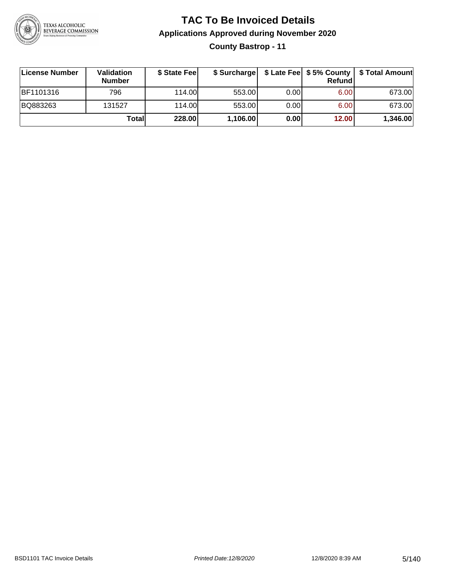

### **TAC To Be Invoiced Details Applications Approved during November 2020 County Bastrop - 11**

| License Number   | Validation<br><b>Number</b> | \$ State Fee |          |       | Refund | \$ Surcharge   \$ Late Fee   \$5% County   \$ Total Amount |
|------------------|-----------------------------|--------------|----------|-------|--------|------------------------------------------------------------|
| <b>BF1101316</b> | 796                         | 114.00L      | 553.00   | 0.00  | 6.00   | 673.00                                                     |
| BQ883263         | 131527                      | 114.00       | 553.00   | 0.001 | 6.00   | 673.00                                                     |
|                  | Totall                      | 228.00       | 1,106.00 | 0.00  | 12.00  | 1,346.00                                                   |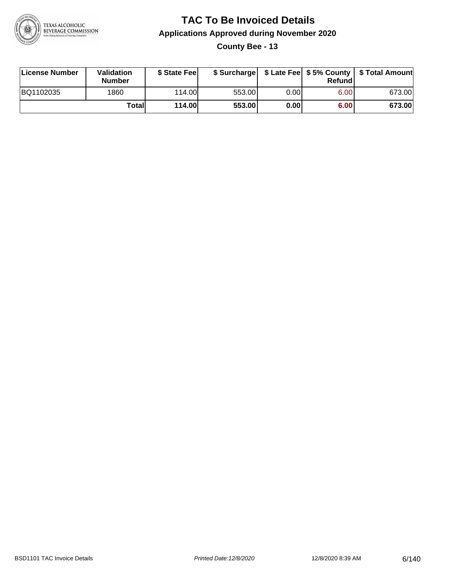

**County Bee - 13**

| License Number | Validation<br><b>Number</b> | \$ State Fee  | \$ Surcharge |      | Refundl | \$ Late Fee   \$5% County   \$ Total Amount |
|----------------|-----------------------------|---------------|--------------|------|---------|---------------------------------------------|
| BQ1102035      | 1860                        | 114.00        | 553.00       | 0.00 | 6.00    | 673.00                                      |
|                | Totall                      | <b>114.00</b> | 553.00       | 0.00 | 6.00    | 673.00                                      |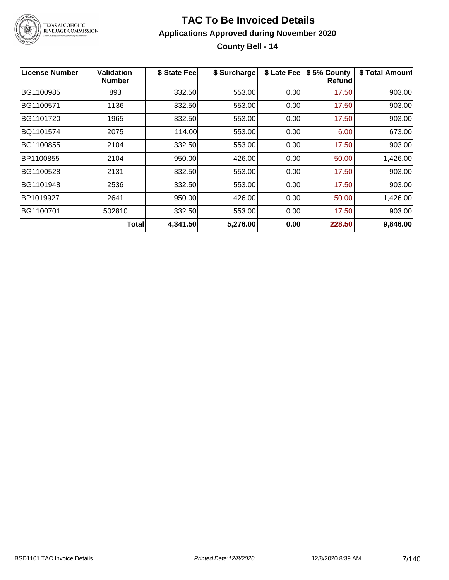

### **TAC To Be Invoiced Details Applications Approved during November 2020 County Bell - 14**

| <b>License Number</b> | <b>Validation</b><br><b>Number</b> | \$ State Fee | \$ Surcharge | \$ Late Fee | \$5% County<br><b>Refund</b> | \$ Total Amount |
|-----------------------|------------------------------------|--------------|--------------|-------------|------------------------------|-----------------|
| BG1100985             | 893                                | 332.50       | 553.00       | 0.00        | 17.50                        | 903.00          |
| BG1100571             | 1136                               | 332.50       | 553.00       | 0.00        | 17.50                        | 903.00          |
| BG1101720             | 1965                               | 332.50       | 553.00       | 0.00        | 17.50                        | 903.00          |
| BQ1101574             | 2075                               | 114.00       | 553.00       | 0.00        | 6.00                         | 673.00          |
| BG1100855             | 2104                               | 332.50       | 553.00       | 0.00        | 17.50                        | 903.00          |
| BP1100855             | 2104                               | 950.00       | 426.00       | 0.00        | 50.00                        | 1,426.00        |
| BG1100528             | 2131                               | 332.50       | 553.00       | 0.00        | 17.50                        | 903.00          |
| BG1101948             | 2536                               | 332.50       | 553.00       | 0.00        | 17.50                        | 903.00          |
| BP1019927             | 2641                               | 950.00       | 426.00       | 0.00        | 50.00                        | 1,426.00        |
| BG1100701             | 502810                             | 332.50       | 553.00       | 0.00        | 17.50                        | 903.00          |
|                       | <b>Total</b>                       | 4,341.50     | 5,276.00     | 0.00        | 228.50                       | 9,846.00        |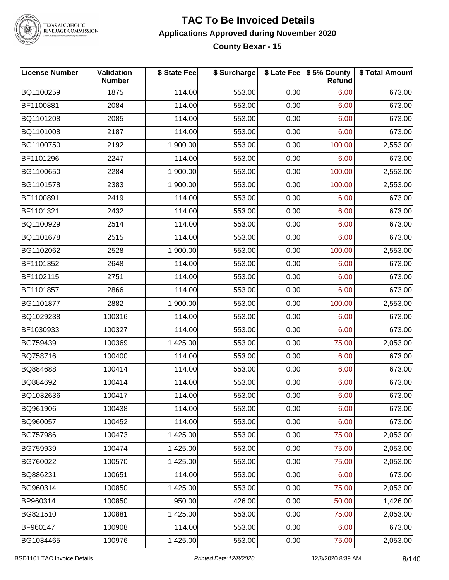

#### **TAC To Be Invoiced Details Applications Approved during November 2020 County Bexar - 15**

| <b>License Number</b> | Validation<br><b>Number</b> | \$ State Fee | \$ Surcharge |      | \$ Late Fee   \$5% County<br>Refund | \$ Total Amount |
|-----------------------|-----------------------------|--------------|--------------|------|-------------------------------------|-----------------|
| BQ1100259             | 1875                        | 114.00       | 553.00       | 0.00 | 6.00                                | 673.00          |
| BF1100881             | 2084                        | 114.00       | 553.00       | 0.00 | 6.00                                | 673.00          |
| BQ1101208             | 2085                        | 114.00       | 553.00       | 0.00 | 6.00                                | 673.00          |
| BQ1101008             | 2187                        | 114.00       | 553.00       | 0.00 | 6.00                                | 673.00          |
| BG1100750             | 2192                        | 1,900.00     | 553.00       | 0.00 | 100.00                              | 2,553.00        |
| BF1101296             | 2247                        | 114.00       | 553.00       | 0.00 | 6.00                                | 673.00          |
| BG1100650             | 2284                        | 1,900.00     | 553.00       | 0.00 | 100.00                              | 2,553.00        |
| BG1101578             | 2383                        | 1,900.00     | 553.00       | 0.00 | 100.00                              | 2,553.00        |
| BF1100891             | 2419                        | 114.00       | 553.00       | 0.00 | 6.00                                | 673.00          |
| BF1101321             | 2432                        | 114.00       | 553.00       | 0.00 | 6.00                                | 673.00          |
| BQ1100929             | 2514                        | 114.00       | 553.00       | 0.00 | 6.00                                | 673.00          |
| BQ1101678             | 2515                        | 114.00       | 553.00       | 0.00 | 6.00                                | 673.00          |
| BG1102062             | 2528                        | 1,900.00     | 553.00       | 0.00 | 100.00                              | 2,553.00        |
| BF1101352             | 2648                        | 114.00       | 553.00       | 0.00 | 6.00                                | 673.00          |
| BF1102115             | 2751                        | 114.00       | 553.00       | 0.00 | 6.00                                | 673.00          |
| BF1101857             | 2866                        | 114.00       | 553.00       | 0.00 | 6.00                                | 673.00          |
| BG1101877             | 2882                        | 1,900.00     | 553.00       | 0.00 | 100.00                              | 2,553.00        |
| BQ1029238             | 100316                      | 114.00       | 553.00       | 0.00 | 6.00                                | 673.00          |
| BF1030933             | 100327                      | 114.00       | 553.00       | 0.00 | 6.00                                | 673.00          |
| BG759439              | 100369                      | 1,425.00     | 553.00       | 0.00 | 75.00                               | 2,053.00        |
| BQ758716              | 100400                      | 114.00       | 553.00       | 0.00 | 6.00                                | 673.00          |
| BQ884688              | 100414                      | 114.00       | 553.00       | 0.00 | 6.00                                | 673.00          |
| BQ884692              | 100414                      | 114.00       | 553.00       | 0.00 | 6.00                                | 673.00          |
| BQ1032636             | 100417                      | 114.00       | 553.00       | 0.00 | 6.00                                | 673.00          |
| BQ961906              | 100438                      | 114.00       | 553.00       | 0.00 | 6.00                                | 673.00          |
| BQ960057              | 100452                      | 114.00       | 553.00       | 0.00 | 6.00                                | 673.00          |
| BG757986              | 100473                      | 1,425.00     | 553.00       | 0.00 | 75.00                               | 2,053.00        |
| BG759939              | 100474                      | 1,425.00     | 553.00       | 0.00 | 75.00                               | 2,053.00        |
| BG760022              | 100570                      | 1,425.00     | 553.00       | 0.00 | 75.00                               | 2,053.00        |
| BQ886231              | 100651                      | 114.00       | 553.00       | 0.00 | 6.00                                | 673.00          |
| BG960314              | 100850                      | 1,425.00     | 553.00       | 0.00 | 75.00                               | 2,053.00        |
| BP960314              | 100850                      | 950.00       | 426.00       | 0.00 | 50.00                               | 1,426.00        |
| BG821510              | 100881                      | 1,425.00     | 553.00       | 0.00 | 75.00                               | 2,053.00        |
| BF960147              | 100908                      | 114.00       | 553.00       | 0.00 | 6.00                                | 673.00          |
| BG1034465             | 100976                      | 1,425.00     | 553.00       | 0.00 | 75.00                               | 2,053.00        |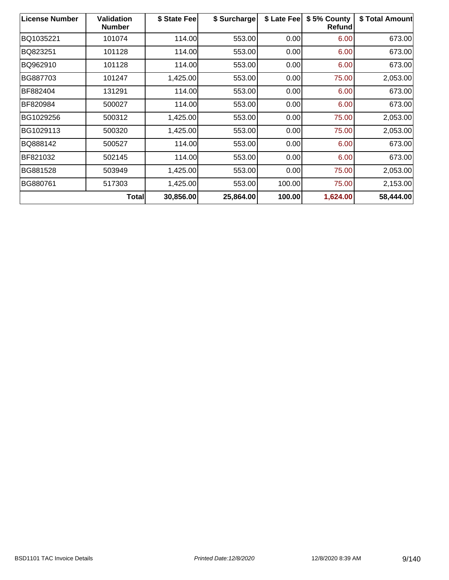| <b>License Number</b> | Validation<br><b>Number</b> | \$ State Fee | \$ Surcharge | \$ Late Fee | \$5% County<br><b>Refund</b> | \$ Total Amount |
|-----------------------|-----------------------------|--------------|--------------|-------------|------------------------------|-----------------|
| BQ1035221             | 101074                      | 114.00       | 553.00       | 0.00        | 6.00                         | 673.00          |
| BQ823251              | 101128                      | 114.00       | 553.00       | 0.00        | 6.00                         | 673.00          |
| BQ962910              | 101128                      | 114.00       | 553.00       | 0.00        | 6.00                         | 673.00          |
| BG887703              | 101247                      | 1,425.00     | 553.00       | 0.00        | 75.00                        | 2,053.00        |
| BF882404              | 131291                      | 114.00       | 553.00       | 0.00        | 6.00                         | 673.00          |
| BF820984              | 500027                      | 114.00       | 553.00       | 0.00        | 6.00                         | 673.00          |
| BG1029256             | 500312                      | 1,425.00     | 553.00       | 0.00        | 75.00                        | 2,053.00        |
| BG1029113             | 500320                      | 1,425.00     | 553.00       | 0.00        | 75.00                        | 2,053.00        |
| BQ888142              | 500527                      | 114.00       | 553.00       | 0.00        | 6.00                         | 673.00          |
| BF821032              | 502145                      | 114.00       | 553.00       | 0.00        | 6.00                         | 673.00          |
| BG881528              | 503949                      | 1,425.00     | 553.00       | 0.00        | 75.00                        | 2,053.00        |
| BG880761              | 517303                      | 1,425.00     | 553.00       | 100.00      | 75.00                        | 2,153.00        |
|                       | <b>Total</b>                | 30,856.00    | 25,864.00    | 100.00      | 1,624.00                     | 58,444.00       |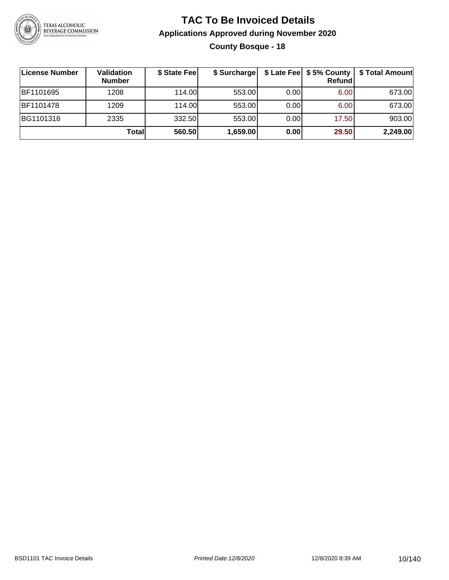

### **TAC To Be Invoiced Details Applications Approved during November 2020 County Bosque - 18**

| License Number | Validation<br><b>Number</b> | \$ State Fee | \$ Surcharge |      | \$ Late Fee   \$5% County  <br>Refund | \$ Total Amount |
|----------------|-----------------------------|--------------|--------------|------|---------------------------------------|-----------------|
| BF1101695      | 1208                        | 114.00       | 553.00       | 0.00 | 6.00                                  | 673.00          |
| BF1101478      | 1209                        | 114.00       | 553.00       | 0.00 | 6.00                                  | 673.00          |
| BG1101318      | 2335                        | 332.50       | 553.00       | 0.00 | 17.50                                 | 903.00          |
|                | Total                       | 560.50       | 1,659.00     | 0.00 | 29.50                                 | 2,249.00        |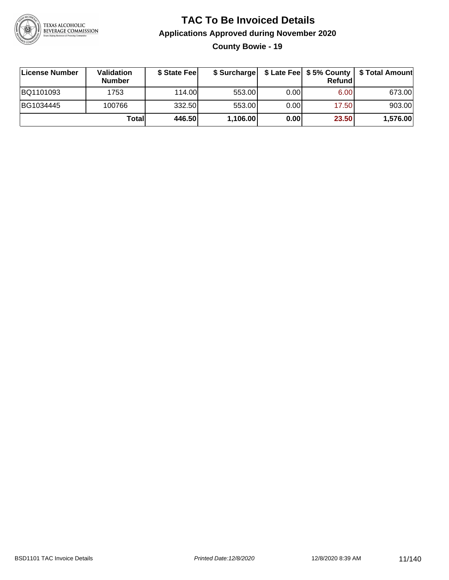

**County Bowie - 19**

| License Number | <b>Validation</b><br><b>Number</b> | \$ State Feel | \$ Surcharge |       | Refundl | \$ Late Fee   \$5% County   \$ Total Amount |
|----------------|------------------------------------|---------------|--------------|-------|---------|---------------------------------------------|
| BQ1101093      | 1753                               | 114.00        | 553.00       | 0.001 | 6.00    | 673.00                                      |
| BG1034445      | 100766                             | 332.50        | 553.00       | 0.001 | 17.50   | 903.00                                      |
|                | Totall                             | 446.50        | 1,106.00     | 0.00  | 23.50   | 1,576.00                                    |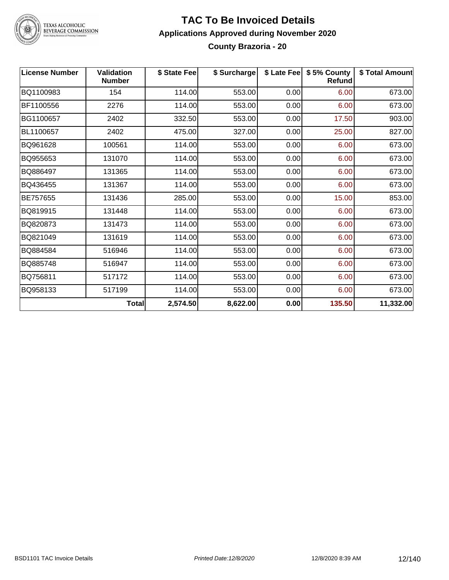

#### **TAC To Be Invoiced Details Applications Approved during November 2020 County Brazoria - 20**

| <b>License Number</b> | <b>Validation</b><br><b>Number</b> | \$ State Fee | \$ Surcharge |      | \$ Late Fee   \$5% County<br>Refund | \$ Total Amount |
|-----------------------|------------------------------------|--------------|--------------|------|-------------------------------------|-----------------|
| BQ1100983             | 154                                | 114.00       | 553.00       | 0.00 | 6.00                                | 673.00          |
| BF1100556             | 2276                               | 114.00       | 553.00       | 0.00 | 6.00                                | 673.00          |
| BG1100657             | 2402                               | 332.50       | 553.00       | 0.00 | 17.50                               | 903.00          |
| BL1100657             | 2402                               | 475.00       | 327.00       | 0.00 | 25.00                               | 827.00          |
| BQ961628              | 100561                             | 114.00       | 553.00       | 0.00 | 6.00                                | 673.00          |
| BQ955653              | 131070                             | 114.00       | 553.00       | 0.00 | 6.00                                | 673.00          |
| BQ886497              | 131365                             | 114.00       | 553.00       | 0.00 | 6.00                                | 673.00          |
| BQ436455              | 131367                             | 114.00       | 553.00       | 0.00 | 6.00                                | 673.00          |
| BE757655              | 131436                             | 285.00       | 553.00       | 0.00 | 15.00                               | 853.00          |
| BQ819915              | 131448                             | 114.00       | 553.00       | 0.00 | 6.00                                | 673.00          |
| BQ820873              | 131473                             | 114.00       | 553.00       | 0.00 | 6.00                                | 673.00          |
| BQ821049              | 131619                             | 114.00       | 553.00       | 0.00 | 6.00                                | 673.00          |
| BQ884584              | 516946                             | 114.00       | 553.00       | 0.00 | 6.00                                | 673.00          |
| BQ885748              | 516947                             | 114.00       | 553.00       | 0.00 | 6.00                                | 673.00          |
| BQ756811              | 517172                             | 114.00       | 553.00       | 0.00 | 6.00                                | 673.00          |
| BQ958133              | 517199                             | 114.00       | 553.00       | 0.00 | 6.00                                | 673.00          |
|                       | Total                              | 2,574.50     | 8,622.00     | 0.00 | 135.50                              | 11,332.00       |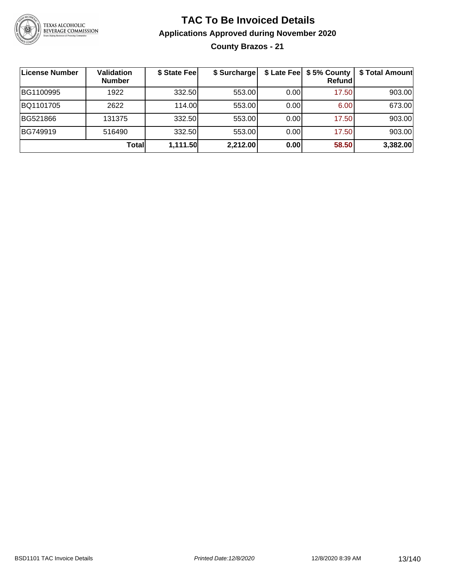

**County Brazos - 21**

| License Number | <b>Validation</b><br><b>Number</b> | \$ State Fee | \$ Surcharge |      | \$ Late Fee   \$5% County  <br><b>Refund</b> | \$ Total Amount |
|----------------|------------------------------------|--------------|--------------|------|----------------------------------------------|-----------------|
| BG1100995      | 1922                               | 332.50       | 553.00       | 0.00 | 17.50                                        | 903.00          |
| BQ1101705      | 2622                               | 114.00L      | 553.00       | 0.00 | 6.00                                         | 673.00          |
| BG521866       | 131375                             | 332.50       | 553.00       | 0.00 | 17.50                                        | 903.00          |
| BG749919       | 516490                             | 332.50       | 553.00       | 0.00 | 17.50                                        | 903.00          |
|                | Totall                             | 1,111.50     | 2,212.00     | 0.00 | 58.50                                        | 3,382.00        |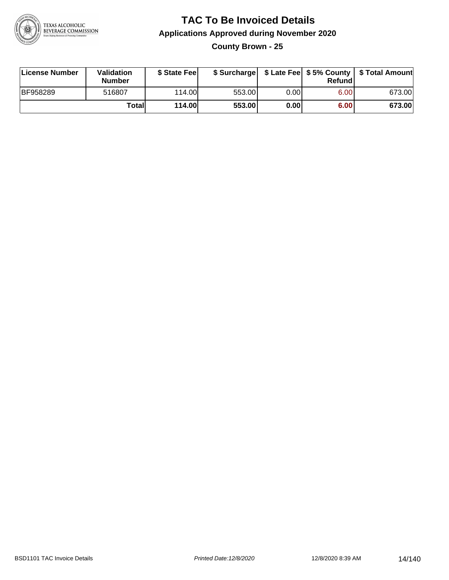

**County Brown - 25**

| License Number | Validation<br>Number | \$ State Fee  | \$ Surcharge |       | Refundl | \$ Late Fee   \$5% County   \$ Total Amount |
|----------------|----------------------|---------------|--------------|-------|---------|---------------------------------------------|
| BF958289       | 516807               | 114.00        | 553.00       | 0.001 | 6.00    | 673.00                                      |
|                | <b>Total</b>         | <b>114.00</b> | 553.00       | 0.00  | 6.00    | 673.00                                      |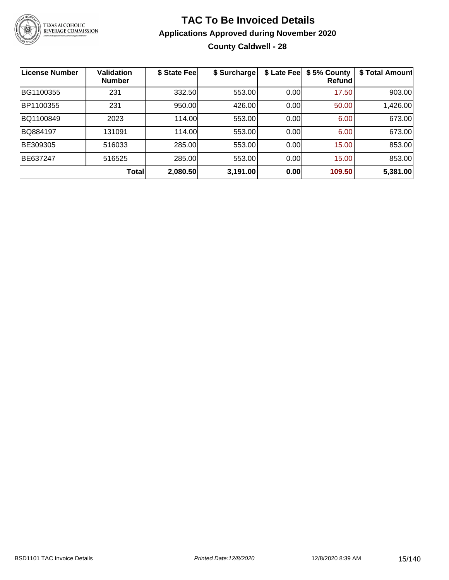

### **TAC To Be Invoiced Details Applications Approved during November 2020 County Caldwell - 28**

| License Number | <b>Validation</b><br><b>Number</b> | \$ State Fee | \$ Surcharge | \$ Late Fee | \$5% County<br>Refund | \$ Total Amount |
|----------------|------------------------------------|--------------|--------------|-------------|-----------------------|-----------------|
| BG1100355      | 231                                | 332.50       | 553.00       | 0.00        | 17.50                 | 903.00          |
| BP1100355      | 231                                | 950.00       | 426.00       | 0.00        | 50.00                 | 1,426.00        |
| BQ1100849      | 2023                               | 114.00       | 553.00       | 0.00        | 6.00                  | 673.00          |
| BQ884197       | 131091                             | 114.00       | 553.00       | 0.00        | 6.00                  | 673.00          |
| BE309305       | 516033                             | 285.00       | 553.00       | 0.00        | 15.00                 | 853.00          |
| BE637247       | 516525                             | 285.00       | 553.00       | 0.00        | 15.00                 | 853.00          |
|                | Total                              | 2,080.50     | 3,191.00     | 0.00        | 109.50                | 5,381.00        |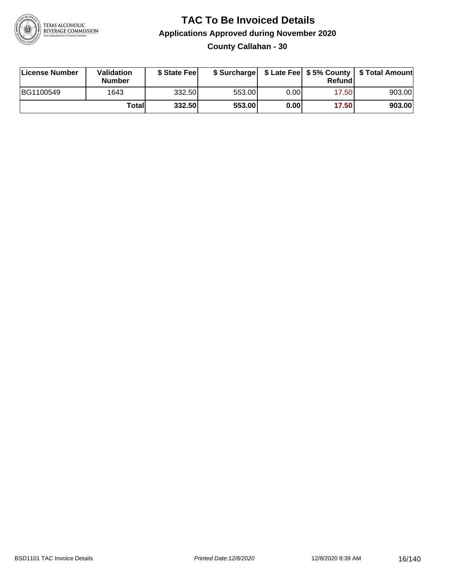

**County Callahan - 30**

| License Number | Validation<br><b>Number</b> | \$ State Fee | \$ Surcharge |      | Refundl |        |
|----------------|-----------------------------|--------------|--------------|------|---------|--------|
| BG1100549      | 1643                        | 332.50       | 553.00       | 0.00 | 17.501  | 903.00 |
|                | Totall                      | 332.50       | 553.00       | 0.00 | 17.50   | 903.00 |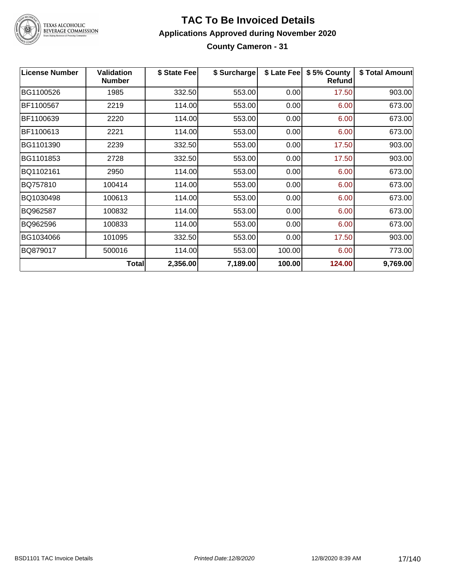

#### **TAC To Be Invoiced Details Applications Approved during November 2020 County Cameron - 31**

| <b>License Number</b> | <b>Validation</b><br><b>Number</b> | \$ State Fee | \$ Surcharge | \$ Late Fee | \$5% County<br><b>Refund</b> | \$ Total Amount |
|-----------------------|------------------------------------|--------------|--------------|-------------|------------------------------|-----------------|
| BG1100526             | 1985                               | 332.50       | 553.00       | 0.00        | 17.50                        | 903.00          |
| BF1100567             | 2219                               | 114.00       | 553.00       | 0.00        | 6.00                         | 673.00          |
| BF1100639             | 2220                               | 114.00       | 553.00       | 0.00        | 6.00                         | 673.00          |
| BF1100613             | 2221                               | 114.00       | 553.00       | 0.00        | 6.00                         | 673.00          |
| BG1101390             | 2239                               | 332.50       | 553.00       | 0.00        | 17.50                        | 903.00          |
| BG1101853             | 2728                               | 332.50       | 553.00       | 0.00        | 17.50                        | 903.00          |
| BQ1102161             | 2950                               | 114.00       | 553.00       | 0.00        | 6.00                         | 673.00          |
| BQ757810              | 100414                             | 114.00       | 553.00       | 0.00        | 6.00                         | 673.00          |
| BQ1030498             | 100613                             | 114.00       | 553.00       | 0.00        | 6.00                         | 673.00          |
| BQ962587              | 100832                             | 114.00       | 553.00       | 0.00        | 6.00                         | 673.00          |
| BQ962596              | 100833                             | 114.00       | 553.00       | 0.00        | 6.00                         | 673.00          |
| BG1034066             | 101095                             | 332.50       | 553.00       | 0.00        | 17.50                        | 903.00          |
| BQ879017              | 500016                             | 114.00       | 553.00       | 100.00      | 6.00                         | 773.00          |
|                       | Total                              | 2,356.00     | 7,189.00     | 100.00      | 124.00                       | 9,769.00        |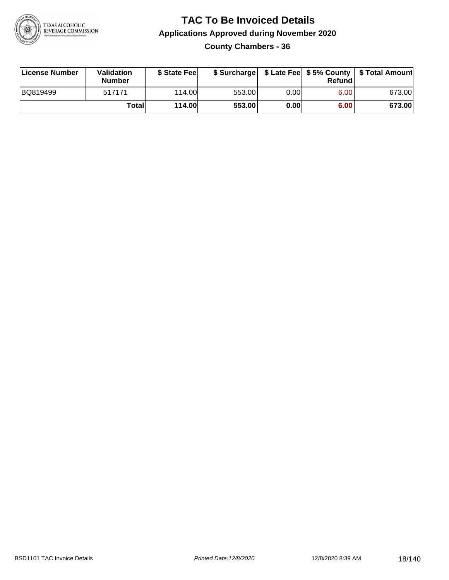

**County Chambers - 36**

| License Number | Validation<br><b>Number</b> | \$ State Fee  | \$ Surcharge |      | Refundl | \$ Late Fee   \$5% County   \$ Total Amount |
|----------------|-----------------------------|---------------|--------------|------|---------|---------------------------------------------|
| BQ819499       | 517171                      | 114.00        | 553.00       | 0.00 | 6.00    | 673.00                                      |
|                | Totall                      | <b>114.00</b> | 553.00       | 0.00 | 6.00    | 673.00                                      |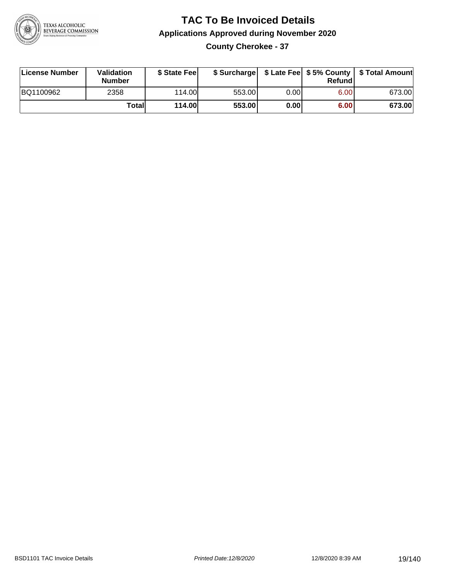

**County Cherokee - 37**

| License Number | Validation<br><b>Number</b> | \$ State Fee  | \$ Surcharge |      | Refund            | \$ Late Fee   \$5% County   \$ Total Amount |
|----------------|-----------------------------|---------------|--------------|------|-------------------|---------------------------------------------|
| BQ1100962      | 2358                        | 114.00        | 553.00       | 0.00 | 6.00 <sub>1</sub> | 673.00                                      |
|                | Totall                      | <b>114.00</b> | 553.00       | 0.00 | 6.00              | 673.00                                      |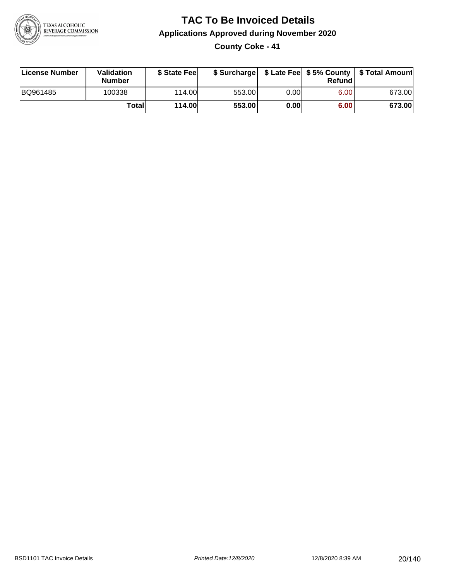

**County Coke - 41**

| License Number | <b>Validation</b><br><b>Number</b> | \$ State Feel | \$ Surcharge |       | Refundl |        |
|----------------|------------------------------------|---------------|--------------|-------|---------|--------|
| BQ961485       | 100338                             | 114.00L       | 553.00       | 0.001 | 6.00    | 673.00 |
|                | Totall                             | <b>114.00</b> | 553.00       | 0.00  | 6.00    | 673.00 |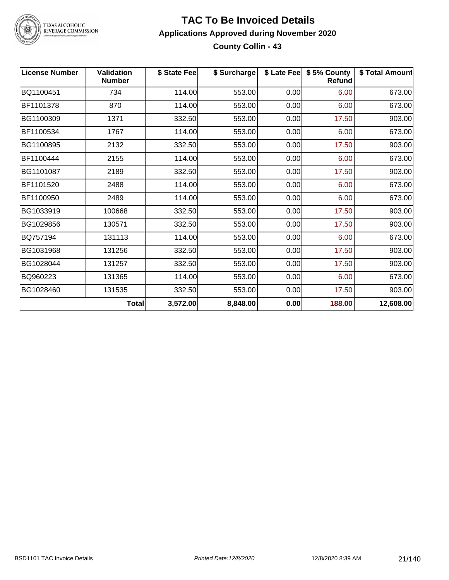

#### **TAC To Be Invoiced Details Applications Approved during November 2020 County Collin - 43**

| <b>License Number</b> | <b>Validation</b><br><b>Number</b> | \$ State Fee | \$ Surcharge |      | \$ Late Fee   \$5% County<br><b>Refund</b> | \$ Total Amount |
|-----------------------|------------------------------------|--------------|--------------|------|--------------------------------------------|-----------------|
| BQ1100451             | 734                                | 114.00       | 553.00       | 0.00 | 6.00                                       | 673.00          |
| BF1101378             | 870                                | 114.00       | 553.00       | 0.00 | 6.00                                       | 673.00          |
| BG1100309             | 1371                               | 332.50       | 553.00       | 0.00 | 17.50                                      | 903.00          |
| BF1100534             | 1767                               | 114.00       | 553.00       | 0.00 | 6.00                                       | 673.00          |
| BG1100895             | 2132                               | 332.50       | 553.00       | 0.00 | 17.50                                      | 903.00          |
| BF1100444             | 2155                               | 114.00       | 553.00       | 0.00 | 6.00                                       | 673.00          |
| BG1101087             | 2189                               | 332.50       | 553.00       | 0.00 | 17.50                                      | 903.00          |
| BF1101520             | 2488                               | 114.00       | 553.00       | 0.00 | 6.00                                       | 673.00          |
| BF1100950             | 2489                               | 114.00       | 553.00       | 0.00 | 6.00                                       | 673.00          |
| BG1033919             | 100668                             | 332.50       | 553.00       | 0.00 | 17.50                                      | 903.00          |
| BG1029856             | 130571                             | 332.50       | 553.00       | 0.00 | 17.50                                      | 903.00          |
| BQ757194              | 131113                             | 114.00       | 553.00       | 0.00 | 6.00                                       | 673.00          |
| BG1031968             | 131256                             | 332.50       | 553.00       | 0.00 | 17.50                                      | 903.00          |
| BG1028044             | 131257                             | 332.50       | 553.00       | 0.00 | 17.50                                      | 903.00          |
| BQ960223              | 131365                             | 114.00       | 553.00       | 0.00 | 6.00                                       | 673.00          |
| BG1028460             | 131535                             | 332.50       | 553.00       | 0.00 | 17.50                                      | 903.00          |
|                       | <b>Total</b>                       | 3,572.00     | 8,848.00     | 0.00 | 188.00                                     | 12,608.00       |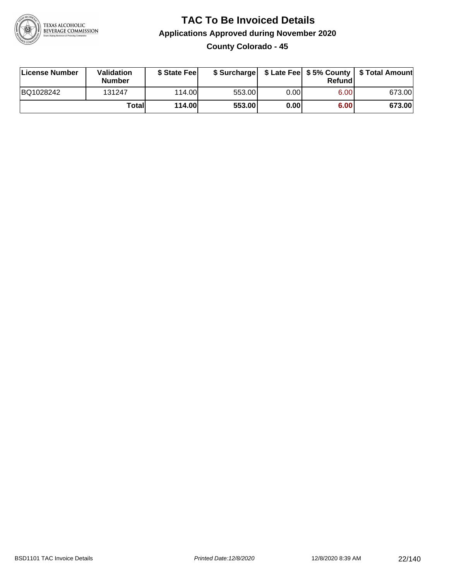

**County Colorado - 45**

| License Number | Validation<br><b>Number</b> | \$ State Feel | \$ Surcharge |      | Refund | \$ Late Fee   \$5% County   \$ Total Amount |
|----------------|-----------------------------|---------------|--------------|------|--------|---------------------------------------------|
| BQ1028242      | 131247                      | 114.00        | 553.00       | 0.00 | 6.00   | 673.00                                      |
|                | Totall                      | <b>114.00</b> | 553.00       | 0.00 | 6.00   | 673.00                                      |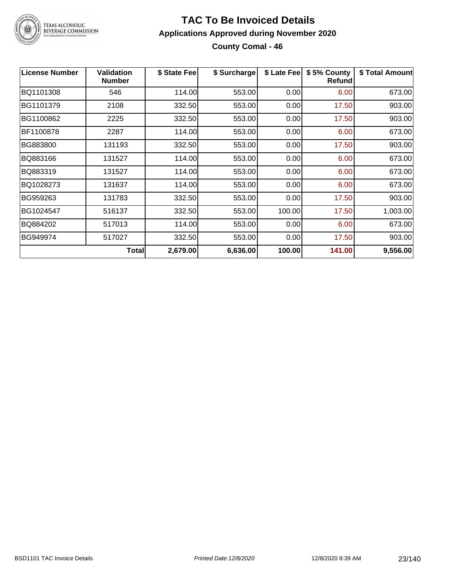

#### **TAC To Be Invoiced Details Applications Approved during November 2020 County Comal - 46**

| <b>License Number</b> | <b>Validation</b><br><b>Number</b> | \$ State Fee | \$ Surcharge | \$ Late Fee | \$5% County<br><b>Refund</b> | \$ Total Amount |
|-----------------------|------------------------------------|--------------|--------------|-------------|------------------------------|-----------------|
| BQ1101308             | 546                                | 114.00       | 553.00       | 0.00        | 6.00                         | 673.00          |
| BG1101379             | 2108                               | 332.50       | 553.00       | 0.00        | 17.50                        | 903.00          |
| BG1100862             | 2225                               | 332.50       | 553.00       | 0.00        | 17.50                        | 903.00          |
| BF1100878             | 2287                               | 114.00       | 553.00       | 0.00        | 6.00                         | 673.00          |
| BG883800              | 131193                             | 332.50       | 553.00       | 0.00        | 17.50                        | 903.00          |
| BQ883166              | 131527                             | 114.00       | 553.00       | 0.00        | 6.00                         | 673.00          |
| BQ883319              | 131527                             | 114.00       | 553.00       | 0.00        | 6.00                         | 673.00          |
| BQ1028273             | 131637                             | 114.00       | 553.00       | 0.00        | 6.00                         | 673.00          |
| BG959263              | 131783                             | 332.50       | 553.00       | 0.00        | 17.50                        | 903.00          |
| BG1024547             | 516137                             | 332.50       | 553.00       | 100.00      | 17.50                        | 1,003.00        |
| BQ884202              | 517013                             | 114.00       | 553.00       | 0.00        | 6.00                         | 673.00          |
| BG949974              | 517027                             | 332.50       | 553.00       | 0.00        | 17.50                        | 903.00          |
|                       | Total                              | 2,679.00     | 6,636.00     | 100.00      | 141.00                       | 9,556.00        |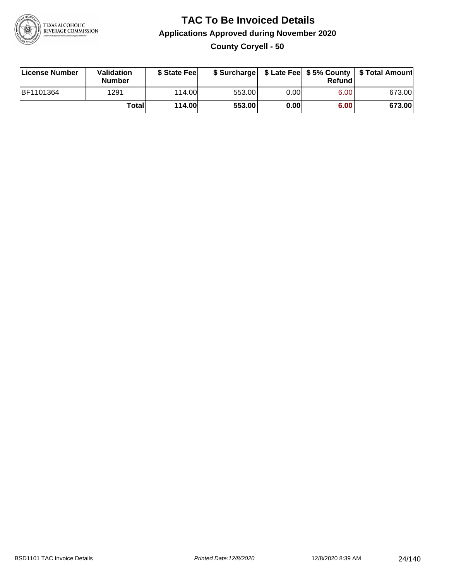

**County Coryell - 50**

| License Number | Validation<br><b>Number</b> | \$ State Fee  | \$ Surcharge |      | Refund | \$ Late Fee   \$5% County   \$ Total Amount |
|----------------|-----------------------------|---------------|--------------|------|--------|---------------------------------------------|
| BF1101364      | 1291                        | 114.00        | 553.00       | 0.00 | 6.00   | 673.00                                      |
|                | Totall                      | <b>114.00</b> | 553.00       | 0.00 | 6.00   | 673.00                                      |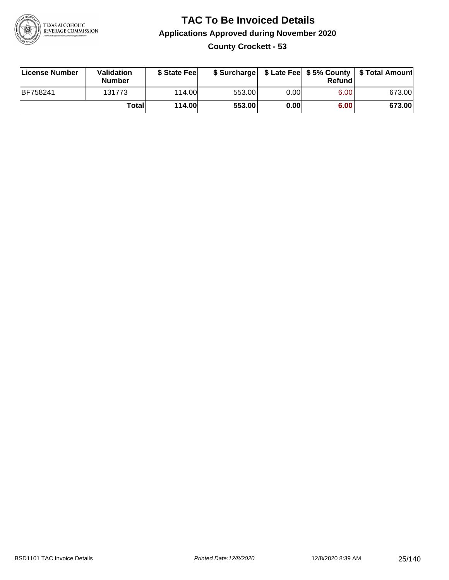

### **TAC To Be Invoiced Details Applications Approved during November 2020 County Crockett - 53**

| License Number  | Validation<br><b>Number</b> | \$ State Fee  |        |      | Refund | \$ Surcharge   \$ Late Fee   \$5% County   \$ Total Amount |
|-----------------|-----------------------------|---------------|--------|------|--------|------------------------------------------------------------|
| <b>BF758241</b> | 131773                      | 114.00L       | 553.00 | 0.00 | 6.00   | 673.00                                                     |
|                 | Totall                      | <b>114.00</b> | 553.00 | 0.00 | 6.00   | 673.00                                                     |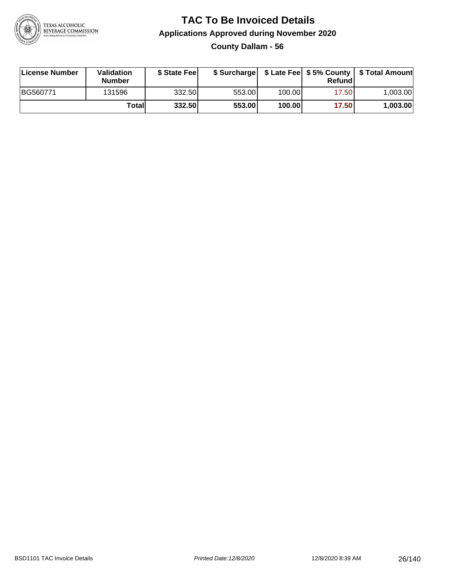

**County Dallam - 56**

| License Number | <b>Validation</b><br><b>Number</b> | \$ State Feel |        |        | Refundl | \$ Surcharge   \$ Late Fee   \$5% County   \$ Total Amount |
|----------------|------------------------------------|---------------|--------|--------|---------|------------------------------------------------------------|
| BG560771       | 131596                             | 332.50        | 553.00 | 100.00 | 17.50   | 1.003.00                                                   |
|                | Totall                             | 332.50        | 553.00 | 100.00 | 17.50   | 1,003.00                                                   |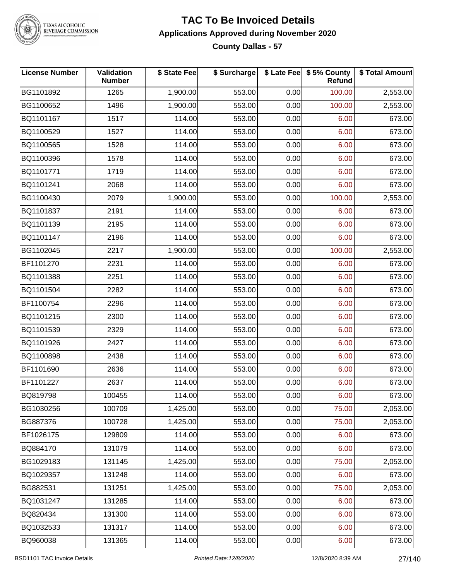

#### **TAC To Be Invoiced Details Applications Approved during November 2020 County Dallas - 57**

| <b>License Number</b> | Validation<br><b>Number</b> | \$ State Fee | \$ Surcharge |      | \$ Late Fee   \$5% County<br>Refund | \$ Total Amount |
|-----------------------|-----------------------------|--------------|--------------|------|-------------------------------------|-----------------|
| BG1101892             | 1265                        | 1,900.00     | 553.00       | 0.00 | 100.00                              | 2,553.00        |
| BG1100652             | 1496                        | 1,900.00     | 553.00       | 0.00 | 100.00                              | 2,553.00        |
| BQ1101167             | 1517                        | 114.00       | 553.00       | 0.00 | 6.00                                | 673.00          |
| BQ1100529             | 1527                        | 114.00       | 553.00       | 0.00 | 6.00                                | 673.00          |
| BQ1100565             | 1528                        | 114.00       | 553.00       | 0.00 | 6.00                                | 673.00          |
| BQ1100396             | 1578                        | 114.00       | 553.00       | 0.00 | 6.00                                | 673.00          |
| BQ1101771             | 1719                        | 114.00       | 553.00       | 0.00 | 6.00                                | 673.00          |
| BQ1101241             | 2068                        | 114.00       | 553.00       | 0.00 | 6.00                                | 673.00          |
| BG1100430             | 2079                        | 1,900.00     | 553.00       | 0.00 | 100.00                              | 2,553.00        |
| BQ1101837             | 2191                        | 114.00       | 553.00       | 0.00 | 6.00                                | 673.00          |
| BQ1101139             | 2195                        | 114.00       | 553.00       | 0.00 | 6.00                                | 673.00          |
| BQ1101147             | 2196                        | 114.00       | 553.00       | 0.00 | 6.00                                | 673.00          |
| BG1102045             | 2217                        | 1,900.00     | 553.00       | 0.00 | 100.00                              | 2,553.00        |
| BF1101270             | 2231                        | 114.00       | 553.00       | 0.00 | 6.00                                | 673.00          |
| BQ1101388             | 2251                        | 114.00       | 553.00       | 0.00 | 6.00                                | 673.00          |
| BQ1101504             | 2282                        | 114.00       | 553.00       | 0.00 | 6.00                                | 673.00          |
| BF1100754             | 2296                        | 114.00       | 553.00       | 0.00 | 6.00                                | 673.00          |
| BQ1101215             | 2300                        | 114.00       | 553.00       | 0.00 | 6.00                                | 673.00          |
| BQ1101539             | 2329                        | 114.00       | 553.00       | 0.00 | 6.00                                | 673.00          |
| BQ1101926             | 2427                        | 114.00       | 553.00       | 0.00 | 6.00                                | 673.00          |
| BQ1100898             | 2438                        | 114.00       | 553.00       | 0.00 | 6.00                                | 673.00          |
| BF1101690             | 2636                        | 114.00       | 553.00       | 0.00 | 6.00                                | 673.00          |
| BF1101227             | 2637                        | 114.00       | 553.00       | 0.00 | 6.00                                | 673.00          |
| BQ819798              | 100455                      | 114.00       | 553.00       | 0.00 | 6.00                                | 673.00          |
| BG1030256             | 100709                      | 1,425.00     | 553.00       | 0.00 | 75.00                               | 2,053.00        |
| BG887376              | 100728                      | 1,425.00     | 553.00       | 0.00 | 75.00                               | 2,053.00        |
| BF1026175             | 129809                      | 114.00       | 553.00       | 0.00 | 6.00                                | 673.00          |
| BQ884170              | 131079                      | 114.00       | 553.00       | 0.00 | 6.00                                | 673.00          |
| BG1029183             | 131145                      | 1,425.00     | 553.00       | 0.00 | 75.00                               | 2,053.00        |
| BQ1029357             | 131248                      | 114.00       | 553.00       | 0.00 | 6.00                                | 673.00          |
| BG882531              | 131251                      | 1,425.00     | 553.00       | 0.00 | 75.00                               | 2,053.00        |
| BQ1031247             | 131285                      | 114.00       | 553.00       | 0.00 | 6.00                                | 673.00          |
| BQ820434              | 131300                      | 114.00       | 553.00       | 0.00 | 6.00                                | 673.00          |
| BQ1032533             | 131317                      | 114.00       | 553.00       | 0.00 | 6.00                                | 673.00          |
| BQ960038              | 131365                      | 114.00       | 553.00       | 0.00 | 6.00                                | 673.00          |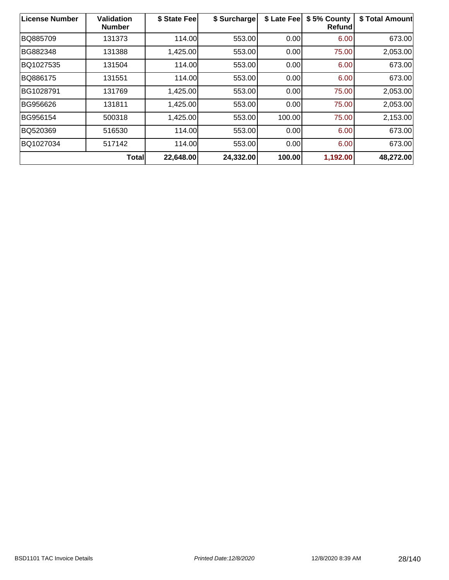| <b>License Number</b> | <b>Validation</b><br><b>Number</b> | \$ State Fee | \$ Surcharge | \$ Late Fee | \$5% County<br><b>Refund</b> | \$ Total Amount |
|-----------------------|------------------------------------|--------------|--------------|-------------|------------------------------|-----------------|
| BQ885709              | 131373                             | 114.00       | 553.00       | 0.00        | 6.00                         | 673.00          |
| BG882348              | 131388                             | 1,425.00     | 553.00       | 0.00        | 75.00                        | 2,053.00        |
| BQ1027535             | 131504                             | 114.00       | 553.00       | 0.00        | 6.00                         | 673.00          |
| BQ886175              | 131551                             | 114.00       | 553.00       | 0.00        | 6.00                         | 673.00          |
| BG1028791             | 131769                             | 1,425.00     | 553.00       | 0.00        | 75.00                        | 2,053.00        |
| BG956626              | 131811                             | 1,425.00     | 553.00       | 0.00        | 75.00                        | 2,053.00        |
| BG956154              | 500318                             | 1,425.00     | 553.00       | 100.00      | 75.00                        | 2,153.00        |
| BQ520369              | 516530                             | 114.00       | 553.00       | 0.00        | 6.00                         | 673.00          |
| BQ1027034             | 517142                             | 114.00       | 553.00       | 0.00        | 6.00                         | 673.00          |
|                       | <b>Total</b>                       | 22,648.00    | 24,332.00    | 100.00      | 1,192.00                     | 48,272.00       |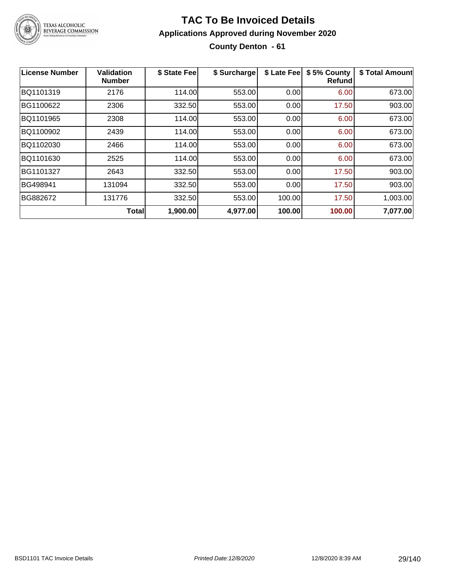

### **TAC To Be Invoiced Details Applications Approved during November 2020 County Denton - 61**

| <b>License Number</b> | <b>Validation</b><br><b>Number</b> | \$ State Fee | \$ Surcharge | \$ Late Fee | \$5% County<br>Refund | \$ Total Amount |
|-----------------------|------------------------------------|--------------|--------------|-------------|-----------------------|-----------------|
| BQ1101319             | 2176                               | 114.00       | 553.00       | 0.00        | 6.00                  | 673.00          |
| BG1100622             | 2306                               | 332.50       | 553.00       | 0.00        | 17.50                 | 903.00          |
| BQ1101965             | 2308                               | 114.00       | 553.00       | 0.00        | 6.00                  | 673.00          |
| BQ1100902             | 2439                               | 114.00       | 553.00       | 0.00        | 6.00                  | 673.00          |
| BQ1102030             | 2466                               | 114.00       | 553.00       | 0.00        | 6.00                  | 673.00          |
| BQ1101630             | 2525                               | 114.00       | 553.00       | 0.00        | 6.00                  | 673.00          |
| BG1101327             | 2643                               | 332.50       | 553.00       | 0.00        | 17.50                 | 903.00          |
| BG498941              | 131094                             | 332.50       | 553.00       | 0.00        | 17.50                 | 903.00          |
| BG882672              | 131776                             | 332.50       | 553.00       | 100.00      | 17.50                 | 1,003.00        |
|                       | <b>Total</b>                       | 1,900.00     | 4,977.00     | 100.00      | 100.00                | 7,077.00        |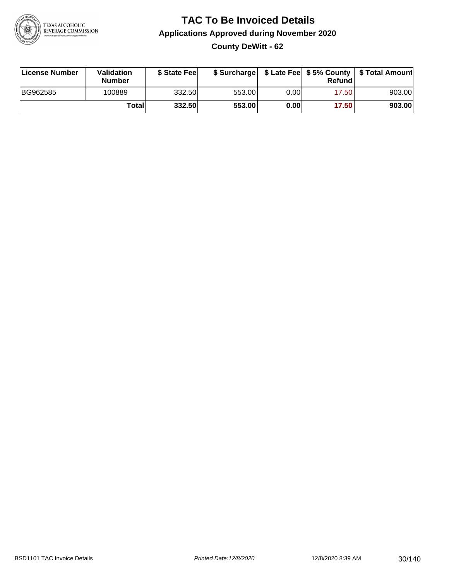

### **TAC To Be Invoiced Details Applications Approved during November 2020 County DeWitt - 62**

| License Number | <b>Validation</b><br><b>Number</b> | \$ State Feel |        |      | Refund | \$ Surcharge   \$ Late Fee   \$5% County   \$ Total Amount |
|----------------|------------------------------------|---------------|--------|------|--------|------------------------------------------------------------|
| BG962585       | 100889                             | 332.50        | 553.00 | 0.00 | 17.50  | 903.00                                                     |
|                | Totall                             | 332.50        | 553.00 | 0.00 | 17.50  | 903.00                                                     |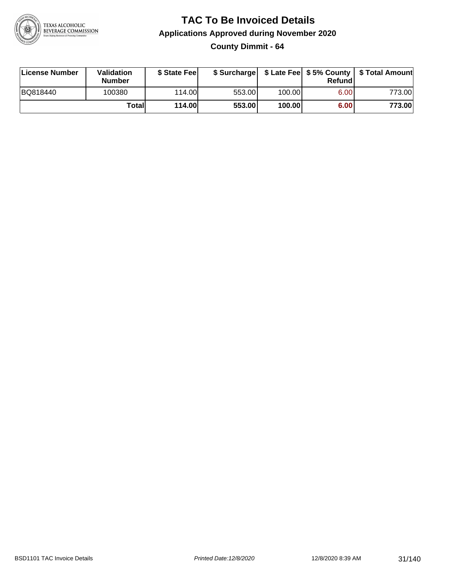

**County Dimmit - 64**

| License Number | Validation<br><b>Number</b> | \$ State Fee  | \$ Surcharge |        | Refundl | \$ Late Fee   \$5% County   \$ Total Amount |
|----------------|-----------------------------|---------------|--------------|--------|---------|---------------------------------------------|
| BQ818440       | 100380                      | 114.00        | 553.00       | 100.00 | 6.00    | 773.00                                      |
|                | Totall                      | <b>114.00</b> | 553.00       | 100.00 | 6.00    | 773.00                                      |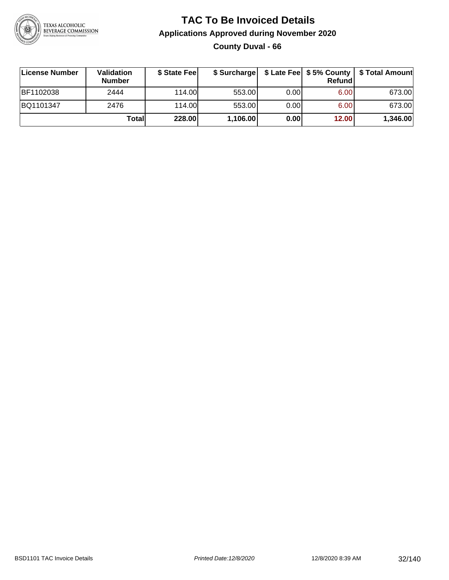

### **TAC To Be Invoiced Details Applications Approved during November 2020 County Duval - 66**

| ∣License Number | Validation<br><b>Number</b> | \$ State Fee | \$ Surcharge |      | Refundl | \$ Late Fee   \$5% County   \$ Total Amount |
|-----------------|-----------------------------|--------------|--------------|------|---------|---------------------------------------------|
| BF1102038       | 2444                        | 114.00L      | 553.00       | 0.00 | 6.00    | 673.00                                      |
| BQ1101347       | 2476                        | 114.00       | 553.00       | 0.00 | 6.00    | 673.00                                      |
|                 | Totall                      | 228.00       | 1,106.00     | 0.00 | 12.00   | 1,346.00                                    |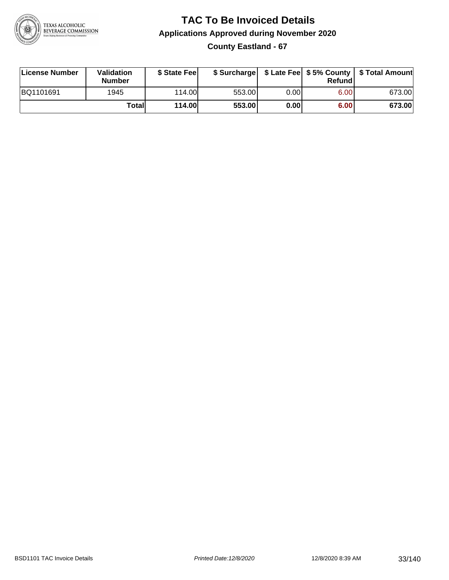

**County Eastland - 67**

| License Number | Validation<br><b>Number</b> | \$ State Feel | \$ Surcharge |      | Refund | \$ Late Fee   \$5% County   \$ Total Amount |
|----------------|-----------------------------|---------------|--------------|------|--------|---------------------------------------------|
| BQ1101691      | 1945                        | 114.00        | 553.00       | 0.00 | 6.00   | 673.00                                      |
|                | Totall                      | <b>114.00</b> | 553.00       | 0.00 | 6.00   | 673.00                                      |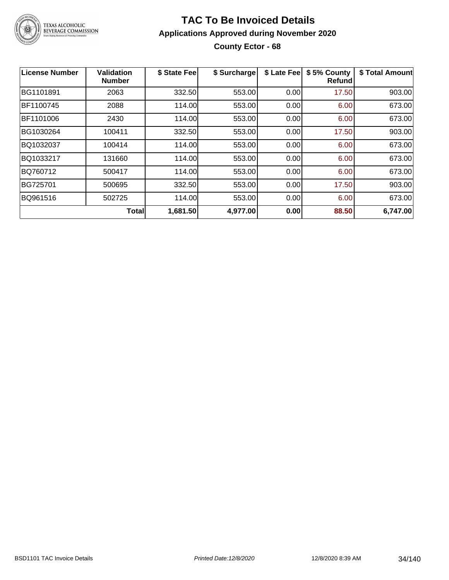

### **TAC To Be Invoiced Details Applications Approved during November 2020 County Ector - 68**

| License Number | <b>Validation</b><br><b>Number</b> | \$ State Fee | \$ Surcharge | \$ Late Fee | \$5% County<br>Refundl | \$ Total Amount |
|----------------|------------------------------------|--------------|--------------|-------------|------------------------|-----------------|
| BG1101891      | 2063                               | 332.50       | 553.00       | 0.00        | 17.50                  | 903.00          |
| BF1100745      | 2088                               | 114.00       | 553.00       | 0.00        | 6.00                   | 673.00          |
| BF1101006      | 2430                               | 114.00       | 553.00       | 0.00        | 6.00                   | 673.00          |
| BG1030264      | 100411                             | 332.50       | 553.00       | 0.00        | 17.50                  | 903.00          |
| BQ1032037      | 100414                             | 114.00       | 553.00       | 0.00        | 6.00                   | 673.00          |
| BQ1033217      | 131660                             | 114.00       | 553.00       | 0.00        | 6.00                   | 673.00          |
| BQ760712       | 500417                             | 114.00       | 553.00       | 0.00        | 6.00                   | 673.00          |
| BG725701       | 500695                             | 332.50       | 553.00       | 0.00        | 17.50                  | 903.00          |
| BQ961516       | 502725                             | 114.00       | 553.00       | 0.00        | 6.00                   | 673.00          |
|                | <b>Total</b>                       | 1,681.50     | 4,977.00     | 0.00        | 88.50                  | 6,747.00        |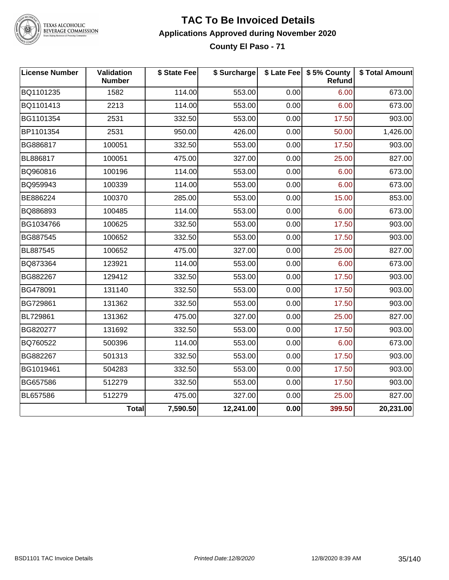

#### **TAC To Be Invoiced Details Applications Approved during November 2020 County El Paso - 71**

| <b>License Number</b> | Validation<br><b>Number</b> | \$ State Fee | \$ Surcharge |      | \$ Late Fee   \$5% County<br>Refund | \$ Total Amount |
|-----------------------|-----------------------------|--------------|--------------|------|-------------------------------------|-----------------|
| BQ1101235             | 1582                        | 114.00       | 553.00       | 0.00 | 6.00                                | 673.00          |
| BQ1101413             | 2213                        | 114.00       | 553.00       | 0.00 | 6.00                                | 673.00          |
| BG1101354             | 2531                        | 332.50       | 553.00       | 0.00 | 17.50                               | 903.00          |
| BP1101354             | 2531                        | 950.00       | 426.00       | 0.00 | 50.00                               | 1,426.00        |
| BG886817              | 100051                      | 332.50       | 553.00       | 0.00 | 17.50                               | 903.00          |
| BL886817              | 100051                      | 475.00       | 327.00       | 0.00 | 25.00                               | 827.00          |
| BQ960816              | 100196                      | 114.00       | 553.00       | 0.00 | 6.00                                | 673.00          |
| BQ959943              | 100339                      | 114.00       | 553.00       | 0.00 | 6.00                                | 673.00          |
| BE886224              | 100370                      | 285.00       | 553.00       | 0.00 | 15.00                               | 853.00          |
| BQ886893              | 100485                      | 114.00       | 553.00       | 0.00 | 6.00                                | 673.00          |
| BG1034766             | 100625                      | 332.50       | 553.00       | 0.00 | 17.50                               | 903.00          |
| BG887545              | 100652                      | 332.50       | 553.00       | 0.00 | 17.50                               | 903.00          |
| BL887545              | 100652                      | 475.00       | 327.00       | 0.00 | 25.00                               | 827.00          |
| BQ873364              | 123921                      | 114.00       | 553.00       | 0.00 | 6.00                                | 673.00          |
| BG882267              | 129412                      | 332.50       | 553.00       | 0.00 | 17.50                               | 903.00          |
| BG478091              | 131140                      | 332.50       | 553.00       | 0.00 | 17.50                               | 903.00          |
| BG729861              | 131362                      | 332.50       | 553.00       | 0.00 | 17.50                               | 903.00          |
| BL729861              | 131362                      | 475.00       | 327.00       | 0.00 | 25.00                               | 827.00          |
| BG820277              | 131692                      | 332.50       | 553.00       | 0.00 | 17.50                               | 903.00          |
| BQ760522              | 500396                      | 114.00       | 553.00       | 0.00 | 6.00                                | 673.00          |
| BG882267              | 501313                      | 332.50       | 553.00       | 0.00 | 17.50                               | 903.00          |
| BG1019461             | 504283                      | 332.50       | 553.00       | 0.00 | 17.50                               | 903.00          |
| BG657586              | 512279                      | 332.50       | 553.00       | 0.00 | 17.50                               | 903.00          |
| BL657586              | 512279                      | 475.00       | 327.00       | 0.00 | 25.00                               | 827.00          |
|                       | <b>Total</b>                | 7,590.50     | 12,241.00    | 0.00 | 399.50                              | 20,231.00       |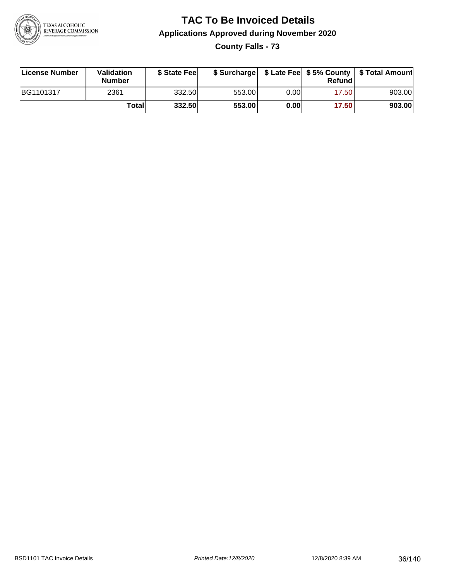

**County Falls - 73**

| License Number | Validation<br><b>Number</b> | \$ State Fee | \$ Surcharge |      | Refundl | \$ Late Fee   \$5% County   \$ Total Amount |
|----------------|-----------------------------|--------------|--------------|------|---------|---------------------------------------------|
| BG1101317      | 2361                        | 332.50       | 553.00       | 0.00 | 17.50   | 903.00                                      |
|                | Totall                      | 332.50       | 553.00       | 0.00 | 17.50   | 903.00                                      |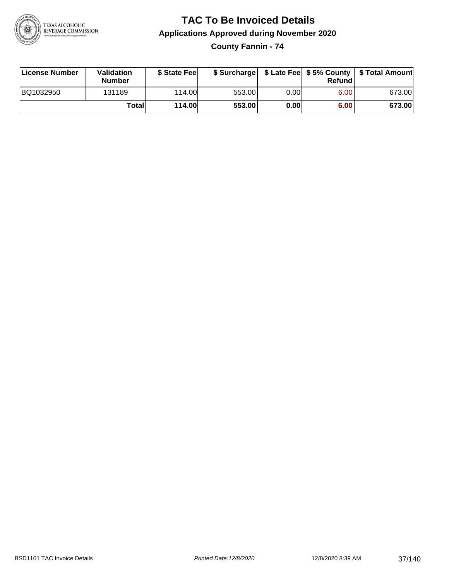

**County Fannin - 74**

| License Number | Validation<br><b>Number</b> | \$ State Fee  | \$ Surcharge |      | Refundl | \$ Late Fee   \$5% County   \$ Total Amount |
|----------------|-----------------------------|---------------|--------------|------|---------|---------------------------------------------|
| BQ1032950      | 131189                      | 114.00        | 553.00       | 0.00 | 6.00    | 673.00                                      |
|                | Totall                      | <b>114.00</b> | 553.00       | 0.00 | 6.00    | 673.00                                      |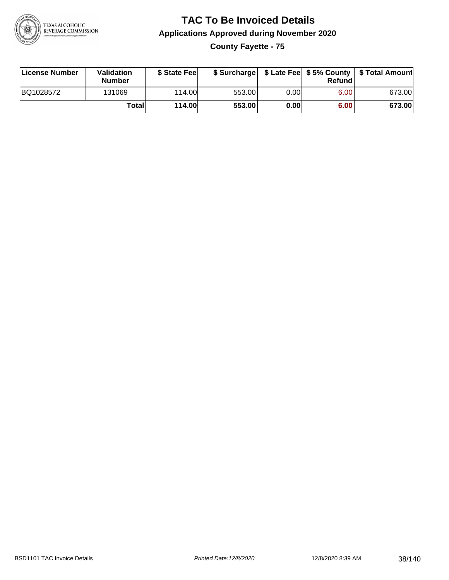

**County Fayette - 75**

| License Number | Validation<br><b>Number</b> | \$ State Feel | \$ Surcharge |      | Refundl | \$ Late Fee   \$5% County   \$ Total Amount |
|----------------|-----------------------------|---------------|--------------|------|---------|---------------------------------------------|
| BQ1028572      | 131069                      | 114.00L       | 553.00       | 0.00 | 6.00    | 673.00                                      |
|                | Totall                      | <b>114.00</b> | 553.00       | 0.00 | 6.00    | 673.00                                      |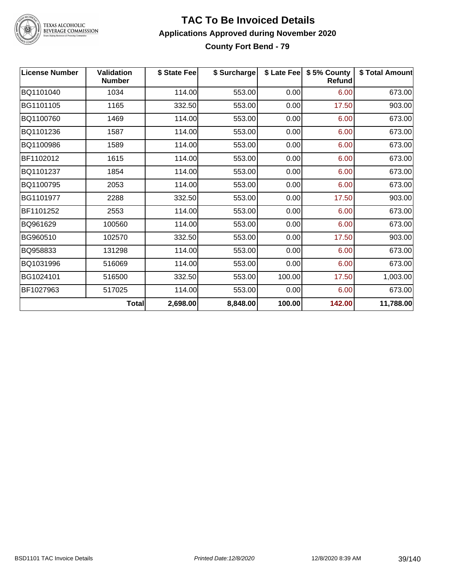

TEXAS ALCOHOLIC<br>BEVERAGE COMMISSION

#### **TAC To Be Invoiced Details Applications Approved during November 2020 County Fort Bend - 79**

| <b>License Number</b> | <b>Validation</b><br><b>Number</b> | \$ State Fee | \$ Surcharge |        | \$ Late Fee   \$5% County<br>Refund | \$ Total Amount |
|-----------------------|------------------------------------|--------------|--------------|--------|-------------------------------------|-----------------|
| BQ1101040             | 1034                               | 114.00       | 553.00       | 0.00   | 6.00                                | 673.00          |
| BG1101105             | 1165                               | 332.50       | 553.00       | 0.00   | 17.50                               | 903.00          |
| BQ1100760             | 1469                               | 114.00       | 553.00       | 0.00   | 6.00                                | 673.00          |
| BQ1101236             | 1587                               | 114.00       | 553.00       | 0.00   | 6.00                                | 673.00          |
| BQ1100986             | 1589                               | 114.00       | 553.00       | 0.00   | 6.00                                | 673.00          |
| BF1102012             | 1615                               | 114.00       | 553.00       | 0.00   | 6.00                                | 673.00          |
| BQ1101237             | 1854                               | 114.00       | 553.00       | 0.00   | 6.00                                | 673.00          |
| BQ1100795             | 2053                               | 114.00       | 553.00       | 0.00   | 6.00                                | 673.00          |
| BG1101977             | 2288                               | 332.50       | 553.00       | 0.00   | 17.50                               | 903.00          |
| BF1101252             | 2553                               | 114.00       | 553.00       | 0.00   | 6.00                                | 673.00          |
| BQ961629              | 100560                             | 114.00       | 553.00       | 0.00   | 6.00                                | 673.00          |
| BG960510              | 102570                             | 332.50       | 553.00       | 0.00   | 17.50                               | 903.00          |
| BQ958833              | 131298                             | 114.00       | 553.00       | 0.00   | 6.00                                | 673.00          |
| BQ1031996             | 516069                             | 114.00       | 553.00       | 0.00   | 6.00                                | 673.00          |
| BG1024101             | 516500                             | 332.50       | 553.00       | 100.00 | 17.50                               | 1,003.00        |
| BF1027963             | 517025                             | 114.00       | 553.00       | 0.00   | 6.00                                | 673.00          |
|                       | Total                              | 2,698.00     | 8,848.00     | 100.00 | 142.00                              | 11,788.00       |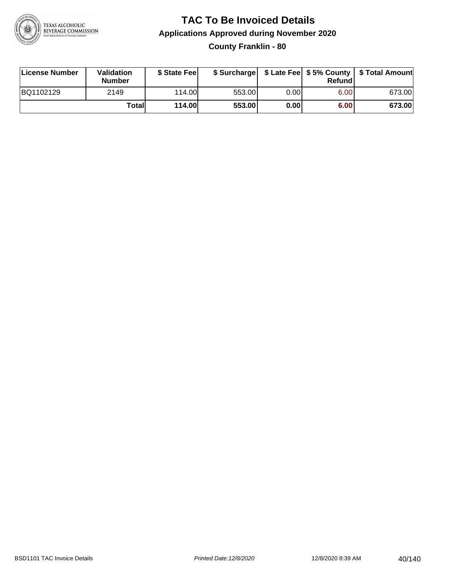

#### **TAC To Be Invoiced Details Applications Approved during November 2020 County Franklin - 80**

| License Number | Validation<br><b>Number</b> | \$ State Fee  |        |      | Refund | \$ Surcharge   \$ Late Fee   \$5% County   \$ Total Amount |
|----------------|-----------------------------|---------------|--------|------|--------|------------------------------------------------------------|
| BQ1102129      | 2149                        | 114.00L       | 553.00 | 0.00 | 6.00   | 673.00                                                     |
|                | Totall                      | <b>114.00</b> | 553.00 | 0.00 | 6.00   | 673.00                                                     |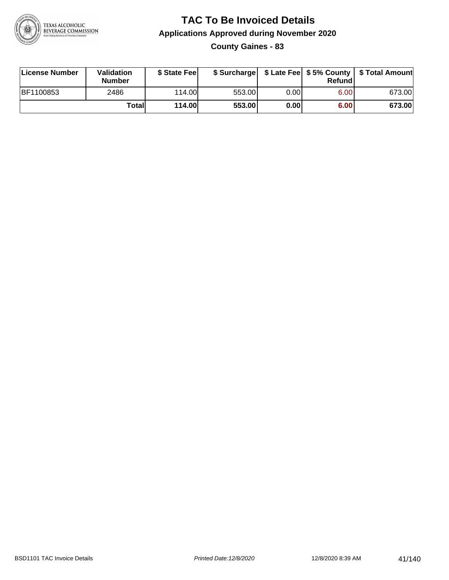

**County Gaines - 83**

| License Number | Validation<br><b>Number</b> | \$ State Fee  | \$ Surcharge |      | Refund | \$ Late Fee   \$5% County   \$ Total Amount |
|----------------|-----------------------------|---------------|--------------|------|--------|---------------------------------------------|
| BF1100853      | 2486                        | 114.00        | 553.00       | 0.00 | 6.00   | 673.00                                      |
|                | Totall                      | <b>114.00</b> | 553.00       | 0.00 | 6.00   | 673.00                                      |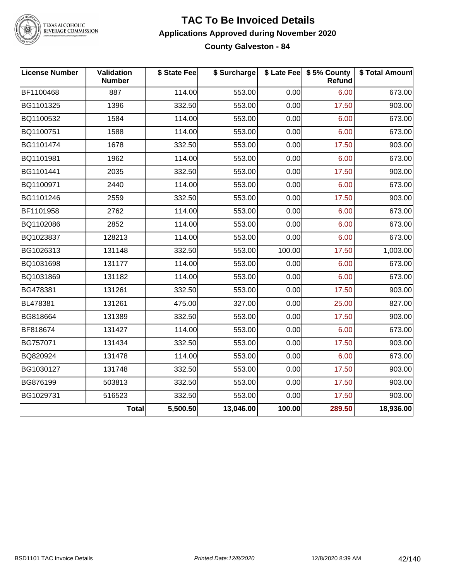

TEXAS ALCOHOLIC<br>BEVERAGE COMMISSION

#### **TAC To Be Invoiced Details Applications Approved during November 2020 County Galveston - 84**

| <b>License Number</b> | <b>Validation</b><br><b>Number</b> | \$ State Fee | \$ Surcharge |        | \$ Late Fee   \$5% County<br>Refund | \$ Total Amount |
|-----------------------|------------------------------------|--------------|--------------|--------|-------------------------------------|-----------------|
| BF1100468             | 887                                | 114.00       | 553.00       | 0.00   | 6.00                                | 673.00          |
| BG1101325             | 1396                               | 332.50       | 553.00       | 0.00   | 17.50                               | 903.00          |
| BQ1100532             | 1584                               | 114.00       | 553.00       | 0.00   | 6.00                                | 673.00          |
| BQ1100751             | 1588                               | 114.00       | 553.00       | 0.00   | 6.00                                | 673.00          |
| BG1101474             | 1678                               | 332.50       | 553.00       | 0.00   | 17.50                               | 903.00          |
| BQ1101981             | 1962                               | 114.00       | 553.00       | 0.00   | 6.00                                | 673.00          |
| BG1101441             | 2035                               | 332.50       | 553.00       | 0.00   | 17.50                               | 903.00          |
| BQ1100971             | 2440                               | 114.00       | 553.00       | 0.00   | 6.00                                | 673.00          |
| BG1101246             | 2559                               | 332.50       | 553.00       | 0.00   | 17.50                               | 903.00          |
| BF1101958             | 2762                               | 114.00       | 553.00       | 0.00   | 6.00                                | 673.00          |
| BQ1102086             | 2852                               | 114.00       | 553.00       | 0.00   | 6.00                                | 673.00          |
| BQ1023837             | 128213                             | 114.00       | 553.00       | 0.00   | 6.00                                | 673.00          |
| BG1026313             | 131148                             | 332.50       | 553.00       | 100.00 | 17.50                               | 1,003.00        |
| BQ1031698             | 131177                             | 114.00       | 553.00       | 0.00   | 6.00                                | 673.00          |
| BQ1031869             | 131182                             | 114.00       | 553.00       | 0.00   | 6.00                                | 673.00          |
| BG478381              | 131261                             | 332.50       | 553.00       | 0.00   | 17.50                               | 903.00          |
| BL478381              | 131261                             | 475.00       | 327.00       | 0.00   | 25.00                               | 827.00          |
| BG818664              | 131389                             | 332.50       | 553.00       | 0.00   | 17.50                               | 903.00          |
| BF818674              | 131427                             | 114.00       | 553.00       | 0.00   | 6.00                                | 673.00          |
| BG757071              | 131434                             | 332.50       | 553.00       | 0.00   | 17.50                               | 903.00          |
| BQ820924              | 131478                             | 114.00       | 553.00       | 0.00   | 6.00                                | 673.00          |
| BG1030127             | 131748                             | 332.50       | 553.00       | 0.00   | 17.50                               | 903.00          |
| BG876199              | 503813                             | 332.50       | 553.00       | 0.00   | 17.50                               | 903.00          |
| BG1029731             | 516523                             | 332.50       | 553.00       | 0.00   | 17.50                               | 903.00          |
|                       | <b>Total</b>                       | 5,500.50     | 13,046.00    | 100.00 | 289.50                              | 18,936.00       |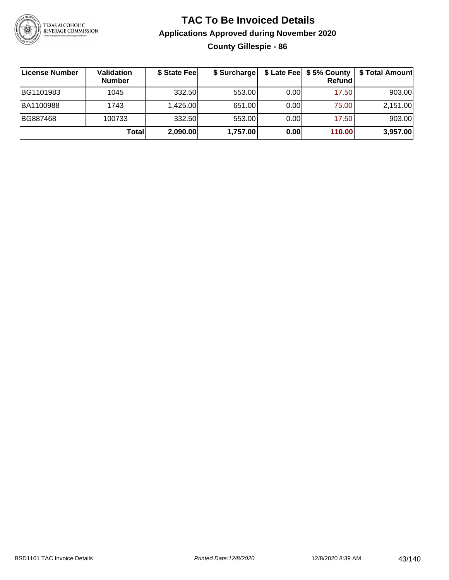

#### **TAC To Be Invoiced Details Applications Approved during November 2020 County Gillespie - 86**

| ∣License Number | Validation<br><b>Number</b> | \$ State Feel | \$ Surcharge |      | Refundl | \$ Late Fee   \$5% County   \$ Total Amount |
|-----------------|-----------------------------|---------------|--------------|------|---------|---------------------------------------------|
| BG1101983       | 1045                        | 332.50        | 553.00       | 0.00 | 17.50   | 903.00                                      |
| BA1100988       | 1743                        | 1,425.00      | 651.00       | 0.00 | 75.00   | 2,151.00                                    |
| BG887468        | 100733                      | 332.50        | 553.00       | 0.00 | 17.50   | 903.00                                      |
|                 | Totall                      | 2,090.00      | 1,757.00     | 0.00 | 110.00  | 3,957.00                                    |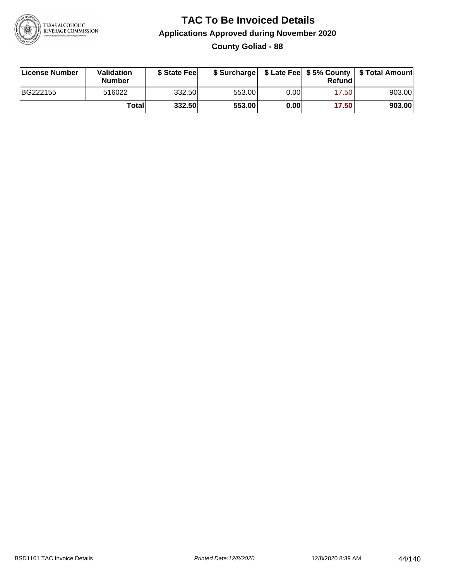

**County Goliad - 88**

| License Number | Validation<br><b>Number</b> | \$ State Fee | \$ Surcharge |       | Refundl |        |
|----------------|-----------------------------|--------------|--------------|-------|---------|--------|
| BG222155       | 516022                      | 332.50       | 553.00       | 0.001 | 17.50   | 903.00 |
|                | Totall                      | 332.50       | 553.00       | 0.00  | 17.50   | 903.00 |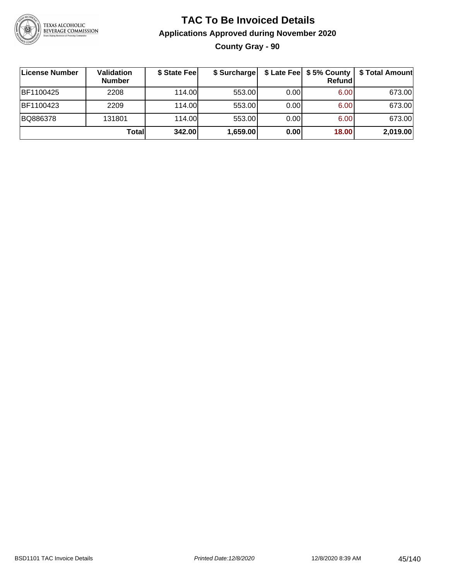

#### **TAC To Be Invoiced Details Applications Approved during November 2020 County Gray - 90**

| License Number | Validation<br><b>Number</b> | \$ State Fee | \$ Surcharge |      | $$$ Late Fee $$$ \$ 5% County<br>Refundl | \$ Total Amount |
|----------------|-----------------------------|--------------|--------------|------|------------------------------------------|-----------------|
| BF1100425      | 2208                        | 114.00       | 553.00       | 0.00 | 6.00                                     | 673.00          |
| IBF1100423     | 2209                        | 114.00       | 553.00       | 0.00 | 6.00                                     | 673.00          |
| BQ886378       | 131801                      | 114.00       | 553.00       | 0.00 | 6.00                                     | 673.00          |
|                | Total                       | 342.00       | 1,659.00     | 0.00 | 18.00                                    | 2,019.00        |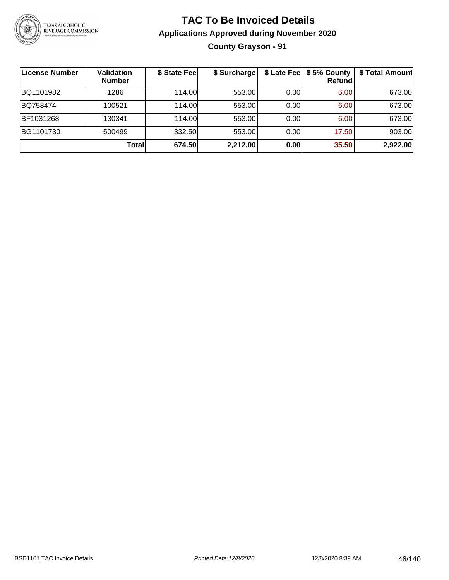

#### **TAC To Be Invoiced Details Applications Approved during November 2020 County Grayson - 91**

| License Number | <b>Validation</b><br><b>Number</b> | \$ State Fee | \$ Surcharge |      | \$ Late Fee   \$5% County<br>Refundl | \$ Total Amount |
|----------------|------------------------------------|--------------|--------------|------|--------------------------------------|-----------------|
| BQ1101982      | 1286                               | 114.00       | 553.00       | 0.00 | 6.00                                 | 673.00          |
| BQ758474       | 100521                             | 114.00L      | 553.00       | 0.00 | 6.00                                 | 673.00          |
| BF1031268      | 130341                             | 114.00       | 553.00       | 0.00 | 6.00                                 | 673.00          |
| BG1101730      | 500499                             | 332.50       | 553.00       | 0.00 | 17.50                                | 903.00          |
|                | <b>Total</b>                       | 674.50       | 2,212.00     | 0.00 | 35.50                                | 2,922.00        |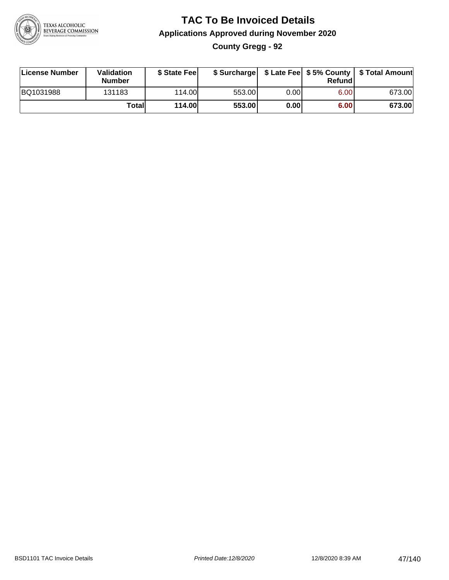

#### **TAC To Be Invoiced Details Applications Approved during November 2020 County Gregg - 92**

| License Number | <b>Validation</b><br><b>Number</b> | \$ State Fee  |        |      | Refund | \$ Surcharge   \$ Late Fee   \$5% County   \$ Total Amount |
|----------------|------------------------------------|---------------|--------|------|--------|------------------------------------------------------------|
| BQ1031988      | 131183                             | 114.00        | 553.00 | 0.00 | 6.00   | 673.00                                                     |
|                | Totall                             | <b>114.00</b> | 553.00 | 0.00 | 6.00   | 673.00                                                     |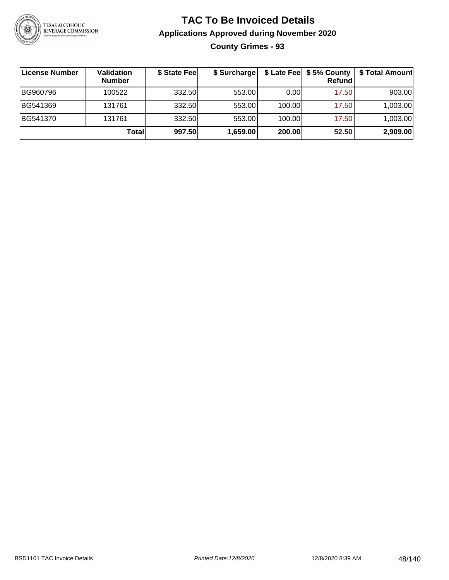

**County Grimes - 93**

| License Number | Validation<br><b>Number</b> | \$ State Fee | \$ Surcharge |        | Refundl | \$ Late Fee   \$5% County   \$ Total Amount |
|----------------|-----------------------------|--------------|--------------|--------|---------|---------------------------------------------|
| BG960796       | 100522                      | 332.50       | 553.00       | 0.00   | 17.50   | 903.00                                      |
| BG541369       | 131761                      | 332.50       | 553.00       | 100.00 | 17.50   | 1,003.00                                    |
| BG541370       | 131761                      | 332.50       | 553.00       | 100.00 | 17.50   | 1,003.00                                    |
|                | Total                       | 997.50       | 1,659.00     | 200.00 | 52.50   | 2,909.00                                    |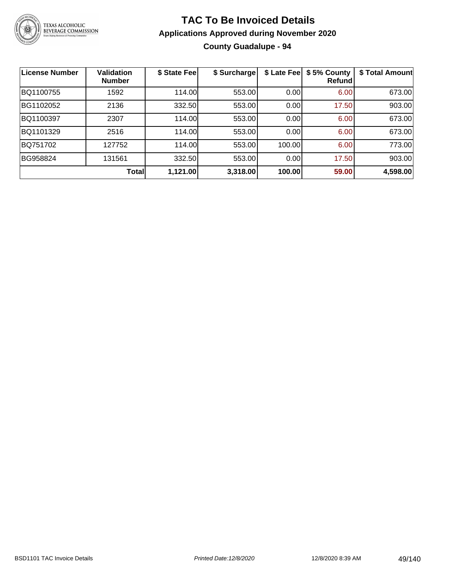

#### **TAC To Be Invoiced Details Applications Approved during November 2020 County Guadalupe - 94**

| <b>License Number</b> | <b>Validation</b><br><b>Number</b> | \$ State Fee | \$ Surcharge | \$ Late Fee | \$5% County<br>Refund | \$ Total Amount |
|-----------------------|------------------------------------|--------------|--------------|-------------|-----------------------|-----------------|
| BQ1100755             | 1592                               | 114.00       | 553.00       | 0.00        | 6.00                  | 673.00          |
| BG1102052             | 2136                               | 332.50       | 553.00       | 0.00        | 17.50                 | 903.00          |
| BQ1100397             | 2307                               | 114.00       | 553.00       | 0.00        | 6.00                  | 673.00          |
| BQ1101329             | 2516                               | 114.00       | 553.00       | 0.00        | 6.00                  | 673.00          |
| BQ751702              | 127752                             | 114.00       | 553.00       | 100.00      | 6.00                  | 773.00          |
| BG958824              | 131561                             | 332.50       | 553.00       | 0.00        | 17.50                 | 903.00          |
|                       | <b>Total</b>                       | 1,121.00     | 3,318.00     | 100.00      | 59.00                 | 4,598.00        |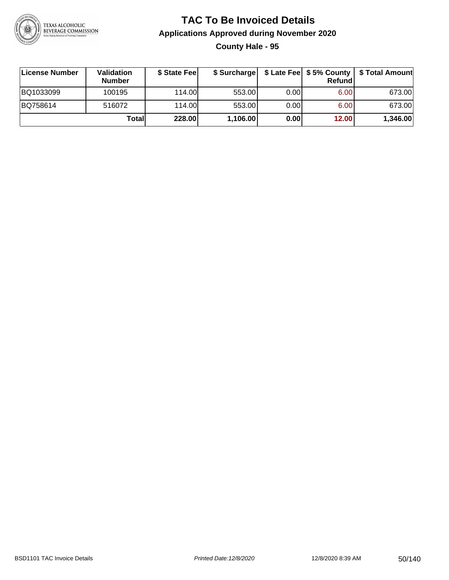

#### **TAC To Be Invoiced Details Applications Approved during November 2020 County Hale - 95**

| License Number | Validation<br><b>Number</b> | \$ State Feel |          |       | Refund | \$ Surcharge   \$ Late Fee   \$5% County   \$ Total Amount |
|----------------|-----------------------------|---------------|----------|-------|--------|------------------------------------------------------------|
| BQ1033099      | 100195                      | 114.00L       | 553.00   | 0.00  | 6.00   | 673.00                                                     |
| BQ758614       | 516072                      | 114.00        | 553.00   | 0.001 | 6.00   | 673.00                                                     |
|                | Totall                      | 228.00        | 1,106.00 | 0.00  | 12.00  | 1,346.00                                                   |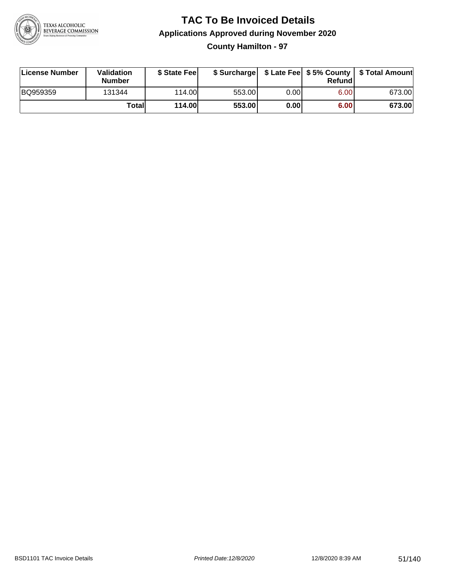

**County Hamilton - 97**

| License Number | Validation<br><b>Number</b> | \$ State Feel | \$ Surcharge |       | Refundl | \$ Late Fee   \$5% County   \$ Total Amount |
|----------------|-----------------------------|---------------|--------------|-------|---------|---------------------------------------------|
| BQ959359       | 131344                      | 114.00        | 553.00       | 0.001 | 6.00    | 673.00                                      |
|                | Totall                      | <b>114.00</b> | 553.00       | 0.00  | 6.00    | 673.00                                      |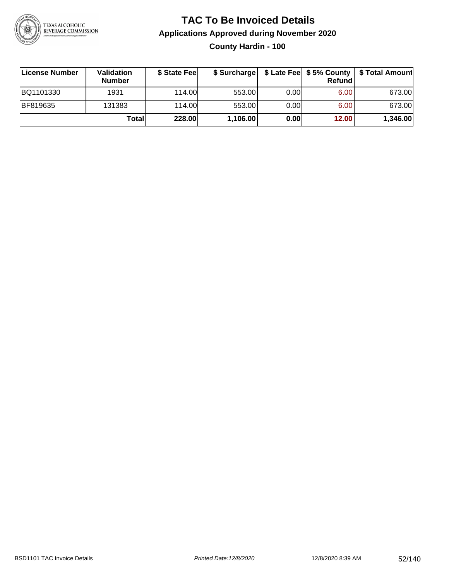

#### **TAC To Be Invoiced Details Applications Approved during November 2020 County Hardin - 100**

| ∣License Number | <b>Validation</b><br><b>Number</b> | \$ State Fee | \$ Surcharge |       | <b>Refund</b> |          |
|-----------------|------------------------------------|--------------|--------------|-------|---------------|----------|
| BQ1101330       | 1931                               | 114.00L      | 553.00       | 0.001 | 6.00          | 673.00   |
| BF819635        | 131383                             | 114.00       | 553.00       | 0.001 | 6.00          | 673.00   |
|                 | Totall                             | 228.00       | 1,106.00     | 0.00  | 12.00         | 1,346.00 |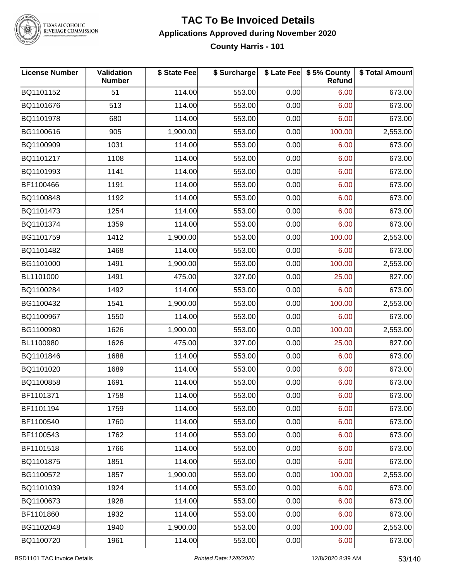

TEXAS ALCOHOLIC<br>BEVERAGE COMMISSION

#### **TAC To Be Invoiced Details Applications Approved during November 2020 County Harris - 101**

| <b>License Number</b> | Validation<br><b>Number</b> | \$ State Fee | \$ Surcharge |      | \$ Late Fee   \$5% County  <br>Refund | \$ Total Amount |
|-----------------------|-----------------------------|--------------|--------------|------|---------------------------------------|-----------------|
| BQ1101152             | 51                          | 114.00       | 553.00       | 0.00 | 6.00                                  | 673.00          |
| BQ1101676             | 513                         | 114.00       | 553.00       | 0.00 | 6.00                                  | 673.00          |
| BQ1101978             | 680                         | 114.00       | 553.00       | 0.00 | 6.00                                  | 673.00          |
| BG1100616             | 905                         | 1,900.00     | 553.00       | 0.00 | 100.00                                | 2,553.00        |
| BQ1100909             | 1031                        | 114.00       | 553.00       | 0.00 | 6.00                                  | 673.00          |
| BQ1101217             | 1108                        | 114.00       | 553.00       | 0.00 | 6.00                                  | 673.00          |
| BQ1101993             | 1141                        | 114.00       | 553.00       | 0.00 | 6.00                                  | 673.00          |
| BF1100466             | 1191                        | 114.00       | 553.00       | 0.00 | 6.00                                  | 673.00          |
| BQ1100848             | 1192                        | 114.00       | 553.00       | 0.00 | 6.00                                  | 673.00          |
| BQ1101473             | 1254                        | 114.00       | 553.00       | 0.00 | 6.00                                  | 673.00          |
| BQ1101374             | 1359                        | 114.00       | 553.00       | 0.00 | 6.00                                  | 673.00          |
| BG1101759             | 1412                        | 1,900.00     | 553.00       | 0.00 | 100.00                                | 2,553.00        |
| BQ1101482             | 1468                        | 114.00       | 553.00       | 0.00 | 6.00                                  | 673.00          |
| BG1101000             | 1491                        | 1,900.00     | 553.00       | 0.00 | 100.00                                | 2,553.00        |
| BL1101000             | 1491                        | 475.00       | 327.00       | 0.00 | 25.00                                 | 827.00          |
| BQ1100284             | 1492                        | 114.00       | 553.00       | 0.00 | 6.00                                  | 673.00          |
| BG1100432             | 1541                        | 1,900.00     | 553.00       | 0.00 | 100.00                                | 2,553.00        |
| BQ1100967             | 1550                        | 114.00       | 553.00       | 0.00 | 6.00                                  | 673.00          |
| BG1100980             | 1626                        | 1,900.00     | 553.00       | 0.00 | 100.00                                | 2,553.00        |
| BL1100980             | 1626                        | 475.00       | 327.00       | 0.00 | 25.00                                 | 827.00          |
| BQ1101846             | 1688                        | 114.00       | 553.00       | 0.00 | 6.00                                  | 673.00          |
| BQ1101020             | 1689                        | 114.00       | 553.00       | 0.00 | 6.00                                  | 673.00          |
| BQ1100858             | 1691                        | 114.00       | 553.00       | 0.00 | 6.00                                  | 673.00          |
| BF1101371             | 1758                        | 114.00       | 553.00       | 0.00 | 6.00                                  | 673.00          |
| BF1101194             | 1759                        | 114.00       | 553.00       | 0.00 | 6.00                                  | 673.00          |
| BF1100540             | 1760                        | 114.00       | 553.00       | 0.00 | 6.00                                  | 673.00          |
| BF1100543             | 1762                        | 114.00       | 553.00       | 0.00 | 6.00                                  | 673.00          |
| BF1101518             | 1766                        | 114.00       | 553.00       | 0.00 | 6.00                                  | 673.00          |
| BQ1101875             | 1851                        | 114.00       | 553.00       | 0.00 | 6.00                                  | 673.00          |
| BG1100572             | 1857                        | 1,900.00     | 553.00       | 0.00 | 100.00                                | 2,553.00        |
| BQ1101039             | 1924                        | 114.00       | 553.00       | 0.00 | 6.00                                  | 673.00          |
| BQ1100673             | 1928                        | 114.00       | 553.00       | 0.00 | 6.00                                  | 673.00          |
| BF1101860             | 1932                        | 114.00       | 553.00       | 0.00 | 6.00                                  | 673.00          |
| BG1102048             | 1940                        | 1,900.00     | 553.00       | 0.00 | 100.00                                | 2,553.00        |
| BQ1100720             | 1961                        | 114.00       | 553.00       | 0.00 | 6.00                                  | 673.00          |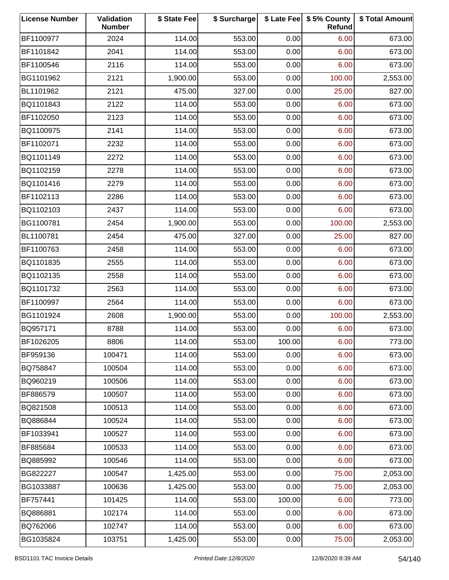| <b>License Number</b> | Validation<br><b>Number</b> | \$ State Fee | \$ Surcharge |        | \$ Late Fee   \$5% County<br>Refund | \$ Total Amount |
|-----------------------|-----------------------------|--------------|--------------|--------|-------------------------------------|-----------------|
| BF1100977             | 2024                        | 114.00       | 553.00       | 0.00   | 6.00                                | 673.00          |
| BF1101842             | 2041                        | 114.00       | 553.00       | 0.00   | 6.00                                | 673.00          |
| BF1100546             | 2116                        | 114.00       | 553.00       | 0.00   | 6.00                                | 673.00          |
| BG1101962             | 2121                        | 1,900.00     | 553.00       | 0.00   | 100.00                              | 2,553.00        |
| BL1101962             | 2121                        | 475.00       | 327.00       | 0.00   | 25.00                               | 827.00          |
| BQ1101843             | 2122                        | 114.00       | 553.00       | 0.00   | 6.00                                | 673.00          |
| BF1102050             | 2123                        | 114.00       | 553.00       | 0.00   | 6.00                                | 673.00          |
| BQ1100975             | 2141                        | 114.00       | 553.00       | 0.00   | 6.00                                | 673.00          |
| BF1102071             | 2232                        | 114.00       | 553.00       | 0.00   | 6.00                                | 673.00          |
| BQ1101149             | 2272                        | 114.00       | 553.00       | 0.00   | 6.00                                | 673.00          |
| BQ1102159             | 2278                        | 114.00       | 553.00       | 0.00   | 6.00                                | 673.00          |
| BQ1101416             | 2279                        | 114.00       | 553.00       | 0.00   | 6.00                                | 673.00          |
| BF1102113             | 2286                        | 114.00       | 553.00       | 0.00   | 6.00                                | 673.00          |
| BQ1102103             | 2437                        | 114.00       | 553.00       | 0.00   | 6.00                                | 673.00          |
| BG1100781             | 2454                        | 1,900.00     | 553.00       | 0.00   | 100.00                              | 2,553.00        |
| BL1100781             | 2454                        | 475.00       | 327.00       | 0.00   | 25.00                               | 827.00          |
| BF1100763             | 2458                        | 114.00       | 553.00       | 0.00   | 6.00                                | 673.00          |
| BQ1101835             | 2555                        | 114.00       | 553.00       | 0.00   | 6.00                                | 673.00          |
| BQ1102135             | 2558                        | 114.00       | 553.00       | 0.00   | 6.00                                | 673.00          |
| BQ1101732             | 2563                        | 114.00       | 553.00       | 0.00   | 6.00                                | 673.00          |
| BF1100997             | 2564                        | 114.00       | 553.00       | 0.00   | 6.00                                | 673.00          |
| BG1101924             | 2608                        | 1,900.00     | 553.00       | 0.00   | 100.00                              | 2,553.00        |
| BQ957171              | 8788                        | 114.00       | 553.00       | 0.00   | 6.00                                | 673.00          |
| BF1026205             | 8806                        | 114.00       | 553.00       | 100.00 | 6.00                                | 773.00          |
| BF959136              | 100471                      | 114.00       | 553.00       | 0.00   | 6.00                                | 673.00          |
| BQ758847              | 100504                      | 114.00       | 553.00       | 0.00   | 6.00                                | 673.00          |
| BQ960219              | 100506                      | 114.00       | 553.00       | 0.00   | 6.00                                | 673.00          |
| BF886579              | 100507                      | 114.00       | 553.00       | 0.00   | 6.00                                | 673.00          |
| BQ821508              | 100513                      | 114.00       | 553.00       | 0.00   | 6.00                                | 673.00          |
| BQ886844              | 100524                      | 114.00       | 553.00       | 0.00   | 6.00                                | 673.00          |
| BF1033941             | 100527                      | 114.00       | 553.00       | 0.00   | 6.00                                | 673.00          |
| BF885684              | 100533                      | 114.00       | 553.00       | 0.00   | 6.00                                | 673.00          |
| BQ885992              | 100546                      | 114.00       | 553.00       | 0.00   | 6.00                                | 673.00          |
| BG822227              | 100547                      | 1,425.00     | 553.00       | 0.00   | 75.00                               | 2,053.00        |
| BG1033887             | 100636                      | 1,425.00     | 553.00       | 0.00   | 75.00                               | 2,053.00        |
| BF757441              | 101425                      | 114.00       | 553.00       | 100.00 | 6.00                                | 773.00          |
| BQ886881              | 102174                      | 114.00       | 553.00       | 0.00   | 6.00                                | 673.00          |
| BQ762066              | 102747                      | 114.00       | 553.00       | 0.00   | 6.00                                | 673.00          |
| BG1035824             | 103751                      | 1,425.00     | 553.00       | 0.00   | 75.00                               | 2,053.00        |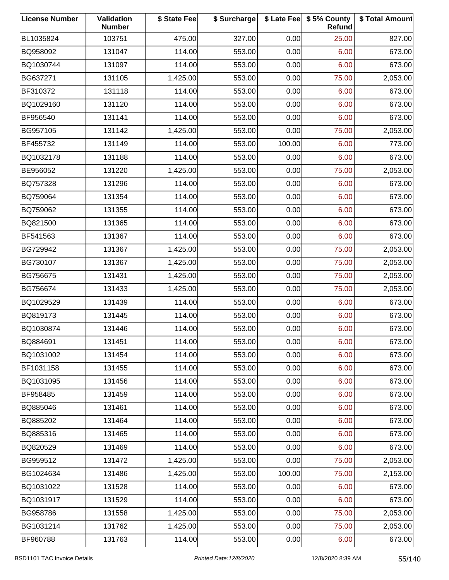| <b>License Number</b> | Validation<br><b>Number</b> | \$ State Fee | \$ Surcharge |        | \$ Late Fee   \$5% County<br>Refund | \$ Total Amount |
|-----------------------|-----------------------------|--------------|--------------|--------|-------------------------------------|-----------------|
| BL1035824             | 103751                      | 475.00       | 327.00       | 0.00   | 25.00                               | 827.00          |
| BQ958092              | 131047                      | 114.00       | 553.00       | 0.00   | 6.00                                | 673.00          |
| BQ1030744             | 131097                      | 114.00       | 553.00       | 0.00   | 6.00                                | 673.00          |
| BG637271              | 131105                      | 1,425.00     | 553.00       | 0.00   | 75.00                               | 2,053.00        |
| BF310372              | 131118                      | 114.00       | 553.00       | 0.00   | 6.00                                | 673.00          |
| BQ1029160             | 131120                      | 114.00       | 553.00       | 0.00   | 6.00                                | 673.00          |
| BF956540              | 131141                      | 114.00       | 553.00       | 0.00   | 6.00                                | 673.00          |
| BG957105              | 131142                      | 1,425.00     | 553.00       | 0.00   | 75.00                               | 2,053.00        |
| BF455732              | 131149                      | 114.00       | 553.00       | 100.00 | 6.00                                | 773.00          |
| BQ1032178             | 131188                      | 114.00       | 553.00       | 0.00   | 6.00                                | 673.00          |
| BE956052              | 131220                      | 1,425.00     | 553.00       | 0.00   | 75.00                               | 2,053.00        |
| BQ757328              | 131296                      | 114.00       | 553.00       | 0.00   | 6.00                                | 673.00          |
| BQ759064              | 131354                      | 114.00       | 553.00       | 0.00   | 6.00                                | 673.00          |
| BQ759062              | 131355                      | 114.00       | 553.00       | 0.00   | 6.00                                | 673.00          |
| BQ821500              | 131365                      | 114.00       | 553.00       | 0.00   | 6.00                                | 673.00          |
| BF541563              | 131367                      | 114.00       | 553.00       | 0.00   | 6.00                                | 673.00          |
| BG729942              | 131367                      | 1,425.00     | 553.00       | 0.00   | 75.00                               | 2,053.00        |
| BG730107              | 131367                      | 1,425.00     | 553.00       | 0.00   | 75.00                               | 2,053.00        |
| BG756675              | 131431                      | 1,425.00     | 553.00       | 0.00   | 75.00                               | 2,053.00        |
| BG756674              | 131433                      | 1,425.00     | 553.00       | 0.00   | 75.00                               | 2,053.00        |
| BQ1029529             | 131439                      | 114.00       | 553.00       | 0.00   | 6.00                                | 673.00          |
| BQ819173              | 131445                      | 114.00       | 553.00       | 0.00   | 6.00                                | 673.00          |
| BQ1030874             | 131446                      | 114.00       | 553.00       | 0.00   | 6.00                                | 673.00          |
| BQ884691              | 131451                      | 114.00       | 553.00       | 0.00   | 6.00                                | 673.00          |
| BQ1031002             | 131454                      | 114.00       | 553.00       | 0.00   | 6.00                                | 673.00          |
| BF1031158             | 131455                      | 114.00       | 553.00       | 0.00   | 6.00                                | 673.00          |
| BQ1031095             | 131456                      | 114.00       | 553.00       | 0.00   | 6.00                                | 673.00          |
| BF958485              | 131459                      | 114.00       | 553.00       | 0.00   | 6.00                                | 673.00          |
| BQ885046              | 131461                      | 114.00       | 553.00       | 0.00   | 6.00                                | 673.00          |
| BQ885202              | 131464                      | 114.00       | 553.00       | 0.00   | 6.00                                | 673.00          |
| BQ885316              | 131465                      | 114.00       | 553.00       | 0.00   | 6.00                                | 673.00          |
| BQ820529              | 131469                      | 114.00       | 553.00       | 0.00   | 6.00                                | 673.00          |
| BG959512              | 131472                      | 1,425.00     | 553.00       | 0.00   | 75.00                               | 2,053.00        |
| BG1024634             | 131486                      | 1,425.00     | 553.00       | 100.00 | 75.00                               | 2,153.00        |
| BQ1031022             | 131528                      | 114.00       | 553.00       | 0.00   | 6.00                                | 673.00          |
| BQ1031917             | 131529                      | 114.00       | 553.00       | 0.00   | 6.00                                | 673.00          |
| BG958786              | 131558                      | 1,425.00     | 553.00       | 0.00   | 75.00                               | 2,053.00        |
| BG1031214             | 131762                      | 1,425.00     | 553.00       | 0.00   | 75.00                               | 2,053.00        |
| BF960788              | 131763                      | 114.00       | 553.00       | 0.00   | 6.00                                | 673.00          |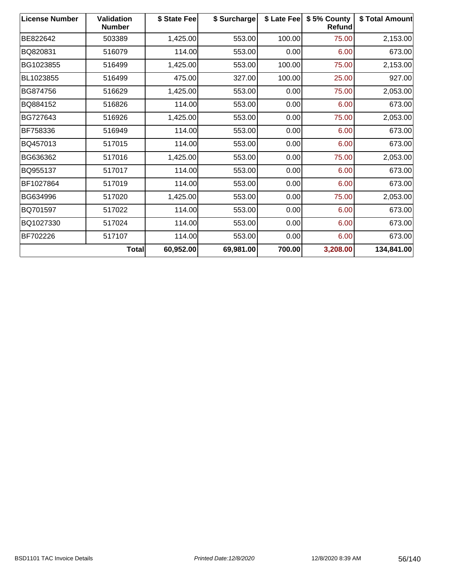| <b>License Number</b> | <b>Validation</b><br><b>Number</b> | \$ State Fee | \$ Surcharge | \$ Late Fee | \$5% County<br>Refund | \$ Total Amount |
|-----------------------|------------------------------------|--------------|--------------|-------------|-----------------------|-----------------|
| BE822642              | 503389                             | 1,425.00     | 553.00       | 100.00      | 75.00                 | 2,153.00        |
| BQ820831              | 516079                             | 114.00       | 553.00       | 0.00        | 6.00                  | 673.00          |
| BG1023855             | 516499                             | 1,425.00     | 553.00       | 100.00      | 75.00                 | 2,153.00        |
| BL1023855             | 516499                             | 475.00       | 327.00       | 100.00      | 25.00                 | 927.00          |
| <b>BG874756</b>       | 516629                             | 1,425.00     | 553.00       | 0.00        | 75.00                 | 2,053.00        |
| BQ884152              | 516826                             | 114.00       | 553.00       | 0.00        | 6.00                  | 673.00          |
| BG727643              | 516926                             | 1,425.00     | 553.00       | 0.00        | 75.00                 | 2,053.00        |
| BF758336              | 516949                             | 114.00       | 553.00       | 0.00        | 6.00                  | 673.00          |
| BQ457013              | 517015                             | 114.00       | 553.00       | 0.00        | 6.00                  | 673.00          |
| BG636362              | 517016                             | 1,425.00     | 553.00       | 0.00        | 75.00                 | 2,053.00        |
| BQ955137              | 517017                             | 114.00       | 553.00       | 0.00        | 6.00                  | 673.00          |
| BF1027864             | 517019                             | 114.00       | 553.00       | 0.00        | 6.00                  | 673.00          |
| BG634996              | 517020                             | 1,425.00     | 553.00       | 0.00        | 75.00                 | 2,053.00        |
| BQ701597              | 517022                             | 114.00       | 553.00       | 0.00        | 6.00                  | 673.00          |
| BQ1027330             | 517024                             | 114.00       | 553.00       | 0.00        | 6.00                  | 673.00          |
| BF702226              | 517107                             | 114.00       | 553.00       | 0.00        | 6.00                  | 673.00          |
|                       | Total                              | 60,952.00    | 69,981.00    | 700.00      | 3,208.00              | 134,841.00      |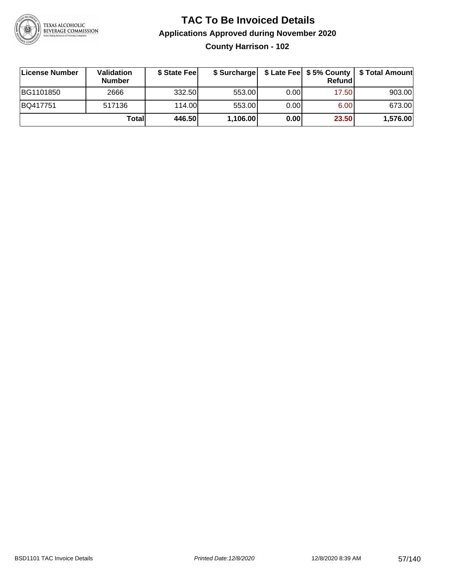

**County Harrison - 102**

| License Number | Validation<br><b>Number</b> | \$ State Fee |          |       | <b>Refund</b> | \$ Surcharge   \$ Late Fee   \$5% County   \$ Total Amount |
|----------------|-----------------------------|--------------|----------|-------|---------------|------------------------------------------------------------|
| BG1101850      | 2666                        | 332.50       | 553.00   | 0.001 | 17.50         | 903.00                                                     |
| BQ417751       | 517136                      | 114.00L      | 553.00   | 0.00  | 6.00          | 673.00                                                     |
|                | Totall                      | 446.50       | 1,106.00 | 0.00  | 23.50         | 1,576.00                                                   |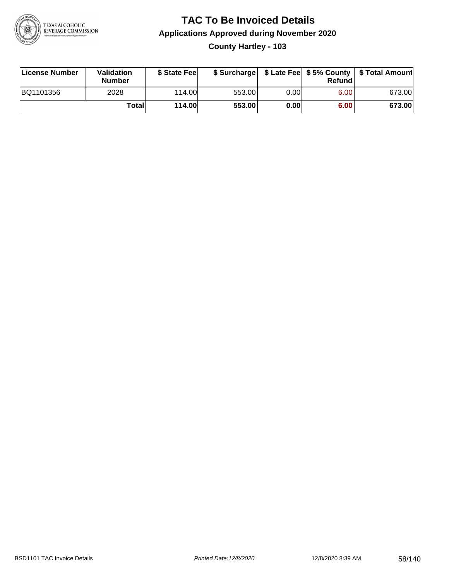

#### **TAC To Be Invoiced Details Applications Approved during November 2020 County Hartley - 103**

| License Number | <b>Validation</b><br><b>Number</b> | \$ State Feel |        |      | Refund | \$ Surcharge   \$ Late Fee   \$5% County   \$ Total Amount |
|----------------|------------------------------------|---------------|--------|------|--------|------------------------------------------------------------|
| BQ1101356      | 2028                               | 114.00L       | 553.00 | 0.00 | 6.00   | 673.00                                                     |
|                | Total                              | 114.00        | 553.00 | 0.00 | 6.00   | 673.00                                                     |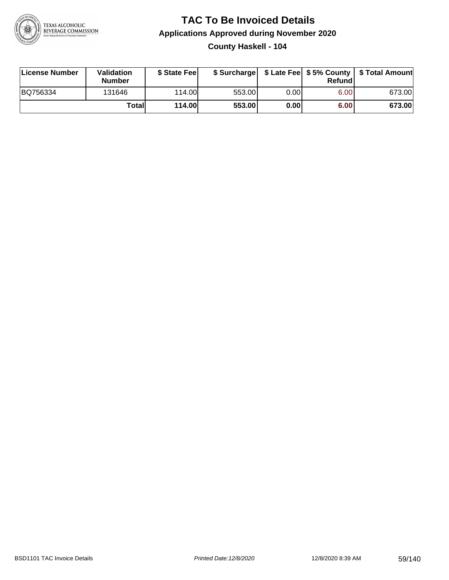

#### **TAC To Be Invoiced Details Applications Approved during November 2020 County Haskell - 104**

| License Number | Validation<br><b>Number</b> | \$ State Fee  |        |      | Refund | \$ Surcharge   \$ Late Fee   \$5% County   \$ Total Amount |
|----------------|-----------------------------|---------------|--------|------|--------|------------------------------------------------------------|
| BQ756334       | 131646                      | 114.00L       | 553.00 | 0.00 | 6.00   | 673.00                                                     |
|                | Totall                      | <b>114.00</b> | 553.00 | 0.00 | 6.00   | 673.00                                                     |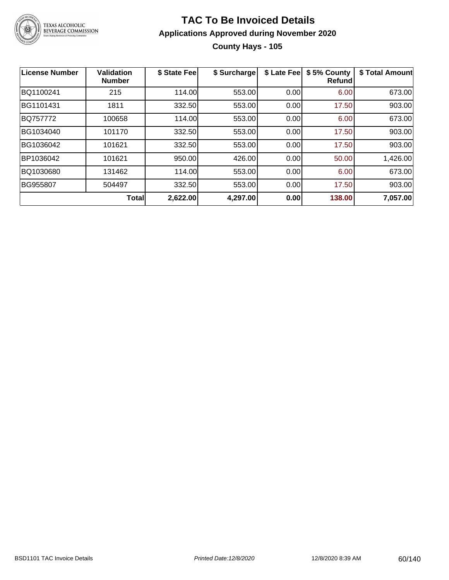

#### **TAC To Be Invoiced Details Applications Approved during November 2020 County Hays - 105**

| License Number | <b>Validation</b><br><b>Number</b> | \$ State Fee | \$ Surcharge | \$ Late Fee | \$5% County<br><b>Refund</b> | \$ Total Amount |
|----------------|------------------------------------|--------------|--------------|-------------|------------------------------|-----------------|
| BQ1100241      | 215                                | 114.00       | 553.00       | 0.00        | 6.00                         | 673.00          |
| BG1101431      | 1811                               | 332.50       | 553.00       | 0.00        | 17.50                        | 903.00          |
| BQ757772       | 100658                             | 114.00       | 553.00       | 0.00        | 6.00                         | 673.00          |
| BG1034040      | 101170                             | 332.50       | 553.00       | 0.00        | 17.50                        | 903.00          |
| BG1036042      | 101621                             | 332.50       | 553.00       | 0.00        | 17.50                        | 903.00          |
| BP1036042      | 101621                             | 950.00       | 426.00       | 0.00        | 50.00                        | 1,426.00        |
| BQ1030680      | 131462                             | 114.00       | 553.00       | 0.00        | 6.00                         | 673.00          |
| BG955807       | 504497                             | 332.50       | 553.00       | 0.00        | 17.50                        | 903.00          |
|                | Total                              | 2,622.00     | 4,297.00     | 0.00        | 138.00                       | 7,057.00        |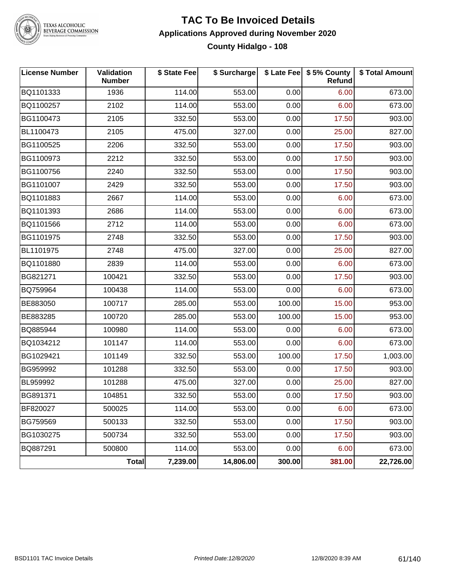

TEXAS ALCOHOLIC<br>BEVERAGE COMMISSION

#### **TAC To Be Invoiced Details Applications Approved during November 2020 County Hidalgo - 108**

| <b>License Number</b> | Validation<br><b>Number</b> | \$ State Fee | \$ Surcharge |        | \$ Late Fee   \$5% County<br>Refund | \$ Total Amount |
|-----------------------|-----------------------------|--------------|--------------|--------|-------------------------------------|-----------------|
| BQ1101333             | 1936                        | 114.00       | 553.00       | 0.00   | 6.00                                | 673.00          |
| BQ1100257             | 2102                        | 114.00       | 553.00       | 0.00   | 6.00                                | 673.00          |
| BG1100473             | 2105                        | 332.50       | 553.00       | 0.00   | 17.50                               | 903.00          |
| BL1100473             | 2105                        | 475.00       | 327.00       | 0.00   | 25.00                               | 827.00          |
| BG1100525             | 2206                        | 332.50       | 553.00       | 0.00   | 17.50                               | 903.00          |
| BG1100973             | 2212                        | 332.50       | 553.00       | 0.00   | 17.50                               | 903.00          |
| BG1100756             | 2240                        | 332.50       | 553.00       | 0.00   | 17.50                               | 903.00          |
| BG1101007             | 2429                        | 332.50       | 553.00       | 0.00   | 17.50                               | 903.00          |
| BQ1101883             | 2667                        | 114.00       | 553.00       | 0.00   | 6.00                                | 673.00          |
| BQ1101393             | 2686                        | 114.00       | 553.00       | 0.00   | 6.00                                | 673.00          |
| BQ1101566             | 2712                        | 114.00       | 553.00       | 0.00   | 6.00                                | 673.00          |
| BG1101975             | 2748                        | 332.50       | 553.00       | 0.00   | 17.50                               | 903.00          |
| BL1101975             | 2748                        | 475.00       | 327.00       | 0.00   | 25.00                               | 827.00          |
| BQ1101880             | 2839                        | 114.00       | 553.00       | 0.00   | 6.00                                | 673.00          |
| BG821271              | 100421                      | 332.50       | 553.00       | 0.00   | 17.50                               | 903.00          |
| BQ759964              | 100438                      | 114.00       | 553.00       | 0.00   | 6.00                                | 673.00          |
| BE883050              | 100717                      | 285.00       | 553.00       | 100.00 | 15.00                               | 953.00          |
| BE883285              | 100720                      | 285.00       | 553.00       | 100.00 | 15.00                               | 953.00          |
| BQ885944              | 100980                      | 114.00       | 553.00       | 0.00   | 6.00                                | 673.00          |
| BQ1034212             | 101147                      | 114.00       | 553.00       | 0.00   | 6.00                                | 673.00          |
| BG1029421             | 101149                      | 332.50       | 553.00       | 100.00 | 17.50                               | 1,003.00        |
| BG959992              | 101288                      | 332.50       | 553.00       | 0.00   | 17.50                               | 903.00          |
| BL959992              | 101288                      | 475.00       | 327.00       | 0.00   | 25.00                               | 827.00          |
| BG891371              | 104851                      | 332.50       | 553.00       | 0.00   | 17.50                               | 903.00          |
| BF820027              | 500025                      | 114.00       | 553.00       | 0.00   | 6.00                                | 673.00          |
| BG759569              | 500133                      | 332.50       | 553.00       | 0.00   | 17.50                               | 903.00          |
| BG1030275             | 500734                      | 332.50       | 553.00       | 0.00   | 17.50                               | 903.00          |
| BQ887291              | 500800                      | 114.00       | 553.00       | 0.00   | 6.00                                | 673.00          |
|                       | Total                       | 7,239.00     | 14,806.00    | 300.00 | 381.00                              | 22,726.00       |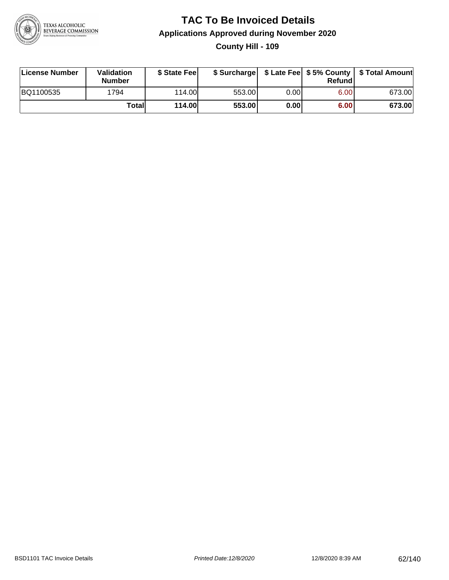

#### **TAC To Be Invoiced Details Applications Approved during November 2020 County Hill - 109**

| License Number | Validation<br><b>Number</b> | \$ State Feel |        |      | Refundl | \$ Surcharge   \$ Late Fee   \$5% County   \$ Total Amount |
|----------------|-----------------------------|---------------|--------|------|---------|------------------------------------------------------------|
| BQ1100535      | 1794                        | 114.00L       | 553.00 | 0.00 | 6.00    | 673.00                                                     |
|                | Total                       | 114.00        | 553.00 | 0.00 | 6.00    | 673.00                                                     |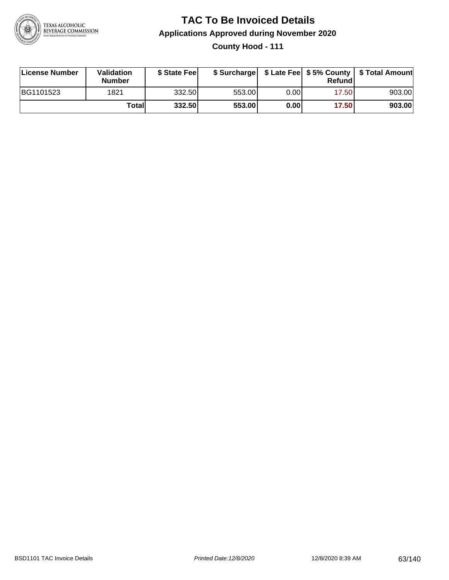

**County Hood - 111**

| License Number | Validation<br><b>Number</b> | \$ State Fee | \$ Surcharge |      | Refundl | \$ Late Fee   \$5% County   \$ Total Amount |
|----------------|-----------------------------|--------------|--------------|------|---------|---------------------------------------------|
| BG1101523      | 1821                        | 332.50       | 553.00       | 0.00 | 17.50   | 903.00                                      |
|                | Totall                      | 332.50       | 553.00       | 0.00 | 17.50   | 903.00                                      |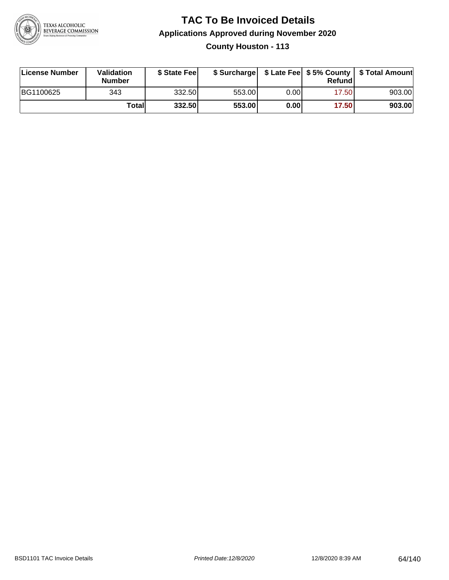

**County Houston - 113**

| License Number | Validation<br><b>Number</b> | \$ State Fee | \$ Surcharge |      | Refundl | \$ Late Fee   \$5% County   \$ Total Amount |
|----------------|-----------------------------|--------------|--------------|------|---------|---------------------------------------------|
| BG1100625      | 343                         | 332.50       | 553.00       | 0.00 | 17.50   | 903.00                                      |
|                | Totall                      | 332.50       | 553.00       | 0.00 | 17.50   | 903.00                                      |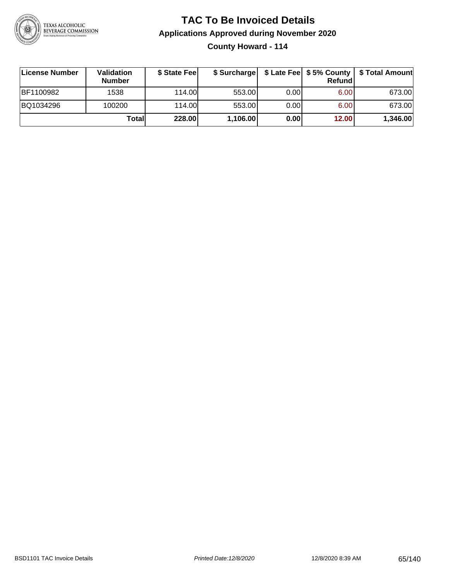

**County Howard - 114**

| ∣License Number | <b>Validation</b><br><b>Number</b> | \$ State Fee | \$ Surcharge |       | Refundl | \$ Late Fee   \$5% County   \$ Total Amount |
|-----------------|------------------------------------|--------------|--------------|-------|---------|---------------------------------------------|
| BF1100982       | 1538                               | 114.00       | 553.00       | 0.001 | 6.00    | 673.00                                      |
| BQ1034296       | 100200                             | 114.00       | 553.00       | 0.001 | 6.00    | 673.00                                      |
|                 | Totall                             | 228.00       | 1,106.00     | 0.00  | 12.00   | 1,346.00                                    |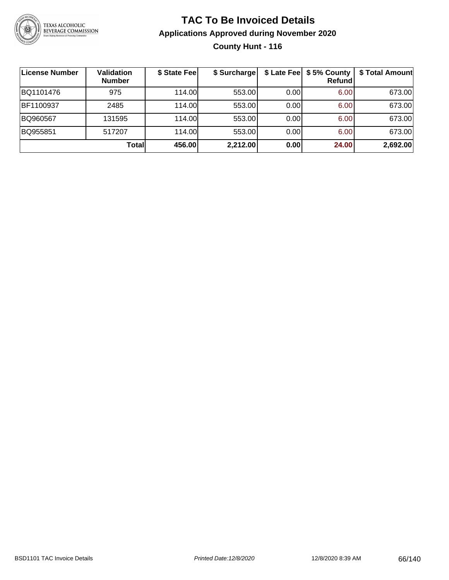

#### **TAC To Be Invoiced Details Applications Approved during November 2020 County Hunt - 116**

| ∣License Number | Validation<br><b>Number</b> | \$ State Fee | \$ Surcharge |      | \$ Late Fee   \$5% County<br><b>Refund</b> | \$ Total Amount |
|-----------------|-----------------------------|--------------|--------------|------|--------------------------------------------|-----------------|
| BQ1101476       | 975                         | 114.00       | 553.00       | 0.00 | 6.00                                       | 673.00          |
| BF1100937       | 2485                        | 114.00       | 553.00       | 0.00 | 6.00                                       | 673.00          |
| BQ960567        | 131595                      | 114.00       | 553.00       | 0.00 | 6.00                                       | 673.00          |
| BQ955851        | 517207                      | 114.00       | 553.00       | 0.00 | 6.00                                       | 673.00          |
|                 | <b>Total</b>                | 456.00       | 2,212.00     | 0.00 | 24.00                                      | 2,692.00        |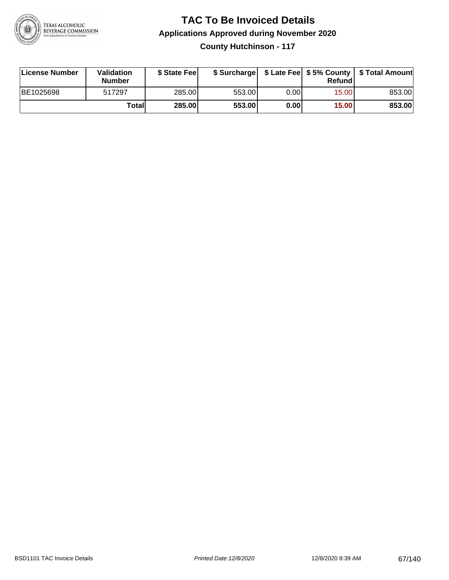

**County Hutchinson - 117**

| License Number | Validation<br><b>Number</b> | \$ State Feel | \$ Surcharge |      | Refundl | \$ Late Fee   \$5% County   \$ Total Amount |
|----------------|-----------------------------|---------------|--------------|------|---------|---------------------------------------------|
| BE1025698      | 517297                      | 285.00        | 553.00       | 0.00 | 15.00   | 853.00                                      |
|                | Totall                      | 285.00        | 553.00       | 0.00 | 15.00   | 853.00                                      |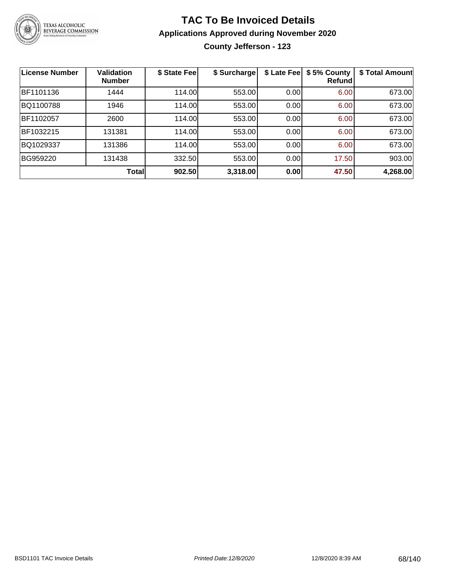

**County Jefferson - 123**

| <b>License Number</b> | Validation<br><b>Number</b> | \$ State Fee | \$ Surcharge | \$ Late Fee | \$5% County<br>Refundl | \$ Total Amount |
|-----------------------|-----------------------------|--------------|--------------|-------------|------------------------|-----------------|
| BF1101136             | 1444                        | 114.00       | 553.00       | 0.00        | 6.00                   | 673.00          |
| BQ1100788             | 1946                        | 114.00       | 553.00       | 0.00        | 6.00                   | 673.00          |
| BF1102057             | 2600                        | 114.00       | 553.00       | 0.00        | 6.00                   | 673.00          |
| BF1032215             | 131381                      | 114.00       | 553.00       | 0.00        | 6.00                   | 673.00          |
| BQ1029337             | 131386                      | 114.00       | 553.00       | 0.00        | 6.00                   | 673.00          |
| BG959220              | 131438                      | 332.50       | 553.00       | 0.00        | 17.50                  | 903.00          |
|                       | <b>Total</b>                | 902.50       | 3,318.00     | 0.00        | 47.50                  | 4,268.00        |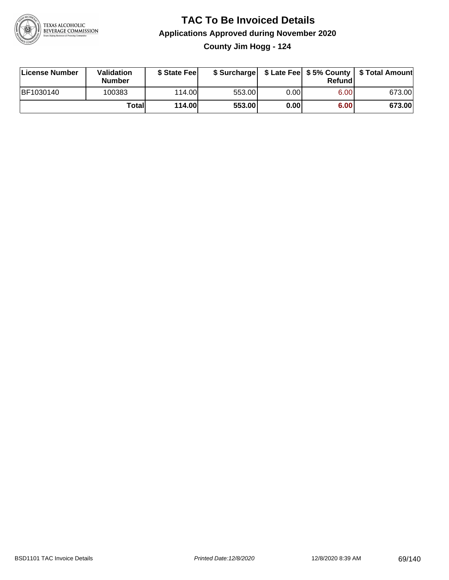

**County Jim Hogg - 124**

| License Number | Validation<br><b>Number</b> | \$ State Fee  | \$ Surcharge |       | Refundl | \$ Late Fee   \$5% County   \$ Total Amount |
|----------------|-----------------------------|---------------|--------------|-------|---------|---------------------------------------------|
| BF1030140      | 100383                      | 114.00L       | 553.00       | 0.00I | 6.00    | 673.00                                      |
|                | Totall                      | <b>114.00</b> | 553.00       | 0.00  | 6.00    | 673.00                                      |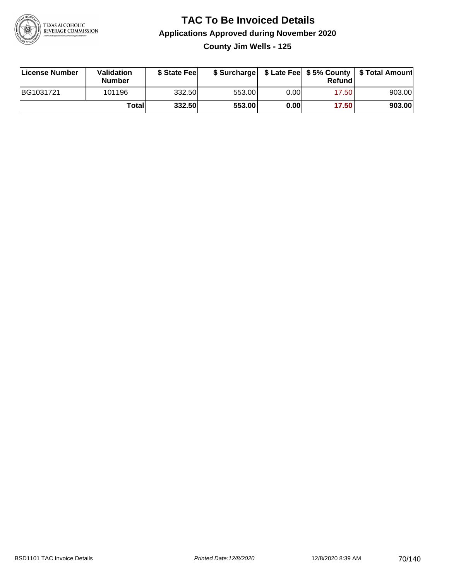

**County Jim Wells - 125**

| License Number | Validation<br><b>Number</b> | \$ State Fee |        |       | Refundl | \$ Surcharge   \$ Late Fee   \$5% County   \$ Total Amount |
|----------------|-----------------------------|--------------|--------|-------|---------|------------------------------------------------------------|
| BG1031721      | 101196                      | 332.50       | 553.00 | 0.001 | 17.50   | 903.00                                                     |
|                | Totall                      | 332.50       | 553.00 | 0.00  | 17.50   | 903.00                                                     |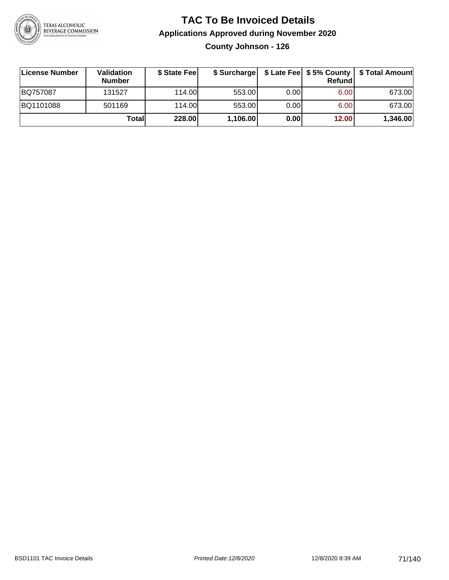

**County Johnson - 126**

| License Number | <b>Validation</b><br><b>Number</b> | \$ State Fee | \$ Surcharge |       | Refundl | \$ Late Fee   \$5% County   \$ Total Amount |
|----------------|------------------------------------|--------------|--------------|-------|---------|---------------------------------------------|
| BQ757087       | 131527                             | 114.00       | 553.00       | 0.001 | 6.00    | 673.00                                      |
| BQ1101088      | 501169                             | 114.00       | 553.00       | 0.001 | 6.00    | 673.00                                      |
|                | Totall                             | 228.00       | 1,106.00     | 0.00  | 12.00   | 1,346.00                                    |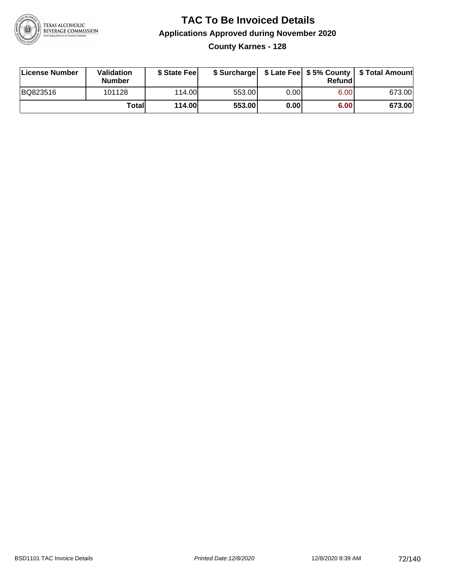

**County Karnes - 128**

| License Number | Validation<br><b>Number</b> | \$ State Fee  | \$ Surcharge |      | Refund | \$ Late Fee   \$5% County   \$ Total Amount |
|----------------|-----------------------------|---------------|--------------|------|--------|---------------------------------------------|
| BQ823516       | 101128                      | 114.00        | 553.00       | 0.00 | 6.00   | 673.00                                      |
|                | Totall                      | <b>114.00</b> | 553.00       | 0.00 | 6.00   | 673.00                                      |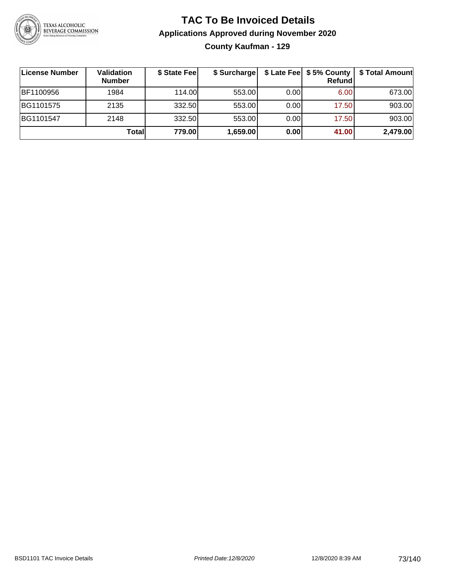

#### **TAC To Be Invoiced Details Applications Approved during November 2020 County Kaufman - 129**

| ∣License Number | Validation<br><b>Number</b> | \$ State Fee | \$ Surcharge |      | \$ Late Fee   \$5% County  <br>Refund | \$ Total Amount |
|-----------------|-----------------------------|--------------|--------------|------|---------------------------------------|-----------------|
| BF1100956       | 1984                        | 114.00L      | 553.00       | 0.00 | 6.00                                  | 673.00          |
| BG1101575       | 2135                        | 332.50       | 553.00       | 0.00 | 17.50                                 | 903.00          |
| BG1101547       | 2148                        | 332.50       | 553.00       | 0.00 | 17.50                                 | 903.00          |
|                 | Total                       | 779.00       | 1,659.00     | 0.00 | 41.00                                 | 2,479.00        |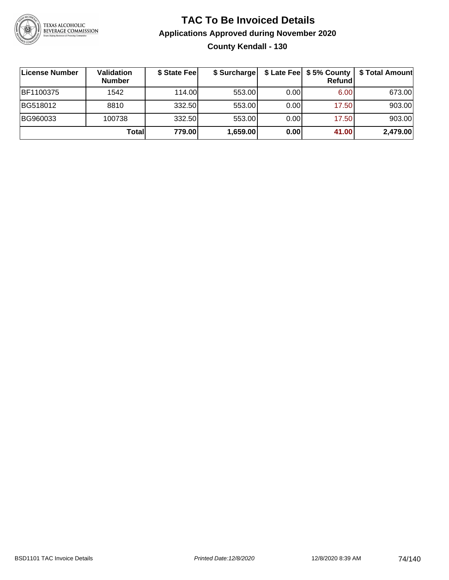

#### **TAC To Be Invoiced Details Applications Approved during November 2020 County Kendall - 130**

| License Number   | Validation<br><b>Number</b> | \$ State Fee | \$ Surcharge |      | Refund | \$ Late Fee   \$5% County   \$ Total Amount |
|------------------|-----------------------------|--------------|--------------|------|--------|---------------------------------------------|
| <b>BF1100375</b> | 1542                        | 114.00L      | 553.00       | 0.00 | 6.00   | 673.00                                      |
| BG518012         | 8810                        | 332.50       | 553.00       | 0.00 | 17.50  | 903.00                                      |
| BG960033         | 100738                      | 332.50       | 553.00       | 0.00 | 17.50  | 903.00                                      |
|                  | Totall                      | 779.00       | 1,659.00     | 0.00 | 41.00  | 2,479.00                                    |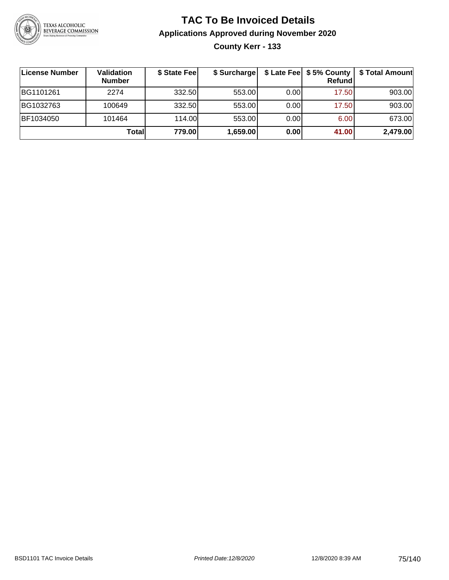

**County Kerr - 133**

| License Number | Validation<br><b>Number</b> | \$ State Fee | \$ Surcharge |       | Refundl | \$ Late Fee   \$5% County   \$ Total Amount |
|----------------|-----------------------------|--------------|--------------|-------|---------|---------------------------------------------|
| BG1101261      | 2274                        | 332.50       | 553.00       | 0.001 | 17.50   | 903.00                                      |
| BG1032763      | 100649                      | 332.50       | 553.00       | 0.001 | 17.50   | 903.00                                      |
| BF1034050      | 101464                      | 114.00       | 553.00       | 0.001 | 6.00    | 673.00                                      |
|                | Totall                      | 779.00       | 1,659.00     | 0.00  | 41.00   | 2,479.00                                    |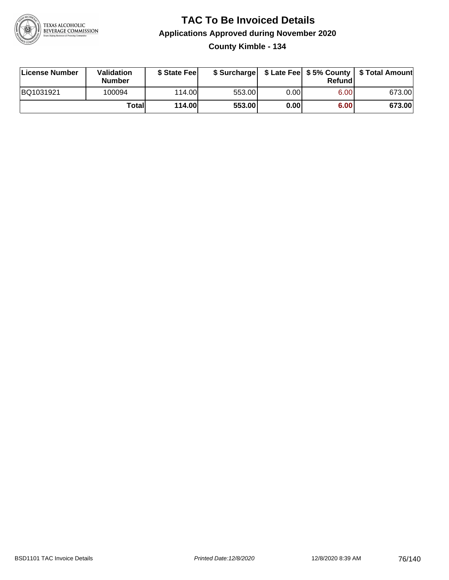

#### **TAC To Be Invoiced Details Applications Approved during November 2020 County Kimble - 134**

| License Number | Validation<br><b>Number</b> | \$ State Feel |        |      | Refund | \$ Surcharge   \$ Late Fee   \$5% County   \$ Total Amount |
|----------------|-----------------------------|---------------|--------|------|--------|------------------------------------------------------------|
| BQ1031921      | 100094                      | 114.00        | 553.00 | 0.00 | 6.00   | 673.00                                                     |
|                | Totall                      | 114.00        | 553.00 | 0.00 | 6.00   | 673.00                                                     |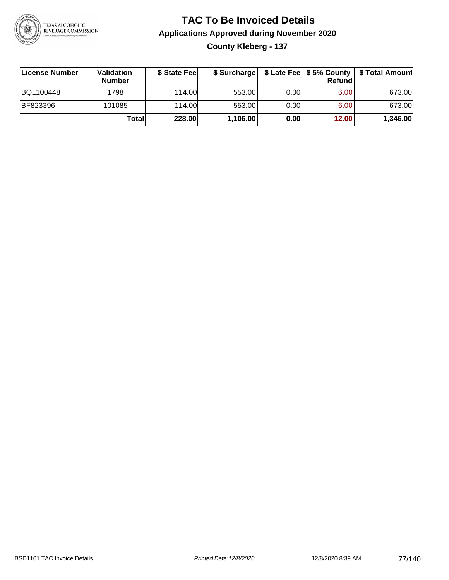

#### **TAC To Be Invoiced Details Applications Approved during November 2020 County Kleberg - 137**

| ∣License Number | Validation<br><b>Number</b> | \$ State Feel | \$ Surcharge |      | Refund | \$ Late Fee   \$5% County   \$ Total Amount |
|-----------------|-----------------------------|---------------|--------------|------|--------|---------------------------------------------|
| BQ1100448       | 1798                        | 114.00        | 553.00       | 0.00 | 6.00   | 673.00                                      |
| <b>BF823396</b> | 101085                      | 114.00        | 553.00       | 0.00 | 6.00   | 673.00                                      |
|                 | Totall                      | 228.00        | 1,106.00     | 0.00 | 12.00  | 1,346.00                                    |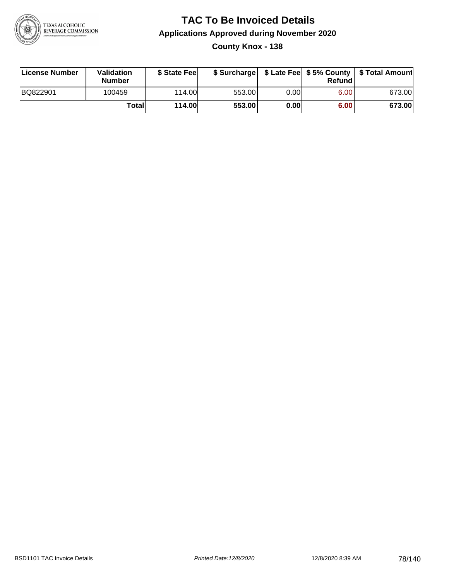

#### **TAC To Be Invoiced Details Applications Approved during November 2020 County Knox - 138**

| License Number | Validation<br><b>Number</b> | \$ State Fee  |        |      | Refund | \$ Surcharge   \$ Late Fee   \$5% County   \$ Total Amount |
|----------------|-----------------------------|---------------|--------|------|--------|------------------------------------------------------------|
| BQ822901       | 100459                      | 114.00L       | 553.00 | 0.00 | 6.00   | 673.00                                                     |
|                | Totall                      | <b>114.00</b> | 553.00 | 0.00 | 6.00   | 673.00                                                     |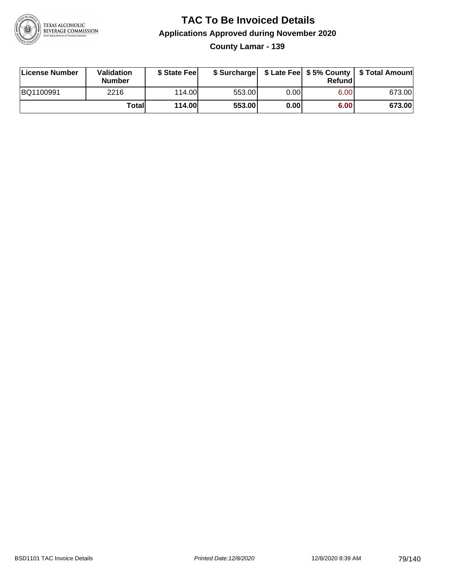

**County Lamar - 139**

| License Number | <b>Validation</b><br><b>Number</b> | \$ State Feel | \$ Surcharge |       | Refundl           | \$ Late Fee   \$5% County   \$ Total Amount |
|----------------|------------------------------------|---------------|--------------|-------|-------------------|---------------------------------------------|
| BQ1100991      | 2216                               | 114.00        | 553.00       | 0.001 | 6.00 <sub>1</sub> | 673.00                                      |
|                | Totall                             | <b>114.00</b> | 553.00       | 0.00  | 6.00              | 673.00                                      |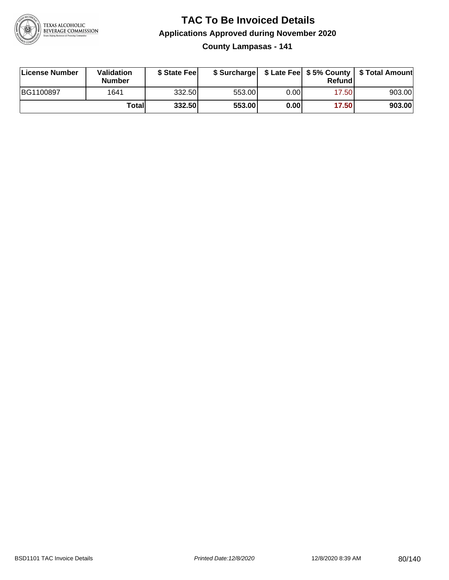

**County Lampasas - 141**

| License Number | <b>Validation</b><br><b>Number</b> | \$ State Fee | \$ Surcharge |      | Refundl |        |
|----------------|------------------------------------|--------------|--------------|------|---------|--------|
| BG1100897      | 1641                               | 332.50       | 553.00       | 0.00 | 17.50   | 903.00 |
|                | Totall                             | 332.50       | 553.00       | 0.00 | 17.50   | 903.00 |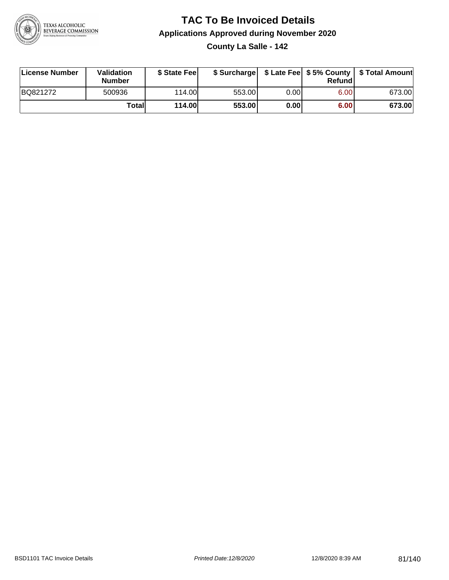

**County La Salle - 142**

| License Number | Validation<br><b>Number</b> | \$ State Feel | \$ Surcharge |      | Refundl |        |
|----------------|-----------------------------|---------------|--------------|------|---------|--------|
| BQ821272       | 500936                      | 114.00        | 553.00       | 0.00 | 6.00    | 673.00 |
|                | Totall                      | <b>114.00</b> | 553.00       | 0.00 | 6.00    | 673.00 |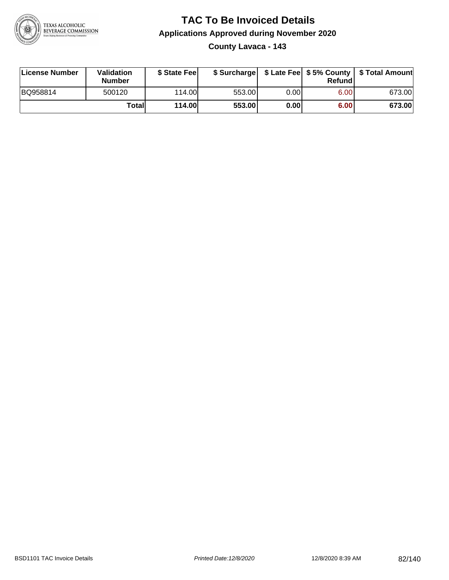

#### **TAC To Be Invoiced Details Applications Approved during November 2020 County Lavaca - 143**

| License Number | Validation<br><b>Number</b> | \$ State Fee |        |      | Refundl           | \$ Surcharge   \$ Late Fee   \$5% County   \$ Total Amount |
|----------------|-----------------------------|--------------|--------|------|-------------------|------------------------------------------------------------|
| BQ958814       | 500120                      | 114.00       | 553.00 | 0.00 | 6.00 <sub>1</sub> | 673.00                                                     |
|                | Totall                      | 114.00       | 553.00 | 0.00 | 6.00              | 673.00                                                     |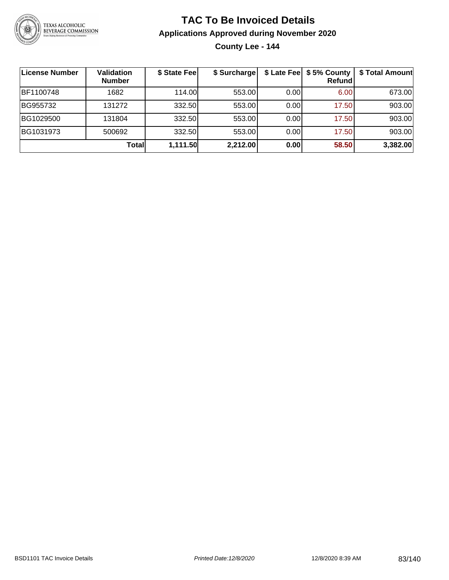

**County Lee - 144**

| License Number | Validation<br><b>Number</b> | \$ State Fee | \$ Surcharge |      | \$ Late Fee   \$5% County<br>Refundl | \$ Total Amount |
|----------------|-----------------------------|--------------|--------------|------|--------------------------------------|-----------------|
| BF1100748      | 1682                        | 114.00       | 553.00       | 0.00 | 6.00                                 | 673.00          |
| BG955732       | 131272                      | 332.50       | 553.00       | 0.00 | 17.50                                | 903.00          |
| BG1029500      | 131804                      | 332.50       | 553.00       | 0.00 | 17.50                                | 903.00          |
| BG1031973      | 500692                      | 332.50       | 553.00       | 0.00 | 17.50                                | 903.00          |
|                | Totall                      | 1,111.50     | 2,212.00     | 0.00 | 58.50                                | 3,382.00        |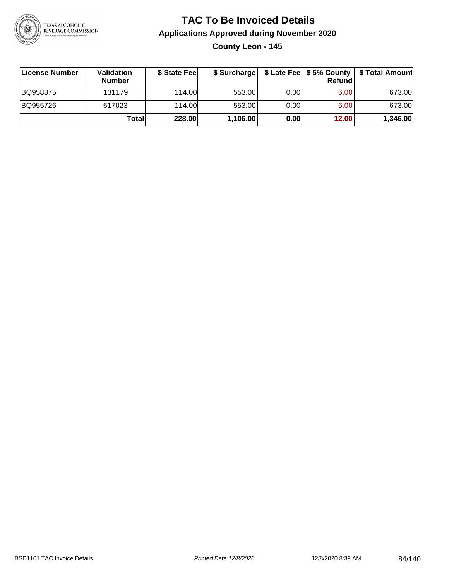

#### **TAC To Be Invoiced Details Applications Approved during November 2020 County Leon - 145**

| License Number | Validation<br><b>Number</b> | \$ State Fee |          |      | Refund            | \$ Surcharge   \$ Late Fee   \$5% County   \$ Total Amount |
|----------------|-----------------------------|--------------|----------|------|-------------------|------------------------------------------------------------|
| BQ958875       | 131179                      | 114.00       | 553.00   | 0.00 | 6.00 <sub>1</sub> | 673.00                                                     |
| BQ955726       | 517023                      | 114.00       | 553.00   | 0.00 | 6.00 <sub>1</sub> | 673.00                                                     |
|                | Totall                      | 228.00       | 1,106.00 | 0.00 | 12.00             | 1,346.00                                                   |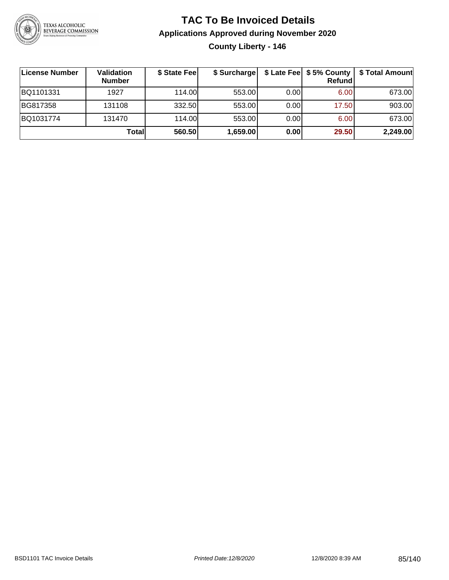

#### **TAC To Be Invoiced Details Applications Approved during November 2020 County Liberty - 146**

| License Number | <b>Validation</b><br><b>Number</b> | \$ State Fee | \$ Surcharge |       | Refund | \$ Late Fee   \$5% County   \$ Total Amount |
|----------------|------------------------------------|--------------|--------------|-------|--------|---------------------------------------------|
| BQ1101331      | 1927                               | 114.00       | 553.00       | 0.001 | 6.00   | 673.00                                      |
| BG817358       | 131108                             | 332.50       | 553.00       | 0.001 | 17.50  | 903.00                                      |
| BQ1031774      | 131470                             | 114.00       | 553.00       | 0.001 | 6.00   | 673.00                                      |
|                | Totall                             | 560.50       | 1,659.00     | 0.00  | 29.50  | 2,249.00                                    |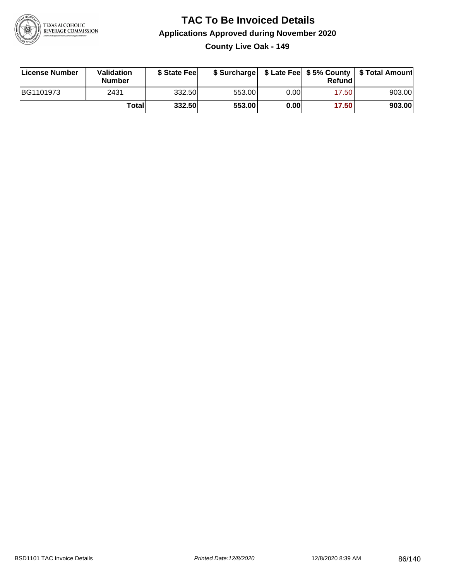

**County Live Oak - 149**

| License Number | Validation<br><b>Number</b> | \$ State Fee | \$ Surcharge |      | Refund |        |
|----------------|-----------------------------|--------------|--------------|------|--------|--------|
| BG1101973      | 2431                        | 332.50       | 553.00       | 0.00 | 17.501 | 903.00 |
|                | Totall                      | 332.50       | 553.00       | 0.00 | 17.50  | 903.00 |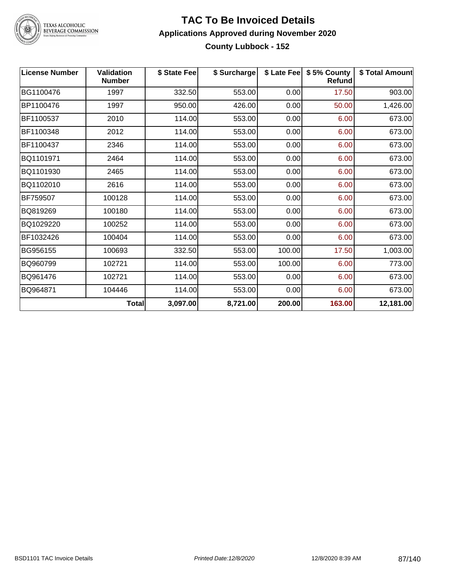

TEXAS ALCOHOLIC<br>BEVERAGE COMMISSION

#### **TAC To Be Invoiced Details Applications Approved during November 2020 County Lubbock - 152**

| <b>License Number</b> | <b>Validation</b><br><b>Number</b> | \$ State Fee | \$ Surcharge |        | \$ Late Fee   \$5% County<br><b>Refund</b> | \$ Total Amount |
|-----------------------|------------------------------------|--------------|--------------|--------|--------------------------------------------|-----------------|
| BG1100476             | 1997                               | 332.50       | 553.00       | 0.00   | 17.50                                      | 903.00          |
| BP1100476             | 1997                               | 950.00       | 426.00       | 0.00   | 50.00                                      | 1,426.00        |
| BF1100537             | 2010                               | 114.00       | 553.00       | 0.00   | 6.00                                       | 673.00          |
| BF1100348             | 2012                               | 114.00       | 553.00       | 0.00   | 6.00                                       | 673.00          |
| BF1100437             | 2346                               | 114.00       | 553.00       | 0.00   | 6.00                                       | 673.00          |
| BQ1101971             | 2464                               | 114.00       | 553.00       | 0.00   | 6.00                                       | 673.00          |
| BQ1101930             | 2465                               | 114.00       | 553.00       | 0.00   | 6.00                                       | 673.00          |
| BQ1102010             | 2616                               | 114.00       | 553.00       | 0.00   | 6.00                                       | 673.00          |
| BF759507              | 100128                             | 114.00       | 553.00       | 0.00   | 6.00                                       | 673.00          |
| BQ819269              | 100180                             | 114.00       | 553.00       | 0.00   | 6.00                                       | 673.00          |
| BQ1029220             | 100252                             | 114.00       | 553.00       | 0.00   | 6.00                                       | 673.00          |
| BF1032426             | 100404                             | 114.00       | 553.00       | 0.00   | 6.00                                       | 673.00          |
| BG956155              | 100693                             | 332.50       | 553.00       | 100.00 | 17.50                                      | 1,003.00        |
| BQ960799              | 102721                             | 114.00       | 553.00       | 100.00 | 6.00                                       | 773.00          |
| BQ961476              | 102721                             | 114.00       | 553.00       | 0.00   | 6.00                                       | 673.00          |
| BQ964871              | 104446                             | 114.00       | 553.00       | 0.00   | 6.00                                       | 673.00          |
|                       | <b>Total</b>                       | 3,097.00     | 8,721.00     | 200.00 | 163.00                                     | 12,181.00       |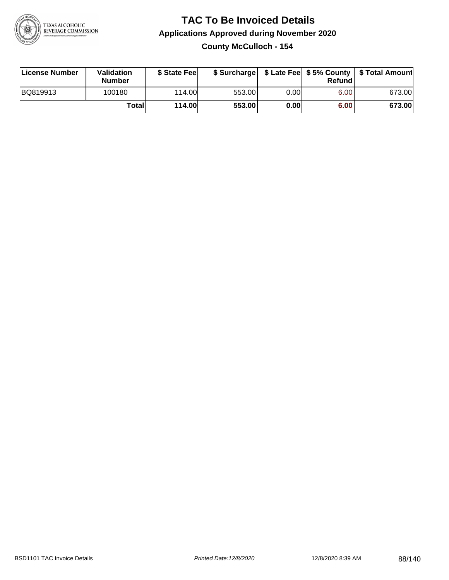

**County McCulloch - 154**

| License Number | Validation<br><b>Number</b> | \$ State Feel | \$ Surcharge |      | Refund | \$ Late Fee   \$5% County   \$ Total Amount |
|----------------|-----------------------------|---------------|--------------|------|--------|---------------------------------------------|
| BQ819913       | 100180                      | 114.00        | 553.00       | 0.00 | 6.00   | 673.00                                      |
|                | Totall                      | <b>114.00</b> | 553.00       | 0.00 | 6.00   | 673.00                                      |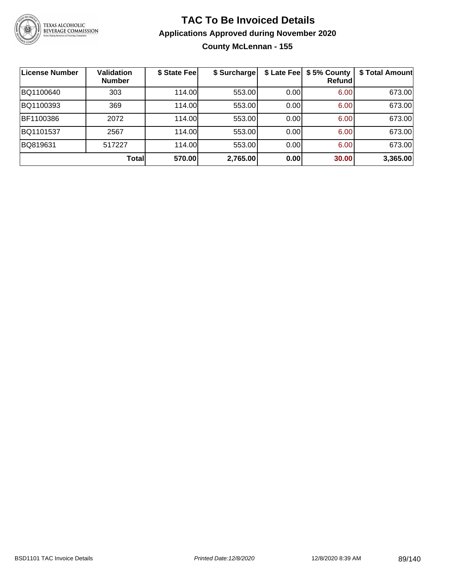

#### **TAC To Be Invoiced Details Applications Approved during November 2020 County McLennan - 155**

| License Number | <b>Validation</b><br><b>Number</b> | \$ State Fee | \$ Surcharge | \$ Late Fee | \$5% County<br><b>Refund</b> | \$ Total Amount |
|----------------|------------------------------------|--------------|--------------|-------------|------------------------------|-----------------|
| BQ1100640      | 303                                | 114.00       | 553.00       | 0.00        | 6.00                         | 673.00          |
| BQ1100393      | 369                                | 114.00       | 553.00       | 0.00        | 6.00                         | 673.00          |
| BF1100386      | 2072                               | 114.00       | 553.00       | 0.00        | 6.00                         | 673.00          |
| BQ1101537      | 2567                               | 114.00       | 553.00       | 0.00        | 6.00                         | 673.00          |
| BQ819631       | 517227                             | 114.00       | 553.00       | 0.00        | 6.00                         | 673.00          |
|                | Total                              | 570.00       | 2,765.00     | 0.00        | 30.00                        | 3,365.00        |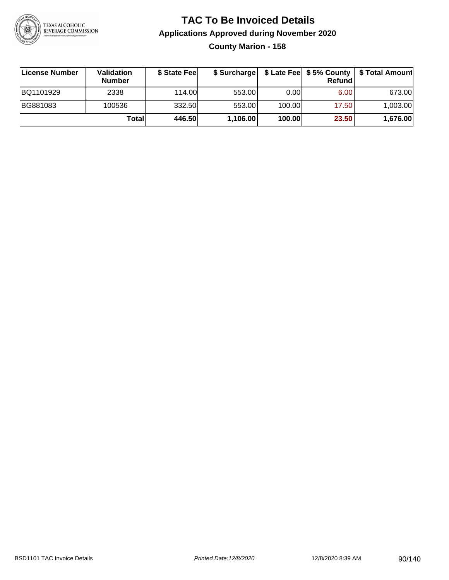

**County Marion - 158**

| ∣License Number | <b>Validation</b><br><b>Number</b> | \$ State Fee | \$ Surcharge |        | Refundl           | \$ Late Fee   \$5% County   \$ Total Amount |
|-----------------|------------------------------------|--------------|--------------|--------|-------------------|---------------------------------------------|
| BQ1101929       | 2338                               | 114.00L      | 553.00       | 0.00   | 6.00 <sub>1</sub> | 673.00                                      |
| BG881083        | 100536                             | 332.50       | 553.00       | 100.00 | 17.50             | 1,003.00                                    |
|                 | Totall                             | 446.50       | 1,106.00     | 100.00 | 23.50             | 1,676.00                                    |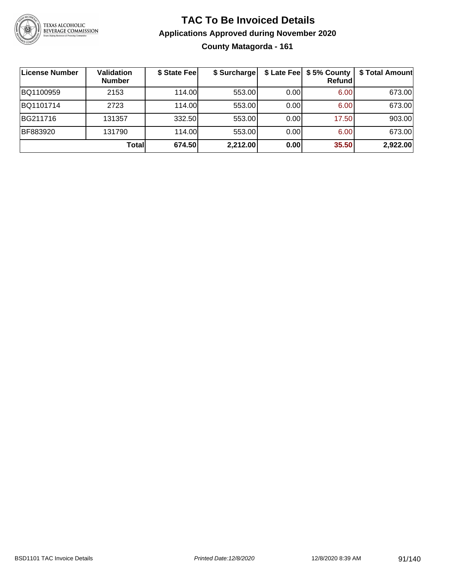

**County Matagorda - 161**

| License Number | <b>Validation</b><br><b>Number</b> | \$ State Fee | \$ Surcharge |      | \$ Late Fee   \$5% County<br><b>Refund</b> | \$ Total Amount |
|----------------|------------------------------------|--------------|--------------|------|--------------------------------------------|-----------------|
| BQ1100959      | 2153                               | 114.00       | 553.00       | 0.00 | 6.00                                       | 673.00          |
| BQ1101714      | 2723                               | 114.00       | 553.00       | 0.00 | 6.00                                       | 673.00          |
| BG211716       | 131357                             | 332.50       | 553.00       | 0.00 | 17.50                                      | 903.00          |
| BF883920       | 131790                             | 114.00       | 553.00       | 0.00 | 6.00                                       | 673.00          |
|                | Total                              | 674.50       | 2,212.00     | 0.00 | 35.50                                      | 2,922.00        |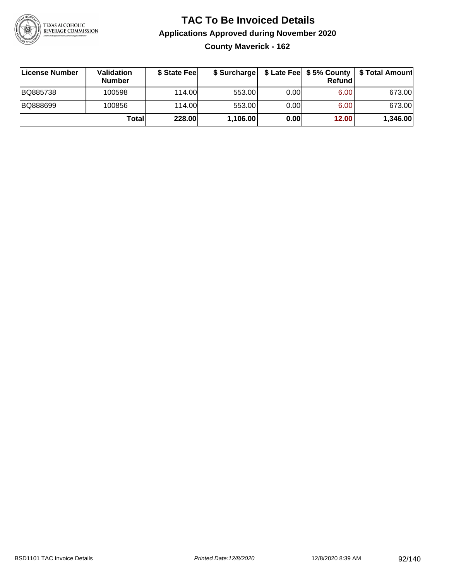

**County Maverick - 162**

| ∣License Number | <b>Validation</b><br><b>Number</b> | \$ State Fee | \$ Surcharge |       | <b>Refund</b> | \$ Late Fee   \$5% County   \$ Total Amount |
|-----------------|------------------------------------|--------------|--------------|-------|---------------|---------------------------------------------|
| BQ885738        | 100598                             | 114.00       | 553.00       | 0.001 | 6.00          | 673.00                                      |
| BQ888699        | 100856                             | 114.00       | 553.00       | 0.001 | 6.00          | 673.00                                      |
|                 | Totall                             | 228.00       | 1,106.00     | 0.00  | 12.00         | 1,346.00                                    |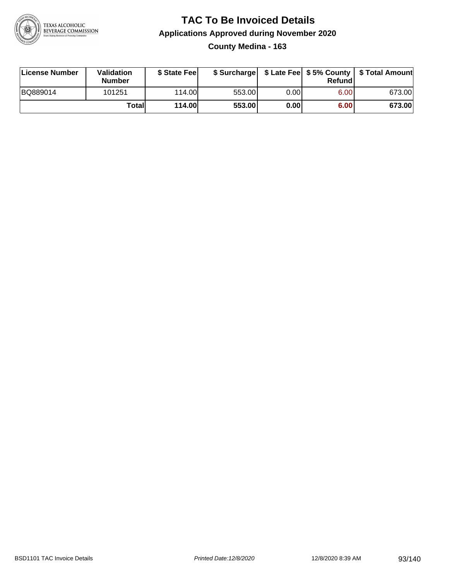

#### **TAC To Be Invoiced Details Applications Approved during November 2020 County Medina - 163**

| License Number | <b>Validation</b><br><b>Number</b> | \$ State Feel |        |       | Refundl | \$ Surcharge   \$ Late Fee   \$5% County   \$ Total Amount |
|----------------|------------------------------------|---------------|--------|-------|---------|------------------------------------------------------------|
| BQ889014       | 101251                             | 114.00L       | 553.00 | 0.00  | 6.00    | 673.00                                                     |
|                | Totall                             | <b>114.00</b> | 553.00 | 0.001 | 6.00    | 673.00                                                     |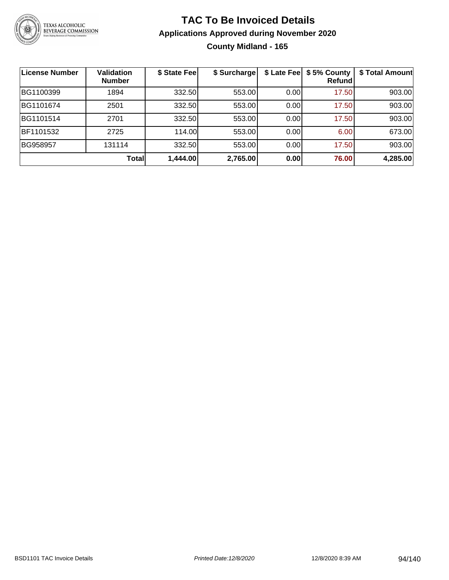

#### **TAC To Be Invoiced Details Applications Approved during November 2020 County Midland - 165**

| <b>License Number</b> | <b>Validation</b><br><b>Number</b> | \$ State Fee | \$ Surcharge | \$ Late Fee | \$5% County<br><b>Refund</b> | \$ Total Amount |
|-----------------------|------------------------------------|--------------|--------------|-------------|------------------------------|-----------------|
| BG1100399             | 1894                               | 332.50       | 553.00       | 0.00        | 17.50                        | 903.00          |
| BG1101674             | 2501                               | 332.50       | 553.00       | 0.00        | 17.50                        | 903.00          |
| BG1101514             | 2701                               | 332.50       | 553.00       | 0.00        | 17.50                        | 903.00          |
| BF1101532             | 2725                               | 114.00       | 553.00       | 0.00        | 6.00                         | 673.00          |
| BG958957              | 131114                             | 332.50       | 553.00       | 0.00        | 17.50                        | 903.00          |
|                       | Total                              | 1,444.00     | 2,765.00     | 0.00        | 76.00                        | 4,285.00        |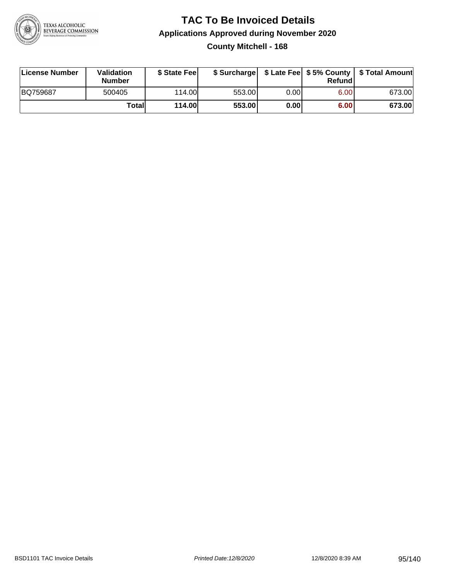

#### **TAC To Be Invoiced Details Applications Approved during November 2020 County Mitchell - 168**

| License Number | Validation<br><b>Number</b> | \$ State Fee |        |       | Refundl | \$ Surcharge   \$ Late Fee   \$5% County   \$ Total Amount |
|----------------|-----------------------------|--------------|--------|-------|---------|------------------------------------------------------------|
| BQ759687       | 500405                      | 114.00       | 553.00 | 0.001 | 6.00    | 673.00                                                     |
|                | Totall                      | 114.00       | 553.00 | 0.00  | 6.00    | 673.00                                                     |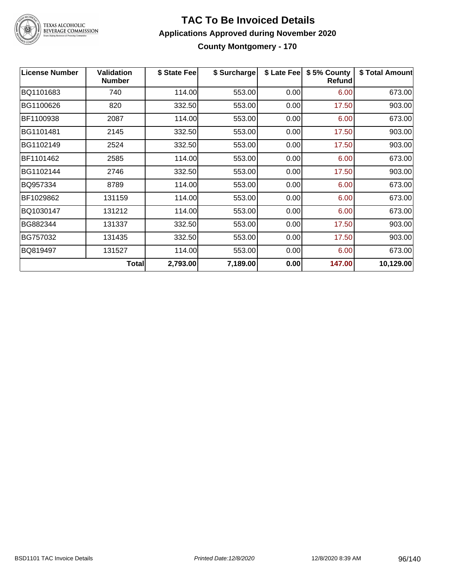

## TEXAS ALCOHOLIC<br>BEVERAGE COMMISSION

#### **TAC To Be Invoiced Details Applications Approved during November 2020 County Montgomery - 170**

| <b>License Number</b> | <b>Validation</b><br><b>Number</b> | \$ State Fee | \$ Surcharge | \$ Late Fee | \$5% County<br>Refund | \$ Total Amount |
|-----------------------|------------------------------------|--------------|--------------|-------------|-----------------------|-----------------|
| BQ1101683             | 740                                | 114.00       | 553.00       | 0.00        | 6.00                  | 673.00          |
| BG1100626             | 820                                | 332.50       | 553.00       | 0.00        | 17.50                 | 903.00          |
| BF1100938             | 2087                               | 114.00       | 553.00       | 0.00        | 6.00                  | 673.00          |
| BG1101481             | 2145                               | 332.50       | 553.00       | 0.00        | 17.50                 | 903.00          |
| BG1102149             | 2524                               | 332.50       | 553.00       | 0.00        | 17.50                 | 903.00          |
| BF1101462             | 2585                               | 114.00       | 553.00       | 0.00        | 6.00                  | 673.00          |
| BG1102144             | 2746                               | 332.50       | 553.00       | 0.00        | 17.50                 | 903.00          |
| BQ957334              | 8789                               | 114.00       | 553.00       | 0.00        | 6.00                  | 673.00          |
| BF1029862             | 131159                             | 114.00       | 553.00       | 0.00        | 6.00                  | 673.00          |
| BQ1030147             | 131212                             | 114.00       | 553.00       | 0.00        | 6.00                  | 673.00          |
| BG882344              | 131337                             | 332.50       | 553.00       | 0.00        | 17.50                 | 903.00          |
| BG757032              | 131435                             | 332.50       | 553.00       | 0.00        | 17.50                 | 903.00          |
| BQ819497              | 131527                             | 114.00       | 553.00       | 0.00        | 6.00                  | 673.00          |
|                       | Total                              | 2,793.00     | 7,189.00     | 0.00        | 147.00                | 10,129.00       |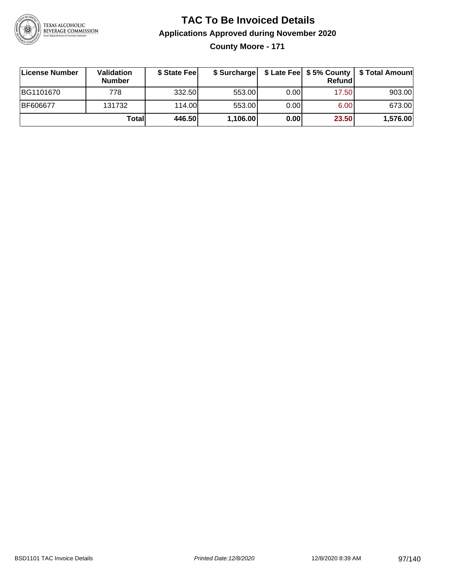

**County Moore - 171**

| ∣License Number | <b>Validation</b><br><b>Number</b> | \$ State Fee | \$ Surcharge |       | Refundl | \$ Late Fee   \$5% County   \$ Total Amount |
|-----------------|------------------------------------|--------------|--------------|-------|---------|---------------------------------------------|
| BG1101670       | 778                                | 332.50       | 553.00       | 0.001 | 17.50   | 903.00                                      |
| <b>BF606677</b> | 131732                             | 114.00       | 553.00       | 0.001 | 6.00    | 673.00                                      |
|                 | Totall                             | 446.50       | 1,106.00     | 0.00  | 23.50   | 1,576.00                                    |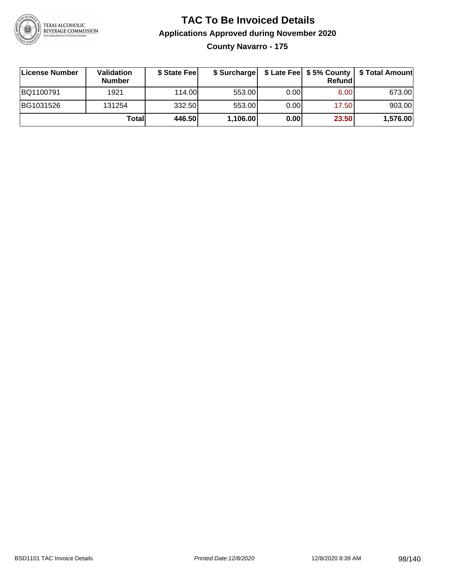

**County Navarro - 175**

| ∣License Number | Validation<br><b>Number</b> | \$ State Fee | \$ Surcharge |      | Refundl | \$ Late Fee   \$5% County   \$ Total Amount |
|-----------------|-----------------------------|--------------|--------------|------|---------|---------------------------------------------|
| BQ1100791       | 1921                        | 114.00       | 553.00       | 0.00 | 6.00    | 673.00                                      |
| BG1031526       | 131254                      | 332.50       | 553.00       | 0.00 | 17.50   | 903.00                                      |
|                 | Totall                      | 446.50       | 1,106.00     | 0.00 | 23.50   | 1,576.00                                    |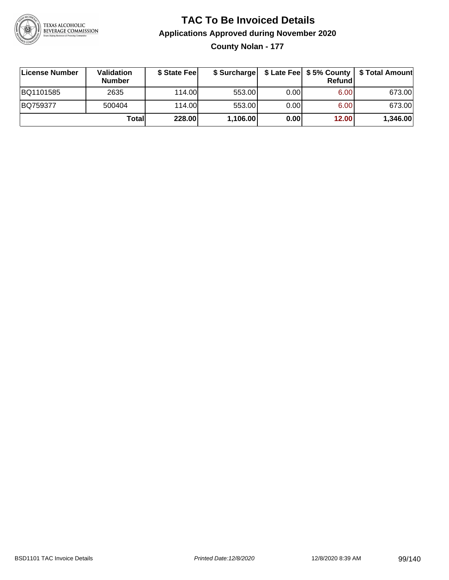

**County Nolan - 177**

| ∣License Number | <b>Validation</b><br><b>Number</b> | \$ State Fee | \$ Surcharge |       | Refundl | \$ Late Fee   \$5% County   \$ Total Amount |
|-----------------|------------------------------------|--------------|--------------|-------|---------|---------------------------------------------|
| BQ1101585       | 2635                               | 114.00       | 553.00       | 0.001 | 6.00    | 673.00                                      |
| BQ759377        | 500404                             | 114.00       | 553.00       | 0.001 | 6.00    | 673.00                                      |
|                 | Totall                             | 228.00       | 1,106.00     | 0.00  | 12.00   | 1,346.00                                    |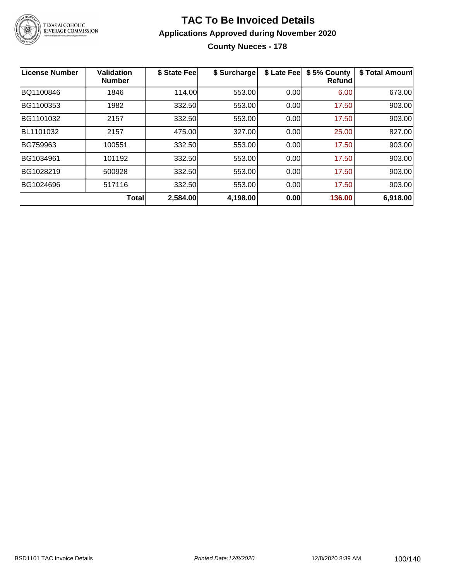

#### **TAC To Be Invoiced Details Applications Approved during November 2020 County Nueces - 178**

| License Number | Validation<br><b>Number</b> | \$ State Fee | \$ Surcharge | \$ Late Fee | \$5% County<br><b>Refund</b> | \$ Total Amount |
|----------------|-----------------------------|--------------|--------------|-------------|------------------------------|-----------------|
| BQ1100846      | 1846                        | 114.00       | 553.00       | 0.00        | 6.00                         | 673.00          |
| BG1100353      | 1982                        | 332.50       | 553.00       | 0.00        | 17.50                        | 903.00          |
| BG1101032      | 2157                        | 332.50       | 553.00       | 0.00        | 17.50                        | 903.00          |
| BL1101032      | 2157                        | 475.00       | 327.00       | 0.00        | 25.00                        | 827.00          |
| BG759963       | 100551                      | 332.50       | 553.00       | 0.00        | 17.50                        | 903.00          |
| BG1034961      | 101192                      | 332.50       | 553.00       | 0.00        | 17.50                        | 903.00          |
| BG1028219      | 500928                      | 332.50       | 553.00       | 0.00        | 17.50                        | 903.00          |
| BG1024696      | 517116                      | 332.50       | 553.00       | 0.00        | 17.50                        | 903.00          |
|                | <b>Total</b>                | 2,584.00     | 4,198.00     | 0.00        | 136.00                       | 6,918.00        |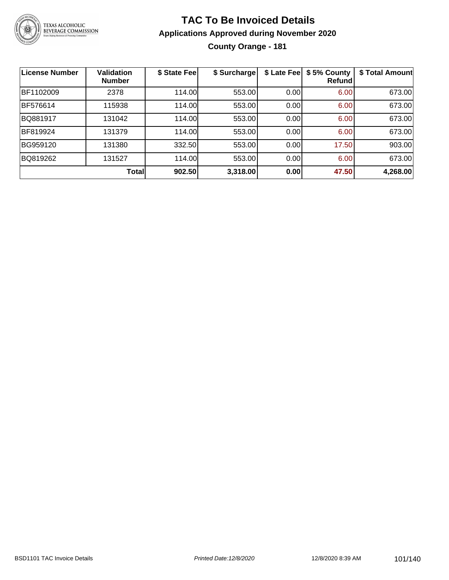

#### **TAC To Be Invoiced Details Applications Approved during November 2020 County Orange - 181**

| <b>License Number</b> | <b>Validation</b><br><b>Number</b> | \$ State Fee | \$ Surcharge | \$ Late Fee | \$5% County<br>Refund | \$ Total Amount |
|-----------------------|------------------------------------|--------------|--------------|-------------|-----------------------|-----------------|
| BF1102009             | 2378                               | 114.00       | 553.00       | 0.00        | 6.00                  | 673.00          |
| BF576614              | 115938                             | 114.00       | 553.00       | 0.00        | 6.00                  | 673.00          |
| BQ881917              | 131042                             | 114.00       | 553.00       | 0.00        | 6.00                  | 673.00          |
| BF819924              | 131379                             | 114.00       | 553.00       | 0.00        | 6.00                  | 673.00          |
| BG959120              | 131380                             | 332.50       | 553.00       | 0.00        | 17.50                 | 903.00          |
| BQ819262              | 131527                             | 114.00       | 553.00       | 0.00        | 6.00                  | 673.00          |
|                       | <b>Total</b>                       | 902.50       | 3,318.00     | 0.00        | 47.50                 | 4,268.00        |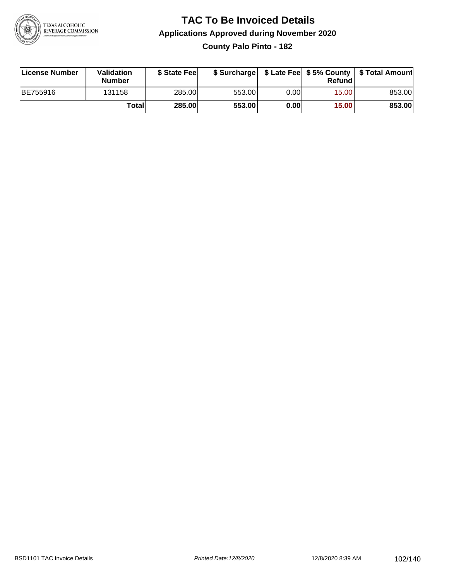

**County Palo Pinto - 182**

| License Number | <b>Validation</b><br><b>Number</b> | \$ State Fee  | \$ Surcharge |       | Refundl |        |
|----------------|------------------------------------|---------------|--------------|-------|---------|--------|
| BE755916       | 131158                             | 285.00        | 553.00       | 0.001 | 15.00   | 853.00 |
|                | Totall                             | <b>285.00</b> | 553.00       | 0.00  | 15.00   | 853.00 |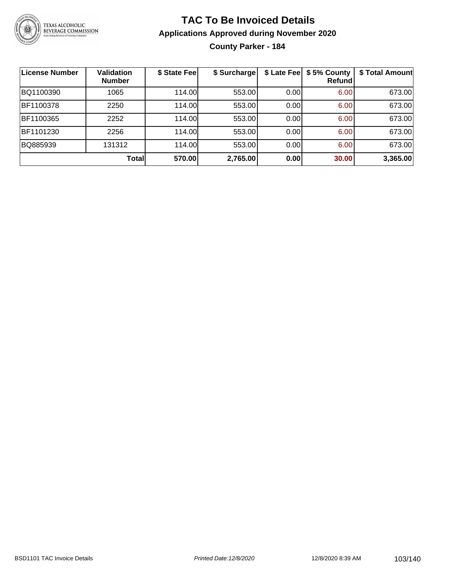

**County Parker - 184**

| <b>License Number</b> | <b>Validation</b><br><b>Number</b> | \$ State Fee | \$ Surcharge | \$ Late Fee | \$5% County<br><b>Refund</b> | \$ Total Amount |
|-----------------------|------------------------------------|--------------|--------------|-------------|------------------------------|-----------------|
| BQ1100390             | 1065                               | 114.00       | 553.00       | 0.00        | 6.00                         | 673.00          |
| BF1100378             | 2250                               | 114.00       | 553.00       | 0.00        | 6.00                         | 673.00          |
| BF1100365             | 2252                               | 114.00       | 553.00       | 0.00        | 6.00                         | 673.00          |
| BF1101230             | 2256                               | 114.00L      | 553.00       | 0.00        | 6.00                         | 673.00          |
| BQ885939              | 131312                             | 114.00       | 553.00       | 0.00        | 6.00                         | 673.00          |
|                       | Total                              | 570.00       | 2,765.00     | 0.00        | 30.00                        | 3,365.00        |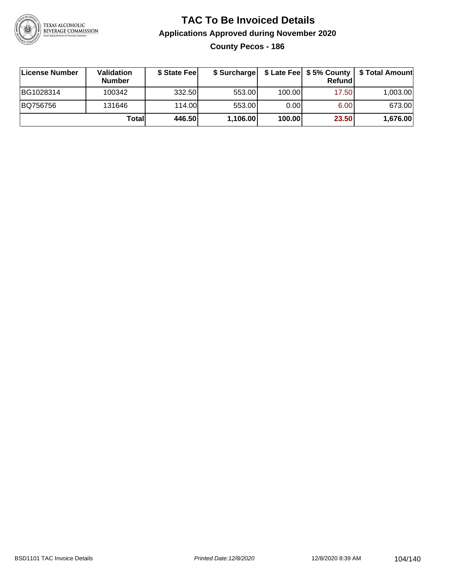

**County Pecos - 186**

| License Number | <b>Validation</b><br><b>Number</b> | \$ State Feel |          |        | Refundl | \$ Surcharge   \$ Late Fee   \$5% County   \$ Total Amount |
|----------------|------------------------------------|---------------|----------|--------|---------|------------------------------------------------------------|
| BG1028314      | 100342                             | 332.50        | 553.00   | 100.00 | 17.50   | 1,003.00                                                   |
| BQ756756       | 131646                             | 114.00L       | 553.00   | 0.00   | 6.00    | 673.00                                                     |
|                | Totall                             | 446.50        | 1,106.00 | 100.00 | 23.50   | 1,676.00                                                   |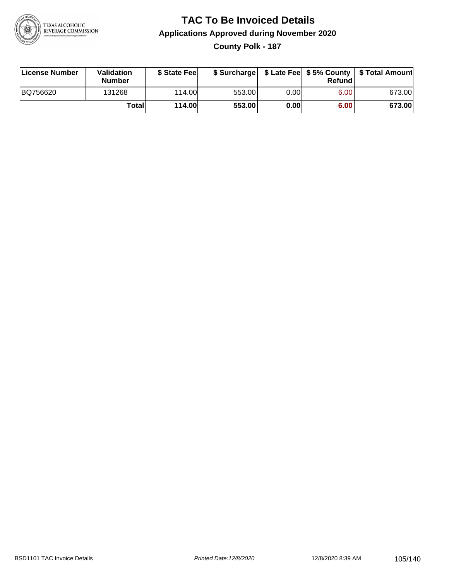

#### **TAC To Be Invoiced Details Applications Approved during November 2020 County Polk - 187**

| License Number | Validation<br><b>Number</b> | \$ State Fee  |        |      | Refund | \$ Surcharge   \$ Late Fee   \$5% County   \$ Total Amount |
|----------------|-----------------------------|---------------|--------|------|--------|------------------------------------------------------------|
| BQ756620       | 131268                      | 114.00L       | 553.00 | 0.00 | 6.00   | 673.00                                                     |
|                | Totall                      | <b>114.00</b> | 553.00 | 0.00 | 6.00   | 673.00                                                     |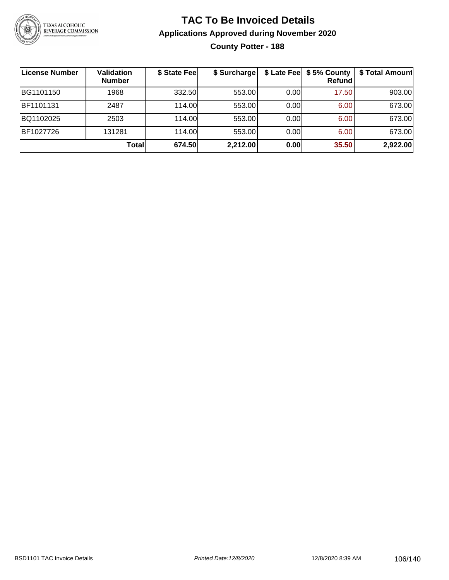

#### **TAC To Be Invoiced Details Applications Approved during November 2020 County Potter - 188**

| License Number | <b>Validation</b><br><b>Number</b> | \$ State Fee | \$ Surcharge |      | \$ Late Fee   \$5% County<br>Refundl | \$ Total Amount |
|----------------|------------------------------------|--------------|--------------|------|--------------------------------------|-----------------|
| BG1101150      | 1968                               | 332.50       | 553.00       | 0.00 | 17.50                                | 903.00          |
| BF1101131      | 2487                               | 114.00L      | 553.00       | 0.00 | 6.00                                 | 673.00          |
| BQ1102025      | 2503                               | 114.00       | 553.00       | 0.00 | 6.00                                 | 673.00          |
| BF1027726      | 131281                             | 114.00       | 553.00       | 0.00 | 6.00                                 | 673.00          |
|                | <b>Total</b>                       | 674.50       | 2,212.00     | 0.00 | 35.50                                | 2,922.00        |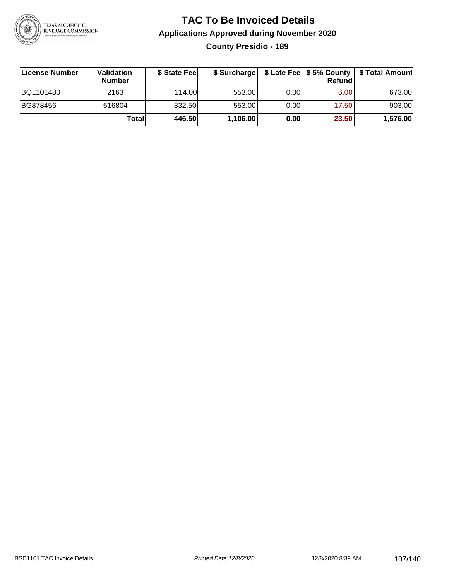

#### **TAC To Be Invoiced Details Applications Approved during November 2020 County Presidio - 189**

| <b>∣License Number</b> | <b>Validation</b><br><b>Number</b> | \$ State Feel | \$ Surcharge |      | Refund | \$ Late Fee   \$5% County   \$ Total Amount |
|------------------------|------------------------------------|---------------|--------------|------|--------|---------------------------------------------|
| BQ1101480              | 2163                               | 114.00L       | 553.00       | 0.00 | 6.00   | 673.00                                      |
| BG878456               | 516804                             | 332.50        | 553.00       | 0.00 | 17.50  | 903.00                                      |
|                        | Totall                             | 446.50        | 1,106.00     | 0.00 | 23.50  | 1,576.00                                    |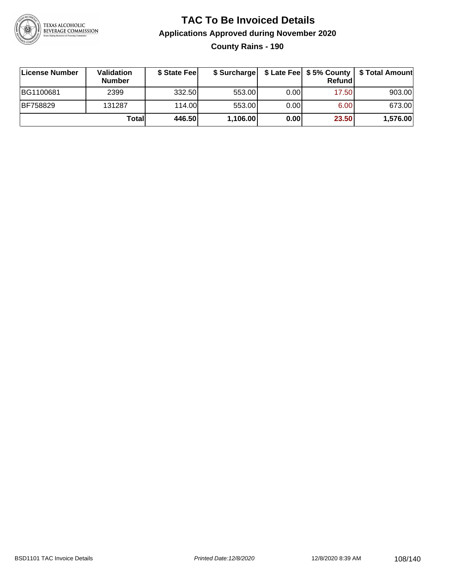

**County Rains - 190**

| License Number  | <b>Validation</b><br><b>Number</b> | \$ State Fee | \$ Surcharge |       | Refundl | \$ Late Fee   \$5% County   \$ Total Amount |
|-----------------|------------------------------------|--------------|--------------|-------|---------|---------------------------------------------|
| BG1100681       | 2399                               | 332.50       | 553.00       | 0.001 | 17.50   | 903.00                                      |
| <b>BF758829</b> | 131287                             | 114.00       | 553.00       | 0.001 | 6.00    | 673.00                                      |
|                 | Totall                             | 446.50       | 1,106.00     | 0.00  | 23.50   | 1,576.00                                    |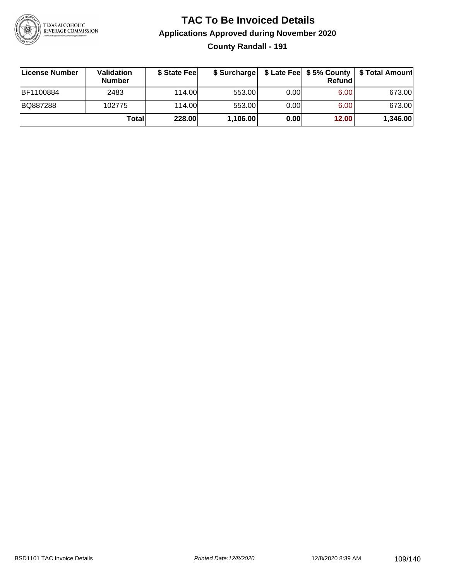

### **TAC To Be Invoiced Details Applications Approved during November 2020 County Randall - 191**

| License Number | <b>Validation</b><br><b>Number</b> | \$ State Feel | \$ Surcharge |      | Refund | \$ Late Fee   \$5% County   \$ Total Amount |
|----------------|------------------------------------|---------------|--------------|------|--------|---------------------------------------------|
| BF1100884      | 2483                               | 114.00L       | 553.00       | 0.00 | 6.00   | 673.00                                      |
| BQ887288       | 102775                             | 114.00L       | 553.00       | 0.00 | 6.00   | 673.00                                      |
|                | Totall                             | 228.00        | 1,106.00     | 0.00 | 12.00  | 1,346.00                                    |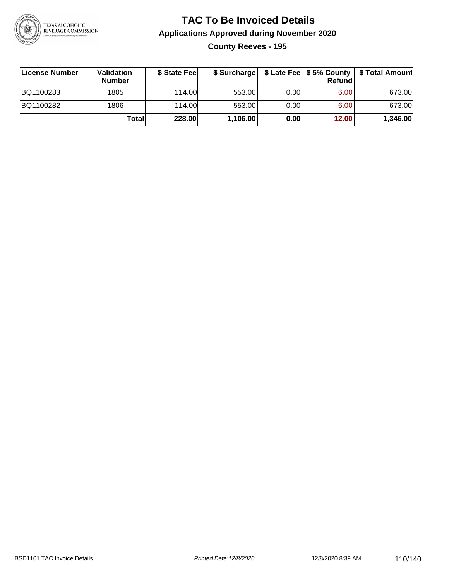

**County Reeves - 195**

| ∣License Number | <b>Validation</b><br><b>Number</b> | \$ State Fee | \$ Surcharge |       | <b>Refund</b> | \$ Late Fee   \$5% County   \$ Total Amount |
|-----------------|------------------------------------|--------------|--------------|-------|---------------|---------------------------------------------|
| BQ1100283       | 1805                               | 114.00       | 553.00       | 0.001 | 6.00          | 673.00                                      |
| BQ1100282       | 1806                               | 114.00       | 553.00       | 0.001 | 6.00          | 673.00                                      |
|                 | Totall                             | 228.00       | 1,106.00     | 0.00  | 12.00         | 1,346.00                                    |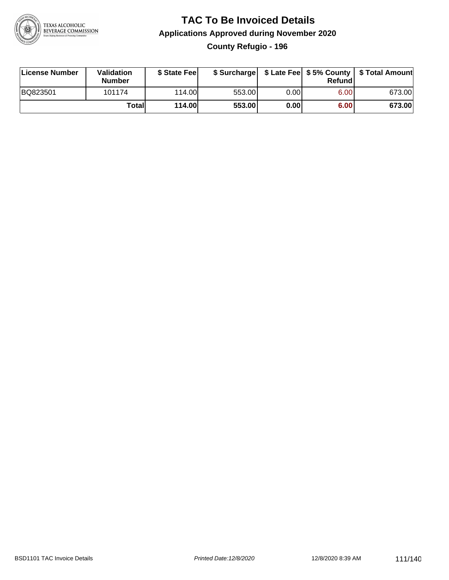

### **TAC To Be Invoiced Details Applications Approved during November 2020 County Refugio - 196**

| License Number | Validation<br><b>Number</b> | \$ State Feel  |        |      | Refund | \$ Surcharge   \$ Late Fee   \$5% County   \$ Total Amount |
|----------------|-----------------------------|----------------|--------|------|--------|------------------------------------------------------------|
| BQ823501       | 101174                      | 114.00L        | 553.00 | 0.00 | 6.00   | 673.00                                                     |
|                | Totall                      | <b>114.00L</b> | 553.00 | 0.00 | 6.00   | 673.00                                                     |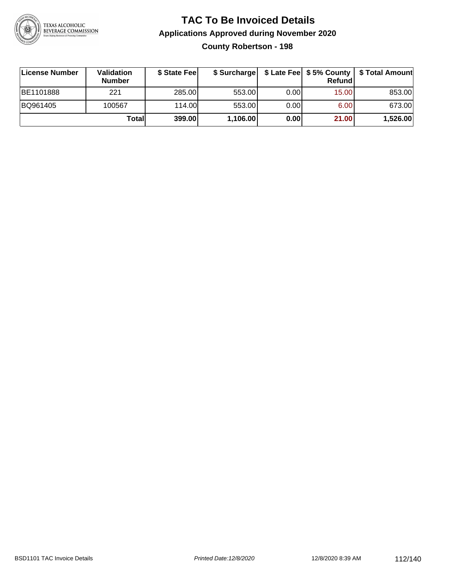

**County Robertson - 198**

| ∣License Number | Validation<br><b>Number</b> | \$ State Fee | \$ Surcharge |       | <b>Refund</b>     | \$ Late Fee   \$5% County   \$ Total Amount |
|-----------------|-----------------------------|--------------|--------------|-------|-------------------|---------------------------------------------|
| BE1101888       | 221                         | 285.00       | 553.00       | 0.00  | 15.00             | 853.00                                      |
| BQ961405        | 100567                      | 114.00L      | 553.00       | 0.001 | 6.00 <sub>1</sub> | 673.00                                      |
|                 | Totall                      | 399.00       | 1,106.00     | 0.00  | 21.00             | 1,526.00                                    |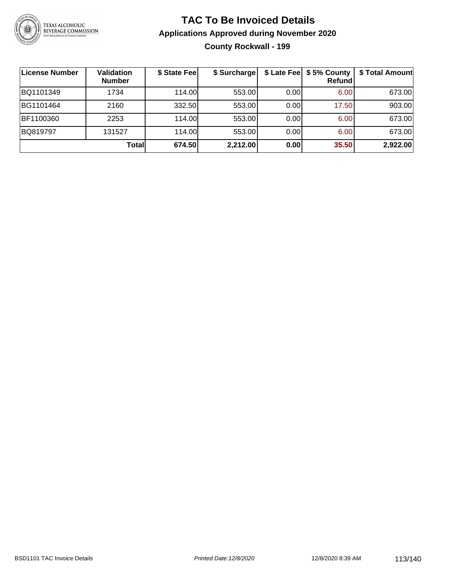

### **TAC To Be Invoiced Details Applications Approved during November 2020 County Rockwall - 199**

| <b>License Number</b> | Validation<br><b>Number</b> | \$ State Fee | \$ Surcharge |      | \$ Late Fee   \$5% County<br><b>Refund</b> | \$ Total Amount |
|-----------------------|-----------------------------|--------------|--------------|------|--------------------------------------------|-----------------|
| BQ1101349             | 1734                        | 114.00       | 553.00       | 0.00 | 6.00                                       | 673.00          |
| BG1101464             | 2160                        | 332.50       | 553.00       | 0.00 | 17.50                                      | 903.00          |
| BF1100360             | 2253                        | 114.00       | 553.00       | 0.00 | 6.00                                       | 673.00          |
| BQ819797              | 131527                      | 114.00       | 553.00       | 0.00 | 6.00                                       | 673.00          |
|                       | Totall                      | 674.50       | 2,212.00     | 0.00 | 35.50                                      | 2,922.00        |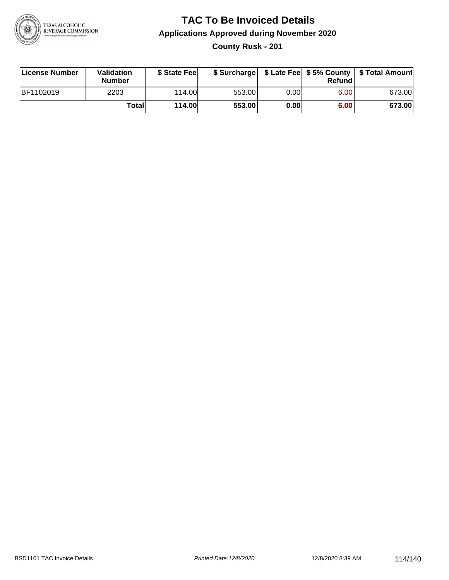

**County Rusk - 201**

| License Number | Validation<br><b>Number</b> | \$ State Fee  | \$ Surcharge |      | Refund | \$ Late Fee   \$5% County   \$ Total Amount |
|----------------|-----------------------------|---------------|--------------|------|--------|---------------------------------------------|
| BF1102019      | 2203                        | 114.00        | 553.00       | 0.00 | 6.00   | 673.00                                      |
|                | Totall                      | <b>114.00</b> | 553.00       | 0.00 | 6.00   | 673.00                                      |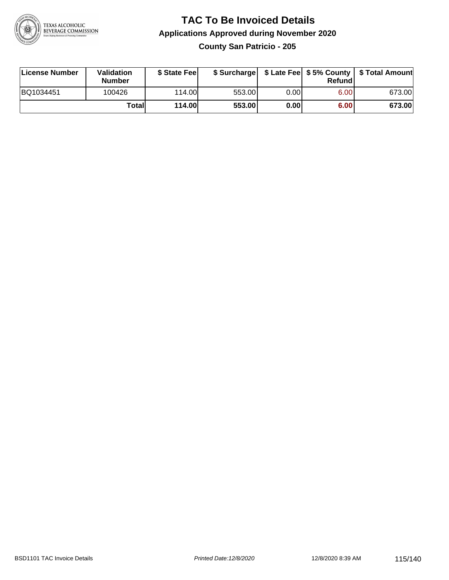

**County San Patricio - 205**

| License Number | Validation<br><b>Number</b> | \$ State Fee  | \$ Surcharge |      | Refundl | \$ Late Fee   \$5% County   \$ Total Amount |
|----------------|-----------------------------|---------------|--------------|------|---------|---------------------------------------------|
| BQ1034451      | 100426                      | 114.00        | 553.00       | 0.00 | 6.00    | 673.00                                      |
|                | Totall                      | <b>114.00</b> | 553.00       | 0.00 | 6.00    | 673.00                                      |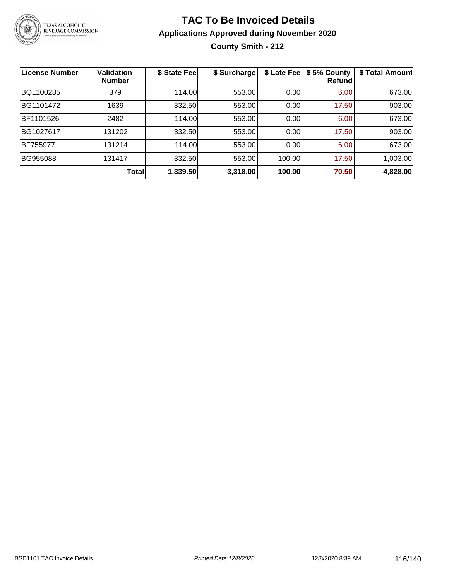

### **TAC To Be Invoiced Details Applications Approved during November 2020 County Smith - 212**

| <b>License Number</b> | <b>Validation</b><br><b>Number</b> | \$ State Fee | \$ Surcharge | \$ Late Fee | \$5% County<br>Refundl | \$ Total Amount |
|-----------------------|------------------------------------|--------------|--------------|-------------|------------------------|-----------------|
| BQ1100285             | 379                                | 114.00       | 553.00       | 0.00        | 6.00                   | 673.00          |
| BG1101472             | 1639                               | 332.50       | 553.00       | 0.00        | 17.50                  | 903.00          |
| BF1101526             | 2482                               | 114.00       | 553.00       | 0.00        | 6.00                   | 673.00          |
| BG1027617             | 131202                             | 332.50       | 553.00       | 0.00        | 17.50                  | 903.00          |
| BF755977              | 131214                             | 114.00       | 553.00       | 0.00        | 6.00                   | 673.00          |
| BG955088              | 131417                             | 332.50       | 553.00       | 100.00      | 17.50                  | 1,003.00        |
|                       | <b>Total</b>                       | 1,339.50     | 3,318.00     | 100.00      | 70.50                  | 4,828.00        |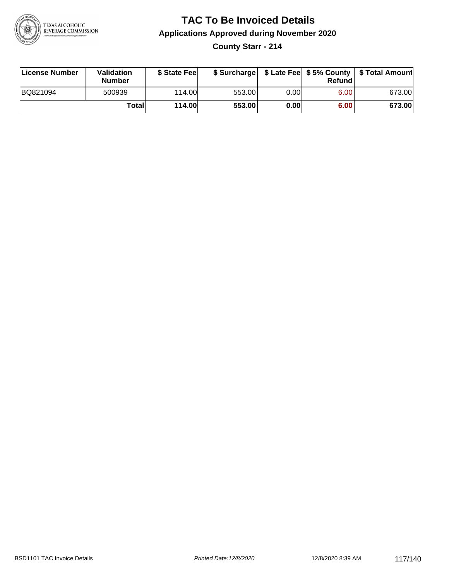

**County Starr - 214**

| License Number | <b>Validation</b><br><b>Number</b> | \$ State Fee  | \$ Surcharge |      | Refundl | \$ Late Fee   \$5% County   \$ Total Amount |
|----------------|------------------------------------|---------------|--------------|------|---------|---------------------------------------------|
| BQ821094       | 500939                             | 114.00L       | 553.00       | 0.00 | 6.00    | 673.00                                      |
|                | Totall                             | <b>114.00</b> | 553.00       | 0.00 | 6.00    | 673.00                                      |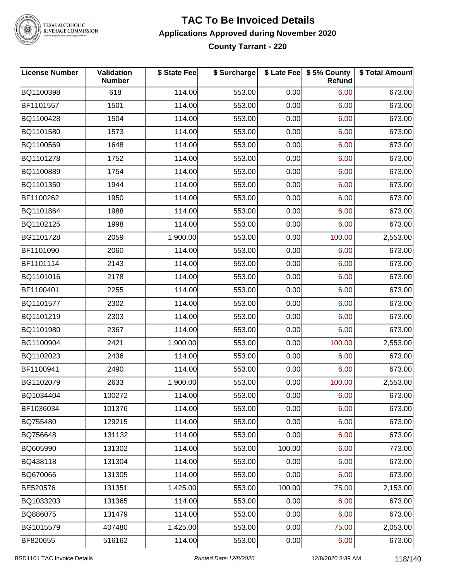

TEXAS ALCOHOLIC<br>BEVERAGE COMMISSION

#### **TAC To Be Invoiced Details Applications Approved during November 2020 County Tarrant - 220**

| <b>License Number</b> | Validation<br><b>Number</b> | \$ State Fee | \$ Surcharge |        | \$ Late Fee   \$5% County<br>Refund | \$ Total Amount |
|-----------------------|-----------------------------|--------------|--------------|--------|-------------------------------------|-----------------|
| BQ1100398             | 618                         | 114.00       | 553.00       | 0.00   | 6.00                                | 673.00          |
| BF1101557             | 1501                        | 114.00       | 553.00       | 0.00   | 6.00                                | 673.00          |
| BQ1100428             | 1504                        | 114.00       | 553.00       | 0.00   | 6.00                                | 673.00          |
| BQ1101580             | 1573                        | 114.00       | 553.00       | 0.00   | 6.00                                | 673.00          |
| BQ1100569             | 1648                        | 114.00       | 553.00       | 0.00   | 6.00                                | 673.00          |
| BQ1101278             | 1752                        | 114.00       | 553.00       | 0.00   | 6.00                                | 673.00          |
| BQ1100889             | 1754                        | 114.00       | 553.00       | 0.00   | 6.00                                | 673.00          |
| BQ1101350             | 1944                        | 114.00       | 553.00       | 0.00   | 6.00                                | 673.00          |
| BF1100262             | 1950                        | 114.00       | 553.00       | 0.00   | 6.00                                | 673.00          |
| BQ1101864             | 1988                        | 114.00       | 553.00       | 0.00   | 6.00                                | 673.00          |
| BQ1102125             | 1998                        | 114.00       | 553.00       | 0.00   | 6.00                                | 673.00          |
| BG1101728             | 2059                        | 1,900.00     | 553.00       | 0.00   | 100.00                              | 2,553.00        |
| BF1101090             | 2060                        | 114.00       | 553.00       | 0.00   | 6.00                                | 673.00          |
| BF1101114             | 2143                        | 114.00       | 553.00       | 0.00   | 6.00                                | 673.00          |
| BQ1101016             | 2178                        | 114.00       | 553.00       | 0.00   | 6.00                                | 673.00          |
| BF1100401             | 2255                        | 114.00       | 553.00       | 0.00   | 6.00                                | 673.00          |
| BQ1101577             | 2302                        | 114.00       | 553.00       | 0.00   | 6.00                                | 673.00          |
| BQ1101219             | 2303                        | 114.00       | 553.00       | 0.00   | 6.00                                | 673.00          |
| BQ1101980             | 2367                        | 114.00       | 553.00       | 0.00   | 6.00                                | 673.00          |
| BG1100904             | 2421                        | 1,900.00     | 553.00       | 0.00   | 100.00                              | 2,553.00        |
| BQ1102023             | 2436                        | 114.00       | 553.00       | 0.00   | 6.00                                | 673.00          |
| BF1100941             | 2490                        | 114.00       | 553.00       | 0.00   | 6.00                                | 673.00          |
| BG1102079             | 2633                        | 1,900.00     | 553.00       | 0.00   | 100.00                              | 2,553.00        |
| BQ1034404             | 100272                      | 114.00       | 553.00       | 0.00   | 6.00                                | 673.00          |
| BF1036034             | 101376                      | 114.00       | 553.00       | 0.00   | 6.00                                | 673.00          |
| BQ755480              | 129215                      | 114.00       | 553.00       | 0.00   | 6.00                                | 673.00          |
| BQ756648              | 131132                      | 114.00       | 553.00       | 0.00   | 6.00                                | 673.00          |
| BQ605990              | 131302                      | 114.00       | 553.00       | 100.00 | 6.00                                | 773.00          |
| BQ438118              | 131304                      | 114.00       | 553.00       | 0.00   | 6.00                                | 673.00          |
| BQ670066              | 131305                      | 114.00       | 553.00       | 0.00   | 6.00                                | 673.00          |
| BE520576              | 131351                      | 1,425.00     | 553.00       | 100.00 | 75.00                               | 2,153.00        |
| BQ1033203             | 131365                      | 114.00       | 553.00       | 0.00   | 6.00                                | 673.00          |
| BQ886075              | 131479                      | 114.00       | 553.00       | 0.00   | 6.00                                | 673.00          |
| BG1015579             | 407480                      | 1,425.00     | 553.00       | 0.00   | 75.00                               | 2,053.00        |
| BF820655              | 516162                      | 114.00       | 553.00       | 0.00   | 6.00                                | 673.00          |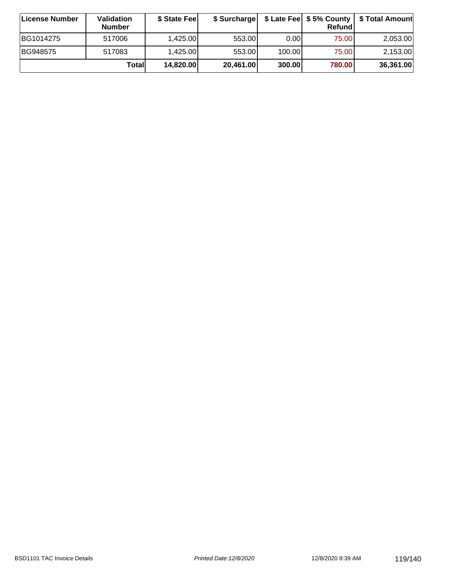| <b>∣License Number</b> | <b>Validation</b><br><b>Number</b> | \$ State Fee | \$ Surcharge |        | Refundl |           |
|------------------------|------------------------------------|--------------|--------------|--------|---------|-----------|
| BG1014275              | 517006                             | 1,425.00     | 553.00       | 0.00   | 75.00   | 2,053.00  |
| BG948575               | 517083                             | 1,425.00     | 553.00       | 100.00 | 75.00   | 2,153.00  |
|                        | Totall                             | 14,820.00    | 20,461.00    | 300.00 | 780.00  | 36,361.00 |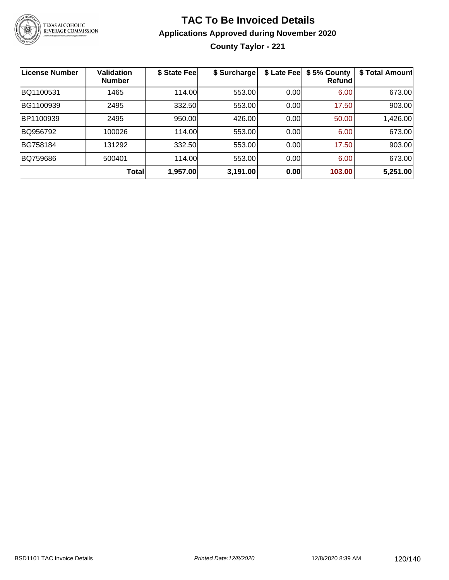

**County Taylor - 221**

| License Number | <b>Validation</b><br><b>Number</b> | \$ State Fee | \$ Surcharge | \$ Late Fee | \$5% County<br>Refundl | \$ Total Amount |
|----------------|------------------------------------|--------------|--------------|-------------|------------------------|-----------------|
| BQ1100531      | 1465                               | 114.00       | 553.00       | 0.00        | 6.00                   | 673.00          |
| BG1100939      | 2495                               | 332.50       | 553.00       | 0.00        | 17.50                  | 903.00          |
| BP1100939      | 2495                               | 950.00       | 426.00       | 0.00        | 50.00                  | 1,426.00        |
| BQ956792       | 100026                             | 114.00       | 553.00       | 0.00        | 6.00                   | 673.00          |
| BG758184       | 131292                             | 332.50       | 553.00       | 0.00        | 17.50                  | 903.00          |
| BQ759686       | 500401                             | 114.00       | 553.00       | 0.00        | 6.00                   | 673.00          |
|                | <b>Total</b>                       | 1,957.00     | 3,191.00     | 0.00        | 103.00                 | 5,251.00        |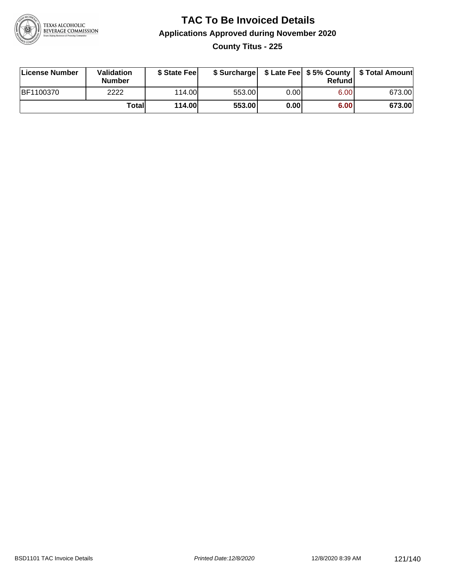

### **TAC To Be Invoiced Details Applications Approved during November 2020 County Titus - 225**

| License Number   | Validation<br><b>Number</b> | \$ State Fee  |        |      | Refund | \$ Surcharge   \$ Late Fee   \$5% County   \$ Total Amount |
|------------------|-----------------------------|---------------|--------|------|--------|------------------------------------------------------------|
| <b>BF1100370</b> | 2222                        | 114.00L       | 553.00 | 0.00 | 6.00   | 673.00                                                     |
|                  | Totall                      | <b>114.00</b> | 553.00 | 0.00 | 6.00   | 673.00                                                     |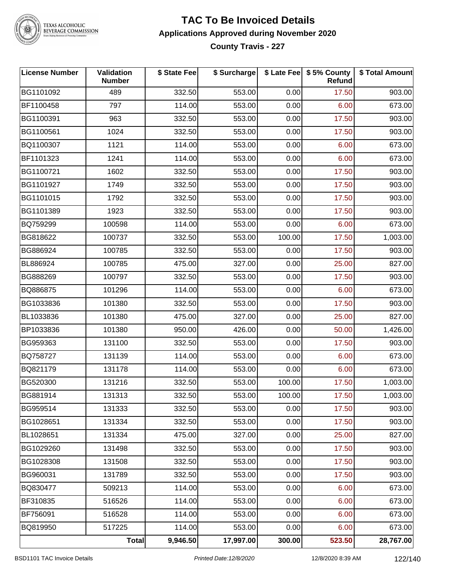

TEXAS ALCOHOLIC<br>BEVERAGE COMMISSION

#### **TAC To Be Invoiced Details Applications Approved during November 2020 County Travis - 227**

| <b>License Number</b> | Validation<br><b>Number</b> | \$ State Fee | \$ Surcharge |        | \$ Late Fee \$ 5% County<br>Refund | \$ Total Amount |
|-----------------------|-----------------------------|--------------|--------------|--------|------------------------------------|-----------------|
| BG1101092             | 489                         | 332.50       | 553.00       | 0.00   | 17.50                              | 903.00          |
| BF1100458             | 797                         | 114.00       | 553.00       | 0.00   | 6.00                               | 673.00          |
| BG1100391             | 963                         | 332.50       | 553.00       | 0.00   | 17.50                              | 903.00          |
| BG1100561             | 1024                        | 332.50       | 553.00       | 0.00   | 17.50                              | 903.00          |
| BQ1100307             | 1121                        | 114.00       | 553.00       | 0.00   | 6.00                               | 673.00          |
| BF1101323             | 1241                        | 114.00       | 553.00       | 0.00   | 6.00                               | 673.00          |
| BG1100721             | 1602                        | 332.50       | 553.00       | 0.00   | 17.50                              | 903.00          |
| BG1101927             | 1749                        | 332.50       | 553.00       | 0.00   | 17.50                              | 903.00          |
| BG1101015             | 1792                        | 332.50       | 553.00       | 0.00   | 17.50                              | 903.00          |
| BG1101389             | 1923                        | 332.50       | 553.00       | 0.00   | 17.50                              | 903.00          |
| BQ759299              | 100598                      | 114.00       | 553.00       | 0.00   | 6.00                               | 673.00          |
| BG818622              | 100737                      | 332.50       | 553.00       | 100.00 | 17.50                              | 1,003.00        |
| BG886924              | 100785                      | 332.50       | 553.00       | 0.00   | 17.50                              | 903.00          |
| BL886924              | 100785                      | 475.00       | 327.00       | 0.00   | 25.00                              | 827.00          |
| BG888269              | 100797                      | 332.50       | 553.00       | 0.00   | 17.50                              | 903.00          |
| BQ886875              | 101296                      | 114.00       | 553.00       | 0.00   | 6.00                               | 673.00          |
| BG1033836             | 101380                      | 332.50       | 553.00       | 0.00   | 17.50                              | 903.00          |
| BL1033836             | 101380                      | 475.00       | 327.00       | 0.00   | 25.00                              | 827.00          |
| BP1033836             | 101380                      | 950.00       | 426.00       | 0.00   | 50.00                              | 1,426.00        |
| BG959363              | 131100                      | 332.50       | 553.00       | 0.00   | 17.50                              | 903.00          |
| BQ758727              | 131139                      | 114.00       | 553.00       | 0.00   | 6.00                               | 673.00          |
| BQ821179              | 131178                      | 114.00       | 553.00       | 0.00   | 6.00                               | 673.00          |
| BG520300              | 131216                      | 332.50       | 553.00       | 100.00 | 17.50                              | 1,003.00        |
| BG881914              | 131313                      | 332.50       | 553.00       | 100.00 | 17.50                              | 1,003.00        |
| BG959514              | 131333                      | 332.50       | 553.00       | 0.00   | 17.50                              | 903.00          |
| BG1028651             | 131334                      | 332.50       | 553.00       | 0.00   | 17.50                              | 903.00          |
| BL1028651             | 131334                      | 475.00       | 327.00       | 0.00   | 25.00                              | 827.00          |
| BG1029260             | 131498                      | 332.50       | 553.00       | 0.00   | 17.50                              | 903.00          |
| BG1028308             | 131508                      | 332.50       | 553.00       | 0.00   | 17.50                              | 903.00          |
| BG960031              | 131789                      | 332.50       | 553.00       | 0.00   | 17.50                              | 903.00          |
| BQ830477              | 509213                      | 114.00       | 553.00       | 0.00   | 6.00                               | 673.00          |
| BF310835              | 516526                      | 114.00       | 553.00       | 0.00   | 6.00                               | 673.00          |
| BF756091              | 516528                      | 114.00       | 553.00       | 0.00   | 6.00                               | 673.00          |
| BQ819950              | 517225                      | 114.00       | 553.00       | 0.00   | 6.00                               | 673.00          |
|                       | <b>Total</b>                | 9,946.50     | 17,997.00    | 300.00 | 523.50                             | 28,767.00       |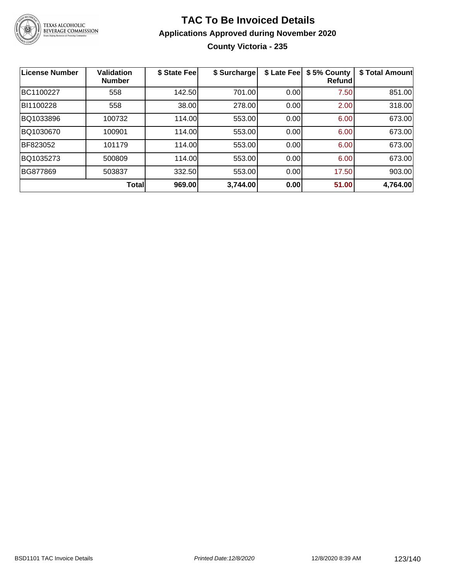

### **TAC To Be Invoiced Details Applications Approved during November 2020 County Victoria - 235**

| <b>License Number</b> | <b>Validation</b><br><b>Number</b> | \$ State Fee | \$ Surcharge | \$ Late Fee | \$5% County<br>Refund | \$ Total Amount |
|-----------------------|------------------------------------|--------------|--------------|-------------|-----------------------|-----------------|
| BC1100227             | 558                                | 142.50       | 701.00       | 0.00        | 7.50                  | 851.00          |
| BI1100228             | 558                                | 38.00        | 278.00       | 0.00        | 2.00                  | 318.00          |
| BQ1033896             | 100732                             | 114.00       | 553.00       | 0.00        | 6.00                  | 673.00          |
| BQ1030670             | 100901                             | 114.00       | 553.00       | 0.00        | 6.00                  | 673.00          |
| BF823052              | 101179                             | 114.00       | 553.00       | 0.00        | 6.00                  | 673.00          |
| BQ1035273             | 500809                             | 114.00       | 553.00       | 0.00        | 6.00                  | 673.00          |
| BG877869              | 503837                             | 332.50       | 553.00       | 0.00        | 17.50                 | 903.00          |
|                       | Total                              | 969.00       | 3,744.00     | 0.00        | 51.00                 | 4,764.00        |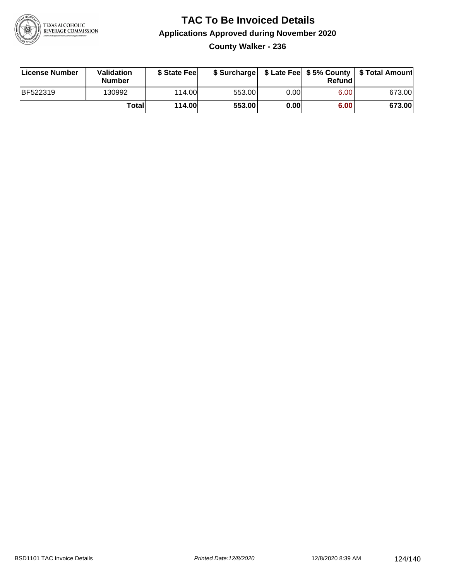

**County Walker - 236**

| License Number | Validation<br><b>Number</b> | \$ State Fee  | \$ Surcharge |      | Refund | \$ Late Fee   \$5% County   \$ Total Amount |
|----------------|-----------------------------|---------------|--------------|------|--------|---------------------------------------------|
| BF522319       | 130992                      | 114.00        | 553.00       | 0.00 | 6.00   | 673.00                                      |
|                | Totall                      | <b>114.00</b> | 553.00       | 0.00 | 6.00   | 673.00                                      |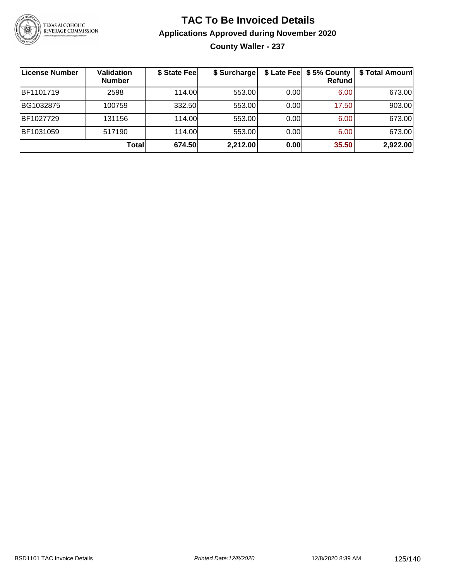

**County Waller - 237**

| License Number | <b>Validation</b><br><b>Number</b> | \$ State Fee | \$ Surcharge |      | \$ Late Fee   \$5% County<br>Refundl | \$ Total Amount |
|----------------|------------------------------------|--------------|--------------|------|--------------------------------------|-----------------|
| BF1101719      | 2598                               | 114.00       | 553.00       | 0.00 | 6.00                                 | 673.00          |
| BG1032875      | 100759                             | 332.50       | 553.00       | 0.00 | 17.50                                | 903.00          |
| BF1027729      | 131156                             | 114.00       | 553.00       | 0.00 | 6.00                                 | 673.00          |
| BF1031059      | 517190                             | 114.00L      | 553.00       | 0.00 | 6.00                                 | 673.00          |
|                | Totall                             | 674.50       | 2,212.00     | 0.00 | 35.50                                | 2,922.00        |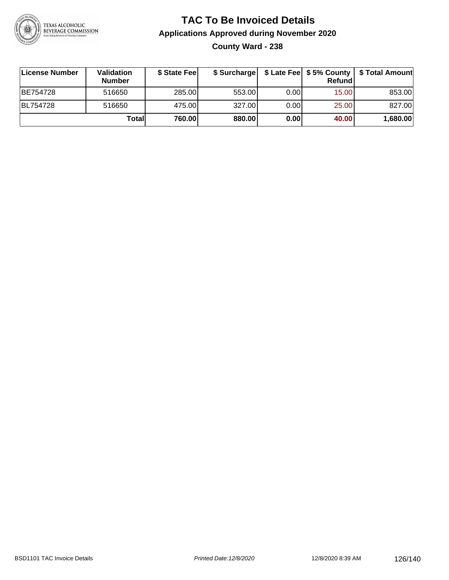

**County Ward - 238**

| ∣License Number | <b>Validation</b><br><b>Number</b> | \$ State Fee | \$ Surcharge |       | <b>Refund</b> | \$ Late Fee   \$5% County   \$ Total Amount |
|-----------------|------------------------------------|--------------|--------------|-------|---------------|---------------------------------------------|
| BE754728        | 516650                             | 285.00       | 553.00       | 0.001 | 15.00         | 853.00                                      |
| BL754728        | 516650                             | 475.00       | 327.00       | 0.001 | 25.00         | 827.00                                      |
|                 | Totall                             | 760.00       | 880.00       | 0.00  | 40.00         | 1,680.00                                    |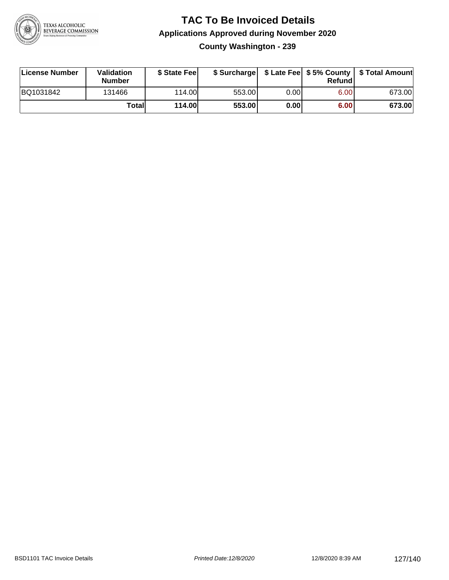

**County Washington - 239**

| License Number | Validation<br><b>Number</b> | \$ State Fee  | \$ Surcharge |       | Refundl | \$ Late Fee   \$5% County   \$ Total Amount |
|----------------|-----------------------------|---------------|--------------|-------|---------|---------------------------------------------|
| BQ1031842      | 131466                      | 114.00L       | 553.00       | 0.00I | 6.00    | 673.00                                      |
|                | Totall                      | <b>114.00</b> | 553.00       | 0.00  | 6.00    | 673.00                                      |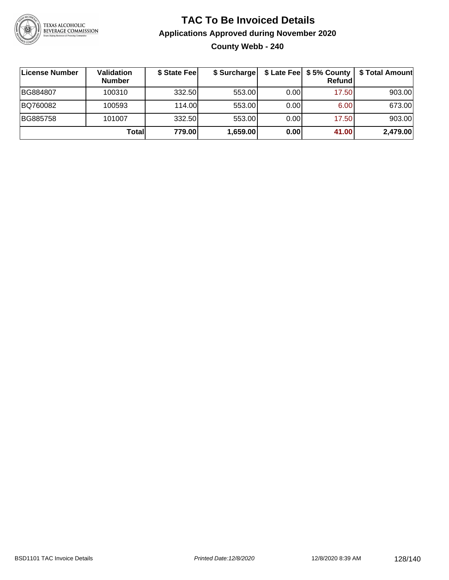

### **TAC To Be Invoiced Details Applications Approved during November 2020 County Webb - 240**

| ∣License Number | Validation<br><b>Number</b> | \$ State Fee | \$ Surcharge |      | \$ Late Fee   \$5% County  <br><b>Refund</b> | \$ Total Amount |
|-----------------|-----------------------------|--------------|--------------|------|----------------------------------------------|-----------------|
| BG884807        | 100310                      | 332.50       | 553.00       | 0.00 | 17.50                                        | 903.00          |
| BQ760082        | 100593                      | 114.00       | 553.00       | 0.00 | 6.00                                         | 673.00          |
| BG885758        | 101007                      | 332.50       | 553.00       | 0.00 | 17.50                                        | 903.00          |
|                 | Totall                      | 779.00       | 1,659.00     | 0.00 | 41.00                                        | 2,479.00        |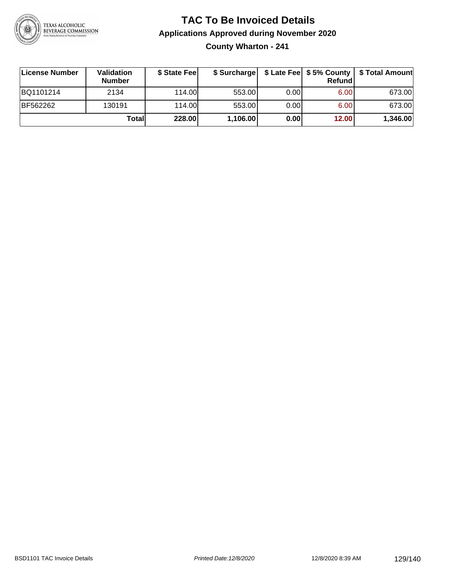

**County Wharton - 241**

| License Number | Validation<br><b>Number</b> | \$ State Fee | \$ Surcharge |       | Refundl | \$ Late Fee   \$5% County   \$ Total Amount |
|----------------|-----------------------------|--------------|--------------|-------|---------|---------------------------------------------|
| BQ1101214      | 2134                        | 114.00       | 553.00       | 0.00  | 6.00    | 673.00                                      |
| BF562262       | 130191                      | 114.00L      | 553.00       | 0.001 | 6.00    | 673.00                                      |
|                | Totall                      | 228.00       | 1,106.00     | 0.00  | 12.00   | 1,346.00                                    |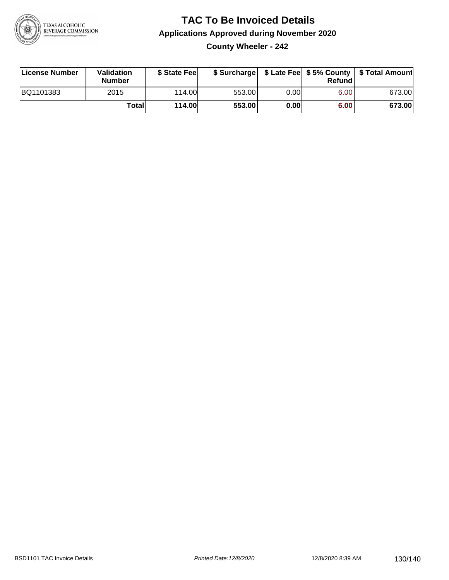

**County Wheeler - 242**

| License Number | Validation<br><b>Number</b> | \$ State Fee  | \$ Surcharge |      | Refund | \$ Late Fee   \$5% County   \$ Total Amount |
|----------------|-----------------------------|---------------|--------------|------|--------|---------------------------------------------|
| BQ1101383      | 2015                        | 114.00        | 553.00       | 0.00 | 6.00   | 673.00                                      |
|                | Totall                      | <b>114.00</b> | 553.00       | 0.00 | 6.00   | 673.00                                      |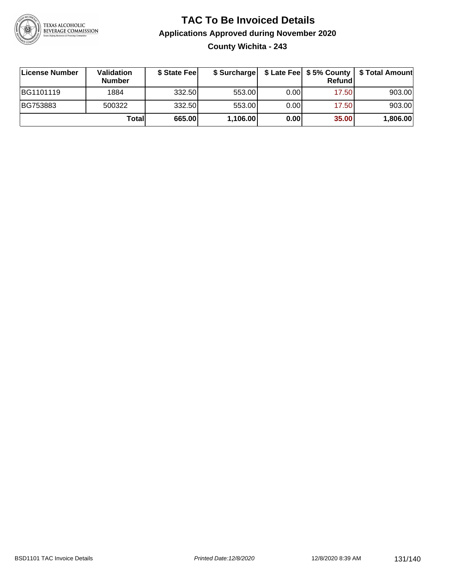

### **TAC To Be Invoiced Details Applications Approved during November 2020 County Wichita - 243**

| License Number | Validation<br><b>Number</b> | \$ State Fee | \$ Surcharge |      | Refund | \$ Late Fee   \$5% County   \$ Total Amount |
|----------------|-----------------------------|--------------|--------------|------|--------|---------------------------------------------|
| BG1101119      | 1884                        | 332.50       | 553.00       | 0.00 | 17.50  | 903.00                                      |
| BG753883       | 500322                      | 332.50       | 553.00       | 0.00 | 17.50  | 903.00                                      |
|                | Totall                      | 665.00       | 1,106.00     | 0.00 | 35.00  | 1,806.00                                    |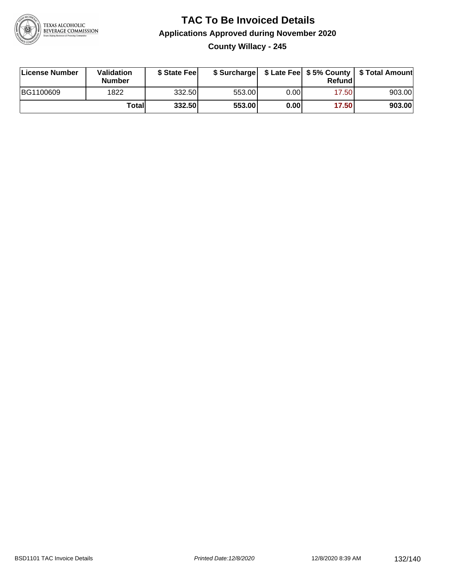

### **TAC To Be Invoiced Details Applications Approved during November 2020 County Willacy - 245**

| License Number   | <b>Validation</b><br><b>Number</b> | \$ State Feel |        |      | Refundl | \$ Surcharge   \$ Late Fee   \$5% County   \$ Total Amount |
|------------------|------------------------------------|---------------|--------|------|---------|------------------------------------------------------------|
| <b>BG1100609</b> | 1822                               | 332.50        | 553.00 | 0.00 | 17.50   | 903.00                                                     |
|                  | Totall                             | 332.50        | 553.00 | 0.00 | 17.50   | 903.00                                                     |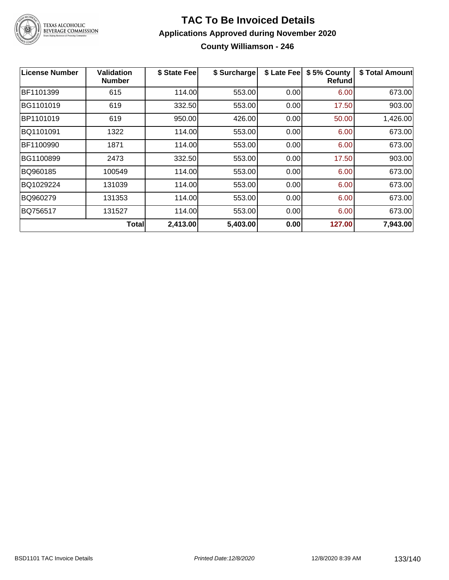

#### **TAC To Be Invoiced Details Applications Approved during November 2020 County Williamson - 246**

| <b>License Number</b> | Validation<br><b>Number</b> | \$ State Fee | \$ Surcharge | \$ Late Fee | \$5% County<br><b>Refund</b> | \$ Total Amount |
|-----------------------|-----------------------------|--------------|--------------|-------------|------------------------------|-----------------|
| BF1101399             | 615                         | 114.00       | 553.00       | 0.00        | 6.00                         | 673.00          |
| BG1101019             | 619                         | 332.50       | 553.00       | 0.00        | 17.50                        | 903.00          |
| BP1101019             | 619                         | 950.00       | 426.00       | 0.00        | 50.00                        | 1,426.00        |
| BQ1101091             | 1322                        | 114.00       | 553.00       | 0.00        | 6.00                         | 673.00          |
| BF1100990             | 1871                        | 114.00       | 553.00       | 0.00        | 6.00                         | 673.00          |
| BG1100899             | 2473                        | 332.50       | 553.00       | 0.00        | 17.50                        | 903.00          |
| BQ960185              | 100549                      | 114.00       | 553.00       | 0.00        | 6.00                         | 673.00          |
| BQ1029224             | 131039                      | 114.00       | 553.00       | 0.00        | 6.00                         | 673.00          |
| BQ960279              | 131353                      | 114.00       | 553.00       | 0.00        | 6.00                         | 673.00          |
| BQ756517              | 131527                      | 114.00       | 553.00       | 0.00        | 6.00                         | 673.00          |
|                       | Totall                      | 2,413.00     | 5,403.00     | 0.00        | 127.00                       | 7,943.00        |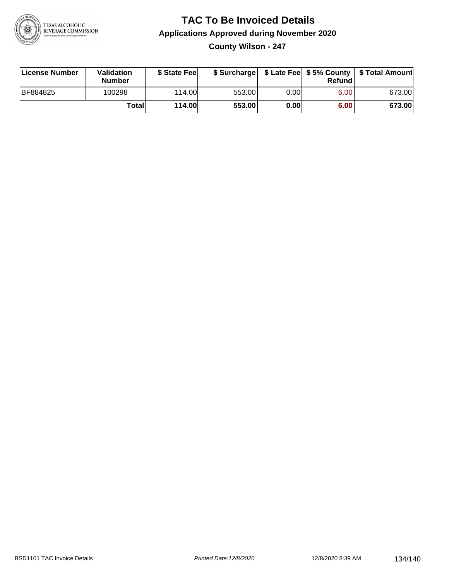

### **TAC To Be Invoiced Details Applications Approved during November 2020 County Wilson - 247**

| License Number  | Validation<br><b>Number</b> | \$ State Fee  |        |      | Refund | \$ Surcharge   \$ Late Fee   \$5% County   \$ Total Amount |
|-----------------|-----------------------------|---------------|--------|------|--------|------------------------------------------------------------|
| <b>BF884825</b> | 100298                      | 114.00        | 553.00 | 0.00 | 6.00   | 673.00                                                     |
|                 | Totall                      | <b>114.00</b> | 553.00 | 0.00 | 6.00   | 673.00                                                     |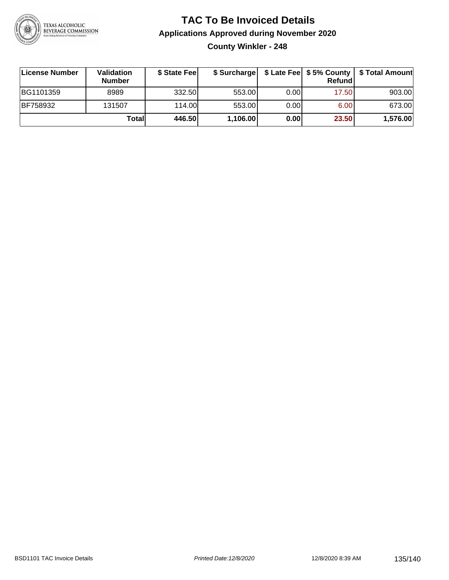

**County Winkler - 248**

| License Number  | <b>Validation</b><br><b>Number</b> | \$ State Feel | \$ Surcharge |       | <b>Refund</b> | \$ Late Fee   \$5% County   \$ Total Amount |
|-----------------|------------------------------------|---------------|--------------|-------|---------------|---------------------------------------------|
| BG1101359       | 8989                               | 332.50        | 553.00       | 0.001 | 17.50         | 903.00                                      |
| <b>BF758932</b> | 131507                             | 114.00        | 553.00       | 0.001 | 6.00          | 673.00                                      |
|                 | Totall                             | 446.50        | 1,106.00     | 0.00  | 23.50         | 1,576.00                                    |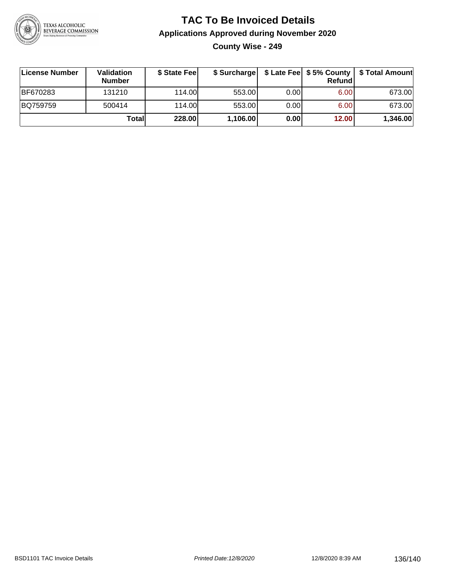

### **TAC To Be Invoiced Details Applications Approved during November 2020 County Wise - 249**

| License Number | Validation<br><b>Number</b> | \$ State Fee | \$ Surcharge |      | <b>Refund</b> | \$ Late Fee   \$5% County   \$ Total Amount |
|----------------|-----------------------------|--------------|--------------|------|---------------|---------------------------------------------|
| BF670283       | 131210                      | 114.00       | 553.00       | 0.00 | 6.00          | 673.00                                      |
| BQ759759       | 500414                      | 114.00       | 553.00       | 0.00 | 6.00          | 673.00                                      |
|                | Totall                      | 228.00       | 1,106.00     | 0.00 | 12.00         | 1,346.00                                    |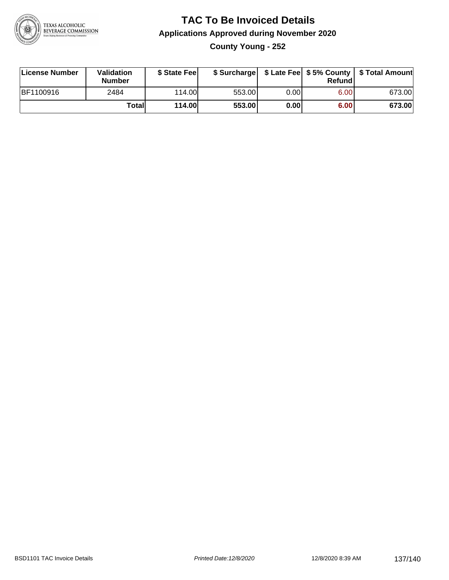

**County Young - 252**

| License Number | Validation<br><b>Number</b> | \$ State Fee  | \$ Surcharge |      | Refundl |        |
|----------------|-----------------------------|---------------|--------------|------|---------|--------|
| BF1100916      | 2484                        | 114.00        | 553.00       | 0.00 | 6.00    | 673.00 |
|                | Totall                      | <b>114.00</b> | 553.00       | 0.00 | 6.00    | 673.00 |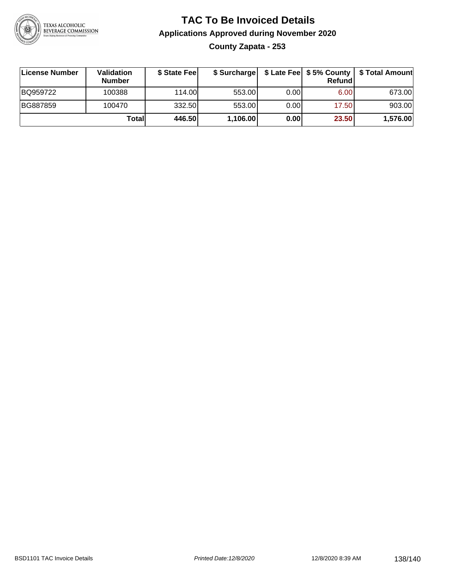

### **TAC To Be Invoiced Details Applications Approved during November 2020 County Zapata - 253**

| License Number | Validation<br><b>Number</b> | \$ State Feel | \$ Surcharge |       | Refund | \$ Late Fee   \$5% County   \$ Total Amount |
|----------------|-----------------------------|---------------|--------------|-------|--------|---------------------------------------------|
| BQ959722       | 100388                      | 114.00L       | 553.00       | 0.001 | 6.00   | 673.00                                      |
| BG887859       | 100470                      | 332.50        | 553.00       | 0.00  | 17.50  | 903.00                                      |
|                | Totall                      | 446.50        | 1,106.00     | 0.00  | 23.50  | 1,576.00                                    |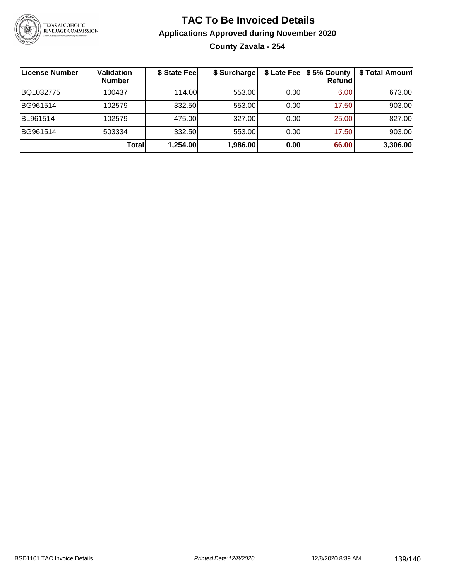

### **TAC To Be Invoiced Details Applications Approved during November 2020 County Zavala - 254**

| License Number | <b>Validation</b><br><b>Number</b> | \$ State Fee | \$ Surcharge |      | \$ Late Fee   \$5% County<br><b>Refund</b> | \$ Total Amount |
|----------------|------------------------------------|--------------|--------------|------|--------------------------------------------|-----------------|
| BQ1032775      | 100437                             | 114.00L      | 553.00       | 0.00 | 6.00                                       | 673.00          |
| BG961514       | 102579                             | 332.50       | 553.00       | 0.00 | 17.50                                      | 903.00          |
| BL961514       | 102579                             | 475.00       | 327.00       | 0.00 | 25.00                                      | 827.00          |
| BG961514       | 503334                             | 332.50       | 553.00       | 0.00 | 17.50                                      | 903.00          |
|                | Total                              | 1,254.00     | 1,986.00     | 0.00 | 66.00                                      | 3,306.00        |